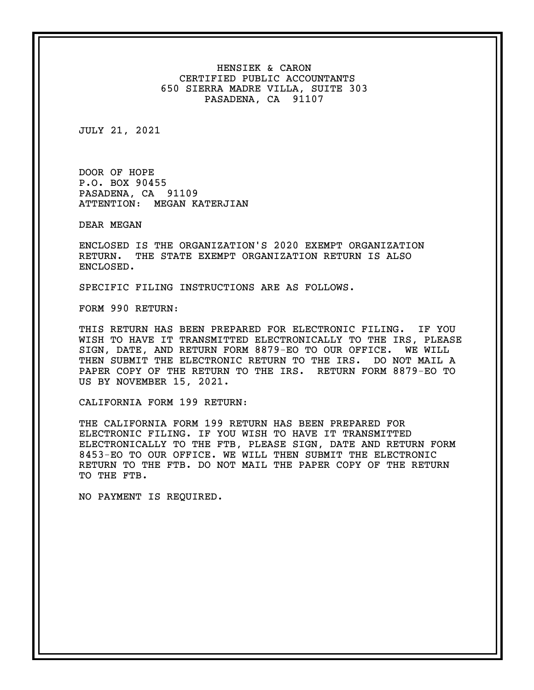HENSIEK & CARON CERTIFIED PUBLIC ACCOUNTANTS 650 SIERRA MADRE VILLA, SUITE 303 PASADENA, CA 91107

JULY 21, 2021

DOOR OF HOPE P.O. BOX 90455 PASADENA, CA 91109 ATTENTION: MEGAN KATERJIAN

DEAR MEGAN

ENCLOSED IS THE ORGANIZATION'S 2020 EXEMPT ORGANIZATION RETURN. THE STATE EXEMPT ORGANIZATION RETURN IS ALSO ENCLOSED.

SPECIFIC FILING INSTRUCTIONS ARE AS FOLLOWS.

FORM 990 RETURN:

THIS RETURN HAS BEEN PREPARED FOR ELECTRONIC FILING. IF YOU WISH TO HAVE IT TRANSMITTED ELECTRONICALLY TO THE IRS, PLEASE SIGN, DATE, AND RETURN FORM 8879-EO TO OUR OFFICE. WE WILL THEN SUBMIT THE ELECTRONIC RETURN TO THE IRS. DO NOT MAIL A PAPER COPY OF THE RETURN TO THE IRS. RETURN FORM 8879-EO TO US BY NOVEMBER 15, 2021.

CALIFORNIA FORM 199 RETURN:

THE CALIFORNIA FORM 199 RETURN HAS BEEN PREPARED FOR ELECTRONIC FILING. IF YOU WISH TO HAVE IT TRANSMITTED ELECTRONICALLY TO THE FTB, PLEASE SIGN, DATE AND RETURN FORM 8453-EO TO OUR OFFICE. WE WILL THEN SUBMIT THE ELECTRONIC RETURN TO THE FTB. DO NOT MAIL THE PAPER COPY OF THE RETURN TO THE FTB.

NO PAYMENT IS REQUIRED.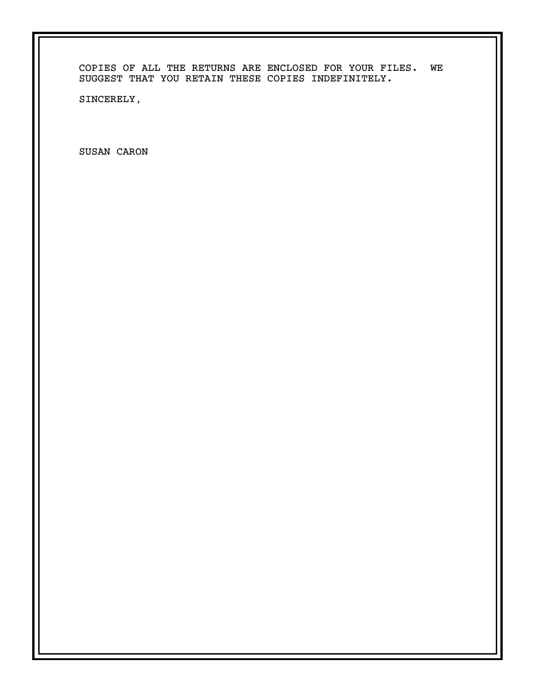COPIES OF ALL THE RETURNS ARE ENCLOSED FOR YOUR FILES. WE SUGGEST THAT YOU RETAIN THESE COPIES INDEFINITELY.

SINCERELY,

SUSAN CARON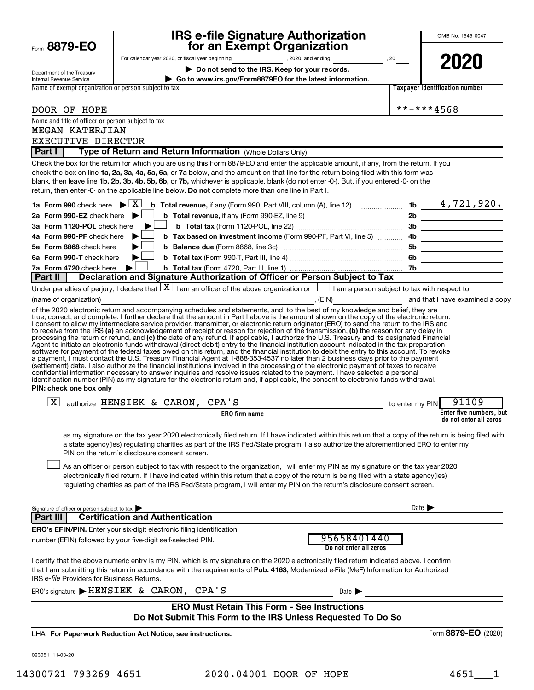|                                                                                                    |   |                                         |                                                            | <b>IRS e-file Signature Authorization</b>                                                                                                                                                                                                                                                                                                                                                                                                                                                                                                                                                                                                                                                               |                 | OMB No. 1545-0047                                 |
|----------------------------------------------------------------------------------------------------|---|-----------------------------------------|------------------------------------------------------------|---------------------------------------------------------------------------------------------------------------------------------------------------------------------------------------------------------------------------------------------------------------------------------------------------------------------------------------------------------------------------------------------------------------------------------------------------------------------------------------------------------------------------------------------------------------------------------------------------------------------------------------------------------------------------------------------------------|-----------------|---------------------------------------------------|
| Form 8879-EO                                                                                       |   |                                         | for an Exempt Organization                                 |                                                                                                                                                                                                                                                                                                                                                                                                                                                                                                                                                                                                                                                                                                         |                 |                                                   |
|                                                                                                    |   |                                         | Do not send to the IRS. Keep for your records.             | For calendar year 2020, or fiscal year beginning [1,2020, and ending state of the state of the state of the state of the state of the state of the state of the state of the state of the state of the state of the state of t                                                                                                                                                                                                                                                                                                                                                                                                                                                                          |                 | 2020                                              |
| Department of the Treasury<br>Internal Revenue Service                                             |   |                                         |                                                            | Go to www.irs.gov/Form8879EO for the latest information.                                                                                                                                                                                                                                                                                                                                                                                                                                                                                                                                                                                                                                                |                 |                                                   |
| Name of exempt organization or person subject to tax                                               |   |                                         |                                                            |                                                                                                                                                                                                                                                                                                                                                                                                                                                                                                                                                                                                                                                                                                         |                 | Taxpayer identification number                    |
|                                                                                                    |   |                                         |                                                            |                                                                                                                                                                                                                                                                                                                                                                                                                                                                                                                                                                                                                                                                                                         |                 | **-***4568                                        |
| DOOR OF HOPE<br>Name and title of officer or person subject to tax                                 |   |                                         |                                                            |                                                                                                                                                                                                                                                                                                                                                                                                                                                                                                                                                                                                                                                                                                         |                 |                                                   |
| MEGAN KATERJIAN                                                                                    |   |                                         |                                                            |                                                                                                                                                                                                                                                                                                                                                                                                                                                                                                                                                                                                                                                                                                         |                 |                                                   |
| EXECUTIVE DIRECTOR                                                                                 |   |                                         |                                                            |                                                                                                                                                                                                                                                                                                                                                                                                                                                                                                                                                                                                                                                                                                         |                 |                                                   |
| Part I                                                                                             |   |                                         | Type of Return and Return Information (Whole Dollars Only) |                                                                                                                                                                                                                                                                                                                                                                                                                                                                                                                                                                                                                                                                                                         |                 |                                                   |
| return, then enter -0- on the applicable line below. Do not complete more than one line in Part I. |   |                                         |                                                            | Check the box for the return for which you are using this Form 8879-EO and enter the applicable amount, if any, from the return. If you<br>check the box on line 1a, 2a, 3a, 4a, 5a, 6a, or 7a below, and the amount on that line for the return being filed with this form was<br>blank, then leave line 1b, 2b, 3b, 4b, 5b, 6b, or 7b, whichever is applicable, blank (do not enter -0-). But, if you entered -0- on the                                                                                                                                                                                                                                                                              |                 |                                                   |
| 1a Form 990 check here $\mathbf{\triangleright} \boxed{\mathbf{X}}$                                |   |                                         |                                                            |                                                                                                                                                                                                                                                                                                                                                                                                                                                                                                                                                                                                                                                                                                         |                 |                                                   |
| 2a Form 990-EZ check here $\blacktriangleright$                                                    |   |                                         |                                                            |                                                                                                                                                                                                                                                                                                                                                                                                                                                                                                                                                                                                                                                                                                         |                 |                                                   |
| 3a Form 1120-POL check here<br>4a Form 990-PF check here                                           | ▶ |                                         |                                                            |                                                                                                                                                                                                                                                                                                                                                                                                                                                                                                                                                                                                                                                                                                         |                 |                                                   |
| 5a Form 8868 check here                                                                            |   |                                         |                                                            | b Tax based on investment income (Form 990-PF, Part VI, line 5)  4b                                                                                                                                                                                                                                                                                                                                                                                                                                                                                                                                                                                                                                     |                 |                                                   |
| 6a Form 990-T check here                                                                           |   |                                         |                                                            |                                                                                                                                                                                                                                                                                                                                                                                                                                                                                                                                                                                                                                                                                                         |                 |                                                   |
| 7a Form 4720 check here                                                                            |   |                                         |                                                            |                                                                                                                                                                                                                                                                                                                                                                                                                                                                                                                                                                                                                                                                                                         |                 |                                                   |
| Part II                                                                                            |   |                                         |                                                            | Declaration and Signature Authorization of Officer or Person Subject to Tax                                                                                                                                                                                                                                                                                                                                                                                                                                                                                                                                                                                                                             |                 |                                                   |
|                                                                                                    |   |                                         |                                                            | Under penalties of perjury, I declare that $\boxed{\mathbf{X}}$ I am an officer of the above organization or $\boxed{\phantom{\mathbf{X}}\phantom{\mathbf{X}}}$ I am a person subject to tax with respect to                                                                                                                                                                                                                                                                                                                                                                                                                                                                                            |                 |                                                   |
| (name of organization)                                                                             |   |                                         |                                                            | of the 2020 electronic return and accompanying schedules and statements, and, to the best of my knowledge and belief, they are                                                                                                                                                                                                                                                                                                                                                                                                                                                                                                                                                                          |                 |                                                   |
| PIN: check one box only                                                                            |   |                                         |                                                            | (settlement) date. I also authorize the financial institutions involved in the processing of the electronic payment of taxes to receive<br>confidential information necessary to answer inquiries and resolve issues related to the payment. I have selected a personal<br>identification number (PIN) as my signature for the electronic return and, if applicable, the consent to electronic funds withdrawal.                                                                                                                                                                                                                                                                                        |                 |                                                   |
| $X$   authorize HENSIEK & CARON, CPA'S                                                             |   |                                         |                                                            |                                                                                                                                                                                                                                                                                                                                                                                                                                                                                                                                                                                                                                                                                                         | to enter my PIN | 91109                                             |
|                                                                                                    |   |                                         | <b>ERO</b> firm name                                       |                                                                                                                                                                                                                                                                                                                                                                                                                                                                                                                                                                                                                                                                                                         |                 | Enter five numbers, but<br>do not enter all zeros |
| PIN on the return's disclosure consent screen.                                                     |   |                                         |                                                            | as my signature on the tax year 2020 electronically filed return. If I have indicated within this return that a copy of the return is being filed with<br>a state agency(ies) regulating charities as part of the IRS Fed/State program, I also authorize the aforementioned ERO to enter my<br>As an officer or person subject to tax with respect to the organization, I will enter my PIN as my signature on the tax year 2020<br>electronically filed return. If I have indicated within this return that a copy of the return is being filed with a state agency(ies)<br>regulating charities as part of the IRS Fed/State program, I will enter my PIN on the return's disclosure consent screen. |                 |                                                   |
|                                                                                                    |   |                                         |                                                            |                                                                                                                                                                                                                                                                                                                                                                                                                                                                                                                                                                                                                                                                                                         |                 |                                                   |
| Signature of officer or person subject to tax<br>Part III                                          |   | <b>Certification and Authentication</b> |                                                            |                                                                                                                                                                                                                                                                                                                                                                                                                                                                                                                                                                                                                                                                                                         |                 | Date $\blacktriangleright$                        |
| ERO's EFIN/PIN. Enter your six-digit electronic filing identification                              |   |                                         |                                                            |                                                                                                                                                                                                                                                                                                                                                                                                                                                                                                                                                                                                                                                                                                         |                 |                                                   |
| number (EFIN) followed by your five-digit self-selected PIN.                                       |   |                                         |                                                            | 95658401440<br>Do not enter all zeros                                                                                                                                                                                                                                                                                                                                                                                                                                                                                                                                                                                                                                                                   |                 |                                                   |
| IRS e-file Providers for Business Returns.                                                         |   |                                         |                                                            | I certify that the above numeric entry is my PIN, which is my signature on the 2020 electronically filed return indicated above. I confirm<br>that I am submitting this return in accordance with the requirements of Pub. 4163, Modernized e-File (MeF) Information for Authorized                                                                                                                                                                                                                                                                                                                                                                                                                     |                 |                                                   |
| ERO's signature $\blacktriangleright$ HENSIEK & CARON, CPA'S                                       |   |                                         |                                                            | Date $\blacktriangleright$                                                                                                                                                                                                                                                                                                                                                                                                                                                                                                                                                                                                                                                                              |                 |                                                   |
|                                                                                                    |   |                                         |                                                            | <b>ERO Must Retain This Form - See Instructions</b><br>Do Not Submit This Form to the IRS Unless Requested To Do So                                                                                                                                                                                                                                                                                                                                                                                                                                                                                                                                                                                     |                 |                                                   |
| LHA For Paperwork Reduction Act Notice, see instructions.                                          |   |                                         |                                                            |                                                                                                                                                                                                                                                                                                                                                                                                                                                                                                                                                                                                                                                                                                         |                 | Form 8879-EO (2020)                               |
| 023051 11-03-20                                                                                    |   |                                         |                                                            |                                                                                                                                                                                                                                                                                                                                                                                                                                                                                                                                                                                                                                                                                                         |                 |                                                   |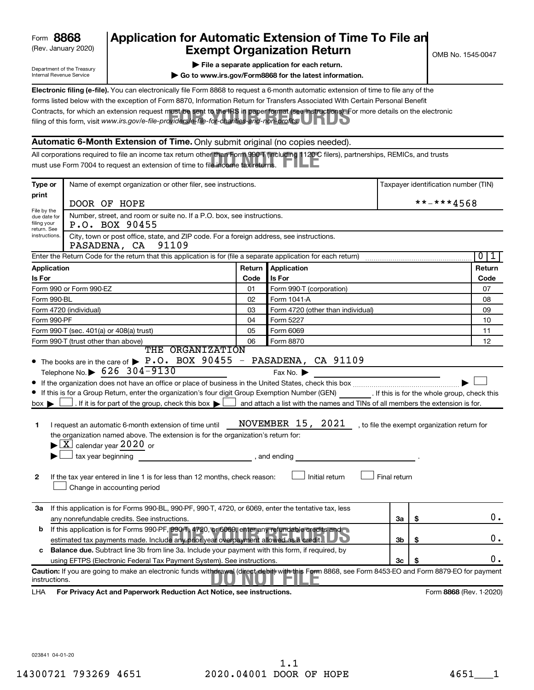| Form | 8868 |
|------|------|
|------|------|

### (Rev. January 2020) **Cxempt Organization Return** Manuary 2020) and the settern **Canadian Exempt Organization Return Form 8868 Application for Automatic Extension of Time To File an**<br>**Exempt Organization Beturn**

Department of the Treasury Internal Revenue Service

| $\triangleright$ File a separate application for each return. |  |
|---------------------------------------------------------------|--|
|---------------------------------------------------------------|--|

**| Go to www.irs.gov/Form8868 for the latest information.**

Contracts, for which an extension request must be sent to the IRS in paper format (see instructions). For more details on the electronic<br>filing of this form, visit www.irs.*gov/e-file-providers/e-file-for-charities-and-non* **Electronic filing (e-file).** You can electronically file Form 8868 to request a 6-month automatic extension of time to file any of the filing of this form, visit www.irs.gov/e-file-providers/e-file-for-charities-and-non-profits. forms listed below with the exception of Form 8870, Information Return for Transfers Associated With Certain Personal Benefit

#### **Automatic 6-Month Extension of Time.** Only submit original (no copies needed).

All corporations required to file an income tax return other than Form 990-T (including 1120-C filers), partnerships, REMICs, and trusts<br>must use Form 7004 to request an extension of time to file income tax returns. must use Form 7004 to request an extension of time to file income tax returns.

| Type or                                    | Name of exempt organization or other filer, see instructions.                                                                                                                                                                                                                                                                                                                                                                                                                                                                                                                   |        |                                                                                                                                                                                    |              | Taxpayer identification number (TIN) |
|--------------------------------------------|---------------------------------------------------------------------------------------------------------------------------------------------------------------------------------------------------------------------------------------------------------------------------------------------------------------------------------------------------------------------------------------------------------------------------------------------------------------------------------------------------------------------------------------------------------------------------------|--------|------------------------------------------------------------------------------------------------------------------------------------------------------------------------------------|--------------|--------------------------------------|
| print                                      | DOOR OF HOPE                                                                                                                                                                                                                                                                                                                                                                                                                                                                                                                                                                    |        |                                                                                                                                                                                    |              | **-***4568                           |
| File by the<br>due date for<br>filing your | Number, street, and room or suite no. If a P.O. box, see instructions.<br>P.O. BOX 90455                                                                                                                                                                                                                                                                                                                                                                                                                                                                                        |        |                                                                                                                                                                                    |              |                                      |
| return. See<br>instructions.               | City, town or post office, state, and ZIP code. For a foreign address, see instructions.<br>PASADENA, CA<br>91109                                                                                                                                                                                                                                                                                                                                                                                                                                                               |        |                                                                                                                                                                                    |              |                                      |
|                                            | Enter the Return Code for the return that this application is for (file a separate application for each return)                                                                                                                                                                                                                                                                                                                                                                                                                                                                 |        |                                                                                                                                                                                    |              | $\overline{0}$<br>1                  |
| <b>Application</b>                         |                                                                                                                                                                                                                                                                                                                                                                                                                                                                                                                                                                                 | Return | Application                                                                                                                                                                        |              | Return                               |
| Is For                                     |                                                                                                                                                                                                                                                                                                                                                                                                                                                                                                                                                                                 | Code   | Is For                                                                                                                                                                             |              | Code                                 |
|                                            | Form 990 or Form 990-EZ                                                                                                                                                                                                                                                                                                                                                                                                                                                                                                                                                         | 01     | Form 990-T (corporation)                                                                                                                                                           |              | 07                                   |
| Form 990-BL                                |                                                                                                                                                                                                                                                                                                                                                                                                                                                                                                                                                                                 | 02     | Form 1041 A                                                                                                                                                                        |              | 08                                   |
|                                            | Form 4720 (individual)                                                                                                                                                                                                                                                                                                                                                                                                                                                                                                                                                          | 03     | Form 4720 (other than individual)                                                                                                                                                  |              | 09                                   |
| Form 990-PF                                |                                                                                                                                                                                                                                                                                                                                                                                                                                                                                                                                                                                 | 04     | Form 5227                                                                                                                                                                          |              | 10                                   |
|                                            | Form 990-T (sec. 401(a) or 408(a) trust)                                                                                                                                                                                                                                                                                                                                                                                                                                                                                                                                        | 05     | Form 6069                                                                                                                                                                          |              | 11                                   |
|                                            | Form 990-T (trust other than above)<br>THE ORGANIZATION                                                                                                                                                                                                                                                                                                                                                                                                                                                                                                                         | 06     | Form 8870                                                                                                                                                                          |              | 12                                   |
| $box \blacktriangleright$<br>1<br>2        | If this is for a Group Return, enter the organization's four digit Group Exemption Number (GEN) [If this is for the whole group, check this<br>. If it is for part of the group, check this box $\blacktriangleright$  <br>I request an automatic 6-month extension of time until<br>the organization named above. The extension is for the organization's return for:<br>$\blacktriangleright$ $\lfloor$ X $\rfloor$ calendar year 2020 or<br>tax year beginning<br>If the tax year entered in line 1 is for less than 12 months, check reason:<br>Change in accounting period |        | and attach a list with the names and TINs of all members the extension is for.<br>NOVEMBER 15, 2021 , to file the exempt organization return for<br>, and ending<br>Initial return | Final return |                                      |
| За                                         | If this application is for Forms 990-BL, 990-PF, 990-T, 4720, or 6069, enter the tentative tax, less<br>any nonrefundable credits. See instructions.                                                                                                                                                                                                                                                                                                                                                                                                                            |        |                                                                                                                                                                                    | За           | \$<br>0.                             |
| b                                          | If this application is for Forms 990-PF, 990-T, 4720, or 6069, enter any refundable credits and<br>estimated tax payments made. Include any prior year overpayment allowed as a credit.                                                                                                                                                                                                                                                                                                                                                                                         |        |                                                                                                                                                                                    | 3b           | \$<br>О.                             |
| c                                          | <b>Balance due.</b> Subtract line 3b from line 3a. Include your payment with this form, if required, by                                                                                                                                                                                                                                                                                                                                                                                                                                                                         |        |                                                                                                                                                                                    |              |                                      |
|                                            | using EFTPS (Electronic Federal Tax Payment System). See instructions.                                                                                                                                                                                                                                                                                                                                                                                                                                                                                                          |        |                                                                                                                                                                                    | Зc           | υ.                                   |
| instructions.                              | Caution: If you are going to make an electronic funds withdrawal (direct debit) with this Form 8868, see Form 8453-EO and Form 8879-EO for payment                                                                                                                                                                                                                                                                                                                                                                                                                              |        |                                                                                                                                                                                    |              |                                      |
| LHA                                        | For Privacy Act and Paperwork Reduction Act Notice, see instructions.                                                                                                                                                                                                                                                                                                                                                                                                                                                                                                           |        |                                                                                                                                                                                    |              | Form 8868 (Rev. 1-2020)              |

023841 04-01-20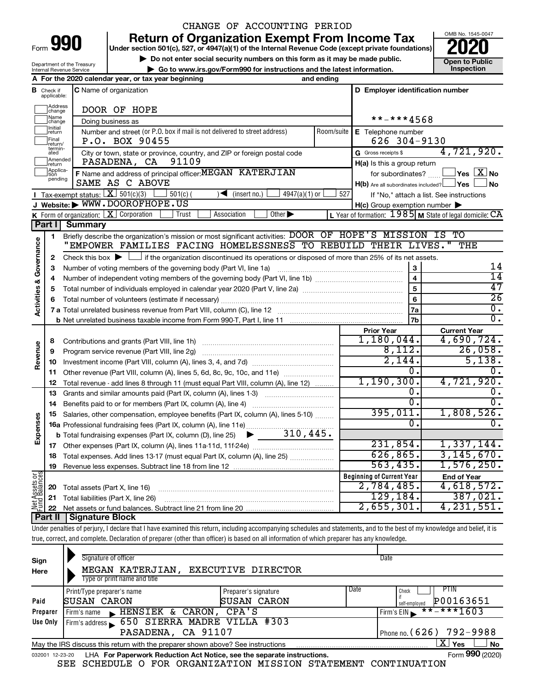Department of the Treasury

## CHANGE OF ACCOUNTING PERIOD

**Under section 501(c), 527, or 4947(a)(1) of the Internal Revenue Code (except private foundations) Return of Organization Exempt From Income Tax** 

**10 Do not enter social security numbers on this form as it may be made public. Open to Public** 

**| Go to www.irs.gov/Form990 for instructions and the latest information. Inspection**

OMB No. 1545-0047

|                         |                         | Internal Revenue Service<br>$\blacktriangleright$ Go to www.irs.gov/Form990 for instructions and the latest information.                                             |                                                      |                                                                    | <b>Inspection</b>                                         |
|-------------------------|-------------------------|----------------------------------------------------------------------------------------------------------------------------------------------------------------------|------------------------------------------------------|--------------------------------------------------------------------|-----------------------------------------------------------|
|                         |                         | A For the 2020 calendar year, or tax year beginning<br>and ending                                                                                                    |                                                      |                                                                    |                                                           |
| В                       | Check if<br>applicable: | <b>C</b> Name of organization                                                                                                                                        |                                                      | D Employer identification number                                   |                                                           |
|                         | Address<br>change       | DOOR OF HOPE                                                                                                                                                         |                                                      |                                                                    |                                                           |
|                         | Name<br>change          | Doing business as                                                                                                                                                    |                                                      | **-***4568                                                         |                                                           |
|                         | Initial<br>return       | Number and street (or P.O. box if mail is not delivered to street address)<br>Room/suite                                                                             | E Telephone number                                   |                                                                    |                                                           |
|                         | Final<br>return/        | P.O. BOX 90455                                                                                                                                                       | 626 304-9130                                         |                                                                    |                                                           |
|                         | termin-<br>ated         | City or town, state or province, country, and ZIP or foreign postal code                                                                                             |                                                      | G Gross receipts \$                                                | 4,721,920.                                                |
|                         | Amended<br>return       |                                                                                                                                                                      | 91109<br>PASADENA, CA<br>H(a) Is this a group return |                                                                    |                                                           |
|                         | Applica-<br>pending     | F Name and address of principal officer: MEGAN KATERJIAN                                                                                                             | for subordinates?                                    | $\sqrt{\mathsf{Yes}\mathord{\;\mathbb{X}}\mathord{\;\mathsf{No}}}$ |                                                           |
|                         |                         | SAME AS C ABOVE                                                                                                                                                      |                                                      | $H(b)$ Are all subordinates included? $\Box$ Yes                   | No.                                                       |
|                         |                         | <b>I</b> Tax-exempt status: $X \ 501(c)(3)$<br>$4947(a)(1)$ or<br>$501(c)$ (<br>$\sim$<br>(insert no.)                                                               | 527                                                  |                                                                    | If "No," attach a list. See instructions                  |
|                         |                         | J Website: WWW.DOOROFHOPE.US                                                                                                                                         |                                                      | $H(c)$ Group exemption number $\blacktriangleright$                |                                                           |
|                         | Part I                  | K Form of organization: $X$ Corporation<br>Other $\blacktriangleright$<br>Trust<br>Association                                                                       |                                                      |                                                                    | L Year of formation: $1985$ M State of legal domicile: CA |
|                         |                         | <b>Summary</b>                                                                                                                                                       |                                                      |                                                                    | IS TO                                                     |
|                         | 1                       | Briefly describe the organization's mission or most significant activities: DOOR OF HOPE'S MISSION<br>"EMPOWER FAMILIES FACING HOMELESSNESS TO REBUILD THEIR LIVES." |                                                      |                                                                    | THE                                                       |
| Activities & Governance |                         |                                                                                                                                                                      |                                                      |                                                                    |                                                           |
|                         | $\mathbf{2}$            | Check this box $\blacktriangleright$ $\Box$ if the organization discontinued its operations or disposed of more than 25% of its net assets.                          |                                                      |                                                                    | 14                                                        |
|                         | з                       | Number of voting members of the governing body (Part VI, line 1a)                                                                                                    |                                                      | 3                                                                  | $\overline{14}$                                           |
|                         | 4                       |                                                                                                                                                                      | 4                                                    |                                                                    |                                                           |
|                         | 5                       |                                                                                                                                                                      |                                                      | $\overline{5}$                                                     | 47                                                        |
|                         | 6                       |                                                                                                                                                                      |                                                      | 6                                                                  | $\overline{26}$                                           |
|                         |                         |                                                                                                                                                                      |                                                      | 7a                                                                 | 0.                                                        |
|                         |                         |                                                                                                                                                                      |                                                      | 7b                                                                 | 0.                                                        |
|                         |                         |                                                                                                                                                                      |                                                      | <b>Prior Year</b>                                                  | <b>Current Year</b>                                       |
|                         | 8                       | Contributions and grants (Part VIII, line 1h)                                                                                                                        |                                                      | 1,180,044.                                                         | 4,690,724.                                                |
|                         | 9                       | Program service revenue (Part VIII, line 2g)                                                                                                                         |                                                      | 8,112.                                                             | 26,058.                                                   |
| Revenue                 | 10                      |                                                                                                                                                                      |                                                      | 2,144.                                                             | 5,138.                                                    |
|                         | 11                      | Other revenue (Part VIII, column (A), lines 5, 6d, 8c, 9c, 10c, and 11e)                                                                                             |                                                      | 0.                                                                 | 0.                                                        |
|                         | 12                      | Total revenue - add lines 8 through 11 (must equal Part VIII, column (A), line 12)                                                                                   |                                                      | 1, 190, 300.                                                       | 4,721,920.                                                |
|                         | 13                      | Grants and similar amounts paid (Part IX, column (A), lines 1-3)                                                                                                     |                                                      | Ο.                                                                 | 0.                                                        |
|                         | 14                      | Benefits paid to or for members (Part IX, column (A), line 4)                                                                                                        |                                                      | Ο.                                                                 | 0.                                                        |
|                         | 15                      | Salaries, other compensation, employee benefits (Part IX, column (A), lines 5-10)                                                                                    |                                                      | 395,011.                                                           | 1,808,526.                                                |
| Expenses                |                         | 16a Professional fundraising fees (Part IX, column (A), line 11e)                                                                                                    |                                                      | Ω.                                                                 | 0.                                                        |
|                         |                         | $\blacktriangleright$ 310,445.<br><b>b</b> Total fundraising expenses (Part IX, column (D), line 25)                                                                 |                                                      |                                                                    |                                                           |
|                         | 17                      |                                                                                                                                                                      |                                                      | 231,854.                                                           | 1,337,144.                                                |
|                         | 18                      | Total expenses. Add lines 13-17 (must equal Part IX, column (A), line 25)                                                                                            |                                                      | 626, 865.                                                          | 3, 145, 670.                                              |
|                         | 19                      |                                                                                                                                                                      |                                                      | 563, 435.                                                          | 1,576,250.                                                |
| ප්රි                    |                         |                                                                                                                                                                      |                                                      | <b>Beginning of Current Year</b>                                   | <b>End of Year</b>                                        |
| Assets<br>Balanc        | 20                      | Total assets (Part X, line 16)                                                                                                                                       |                                                      | 2,784,485.                                                         | 4,618,572.                                                |
|                         | 21                      | Total liabilities (Part X, line 26)                                                                                                                                  |                                                      | 129, 184.                                                          | 387,021.                                                  |
|                         | 22                      |                                                                                                                                                                      |                                                      | 2,655,301.                                                         | 4, 231, 551.                                              |
|                         | Part II                 | Signature Block                                                                                                                                                      |                                                      |                                                                    |                                                           |

Under penalties of perjury, I declare that I have examined this return, including accompanying schedules and statements, and to the best of my knowledge and belief, it is true, correct, and complete. Declaration of preparer (other than officer) is based on all information of which preparer has any knowledge.

| Sign<br>Here | Signature of officer<br>MEGAN KATERJIAN,<br>Type or print name and title                                     | EXECUTIVE DIRECTOR                          |      | Date                                              |  |  |  |  |  |
|--------------|--------------------------------------------------------------------------------------------------------------|---------------------------------------------|------|---------------------------------------------------|--|--|--|--|--|
| Paid         | Print/Type preparer's name<br><b>SUSAN CARON</b>                                                             | Preparer's signature<br><b>ISUSAN CARON</b> | Date | PTIN<br>Check<br>if<br>P00163651<br>self-emploved |  |  |  |  |  |
| Preparer     | HENSIEK & CARON,<br>Firm's name<br>$\mathbf{r}$                                                              | CPA'S                                       |      | $***$ $***$ 1603<br>Firm's $EIN$                  |  |  |  |  |  |
| Use Only     | Firm's address 650 SIERRA MADRE VILLA #303                                                                   |                                             |      |                                                   |  |  |  |  |  |
|              | PASADENA, CA 91107                                                                                           |                                             |      | Phone no. (626) 792-9988                          |  |  |  |  |  |
|              | ΧI<br><b>No</b><br>Yes<br>May the IRS discuss this return with the preparer shown above? See instructions    |                                             |      |                                                   |  |  |  |  |  |
|              | Form 990 (2020)<br>LHA For Paperwork Reduction Act Notice, see the separate instructions.<br>032001 12-23-20 |                                             |      |                                                   |  |  |  |  |  |

SEE SCHEDULE O FOR ORGANIZATION MISSION STATEMENT CONTINUATION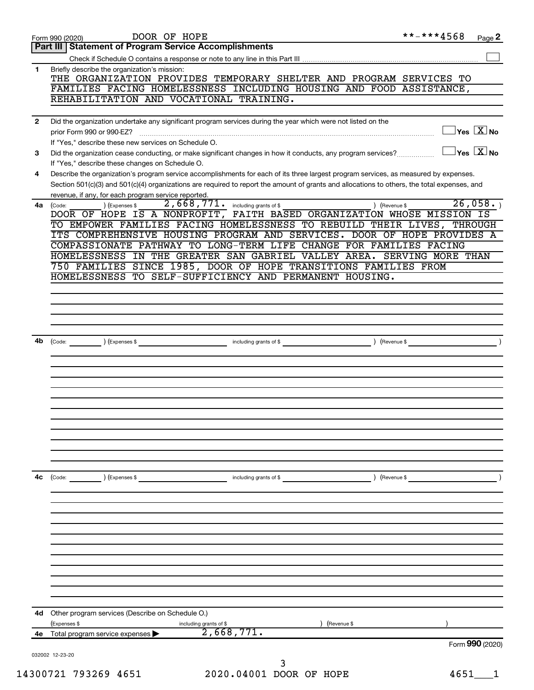|    | DOOR OF HOPE<br>Form 990 (2020)                                                                                                                   | **-***4568                                     | Page 2 |
|----|---------------------------------------------------------------------------------------------------------------------------------------------------|------------------------------------------------|--------|
|    | <b>Statement of Program Service Accomplishments</b><br>Part III                                                                                   |                                                |        |
|    |                                                                                                                                                   |                                                |        |
| 1  | Briefly describe the organization's mission:                                                                                                      |                                                |        |
|    | THE ORGANIZATION PROVIDES TEMPORARY SHELTER AND PROGRAM SERVICES TO                                                                               |                                                |        |
|    | FAMILIES FACING HOMELESSNESS INCLUDING HOUSING AND FOOD ASSISTANCE,                                                                               |                                                |        |
|    | REHABILITATION AND VOCATIONAL TRAINING.                                                                                                           |                                                |        |
| 2  | Did the organization undertake any significant program services during the year which were not listed on the                                      |                                                |        |
|    | prior Form 990 or 990-EZ?                                                                                                                         | $\overline{\ }$ Yes $\overline{\ \text{X}}$ No |        |
|    | If "Yes," describe these new services on Schedule O.                                                                                              |                                                |        |
| 3  | Did the organization cease conducting, or make significant changes in how it conducts, any program services?                                      | $\exists$ Yes $\boxed{\text{X}}$ No            |        |
|    | If "Yes," describe these changes on Schedule O.                                                                                                   |                                                |        |
| 4  | Describe the organization's program service accomplishments for each of its three largest program services, as measured by expenses.              |                                                |        |
|    | Section 501(c)(3) and 501(c)(4) organizations are required to report the amount of grants and allocations to others, the total expenses, and      |                                                |        |
|    | revenue, if any, for each program service reported.                                                                                               |                                                |        |
| 4a | $\overline{2,668,771}$ . including grants of \$<br>) (Expenses \$<br>) (Revenue \$<br>(Code:                                                      | 26,058.                                        |        |
|    | DOOR OF HOPE IS A NONPROFIT, FAITH BASED ORGANIZATION WHOSE MISSION IS<br>TO EMPOWER FAMILIES FACING HOMELESSNESS TO REBUILD THEIR LIVES, THROUGH |                                                |        |
|    | ITS COMPREHENSIVE HOUSING PROGRAM AND SERVICES. DOOR OF HOPE PROVIDES A                                                                           |                                                |        |
|    | COMPASSIONATE PATHWAY TO LONG-TERM LIFE CHANGE FOR FAMILIES FACING                                                                                |                                                |        |
|    | HOMELESSNESS IN THE GREATER SAN GABRIEL VALLEY AREA. SERVING MORE THAN                                                                            |                                                |        |
|    | 750 FAMILIES SINCE 1985, DOOR OF HOPE TRANSITIONS FAMILIES FROM                                                                                   |                                                |        |
|    | HOMELESSNESS TO SELF-SUFFICIENCY AND PERMANENT HOUSING.                                                                                           |                                                |        |
|    |                                                                                                                                                   |                                                |        |
|    |                                                                                                                                                   |                                                |        |
|    |                                                                                                                                                   |                                                |        |
|    |                                                                                                                                                   |                                                |        |
|    |                                                                                                                                                   |                                                |        |
| 4b | (Code: ) (Expenses \$                                                                                                                             |                                                |        |
|    |                                                                                                                                                   |                                                |        |
|    |                                                                                                                                                   |                                                |        |
|    |                                                                                                                                                   |                                                |        |
|    |                                                                                                                                                   |                                                |        |
|    |                                                                                                                                                   |                                                |        |
|    |                                                                                                                                                   |                                                |        |
|    |                                                                                                                                                   |                                                |        |
|    |                                                                                                                                                   |                                                |        |
|    |                                                                                                                                                   |                                                |        |
|    |                                                                                                                                                   |                                                |        |
|    |                                                                                                                                                   |                                                |        |
| 4с | (Code: ) (Expenses \$<br>including grants of \$<br>) (Revenue \$                                                                                  |                                                |        |
|    |                                                                                                                                                   |                                                |        |
|    |                                                                                                                                                   |                                                |        |
|    |                                                                                                                                                   |                                                |        |
|    |                                                                                                                                                   |                                                |        |
|    |                                                                                                                                                   |                                                |        |
|    |                                                                                                                                                   |                                                |        |
|    |                                                                                                                                                   |                                                |        |
|    |                                                                                                                                                   |                                                |        |
|    |                                                                                                                                                   |                                                |        |
|    |                                                                                                                                                   |                                                |        |
|    |                                                                                                                                                   |                                                |        |
|    |                                                                                                                                                   |                                                |        |
| 4d | Other program services (Describe on Schedule O.)<br>(Expenses \$<br>Revenue \$                                                                    |                                                |        |
|    | including grants of \$<br>2,668,771.<br>4e Total program service expenses                                                                         |                                                |        |
|    |                                                                                                                                                   | Form 990 (2020)                                |        |
|    | 032002 12-23-20                                                                                                                                   |                                                |        |
|    | 3                                                                                                                                                 |                                                |        |
|    | 14300721 793269 4651<br>2020.04001 DOOR OF HOPE                                                                                                   | 4651                                           |        |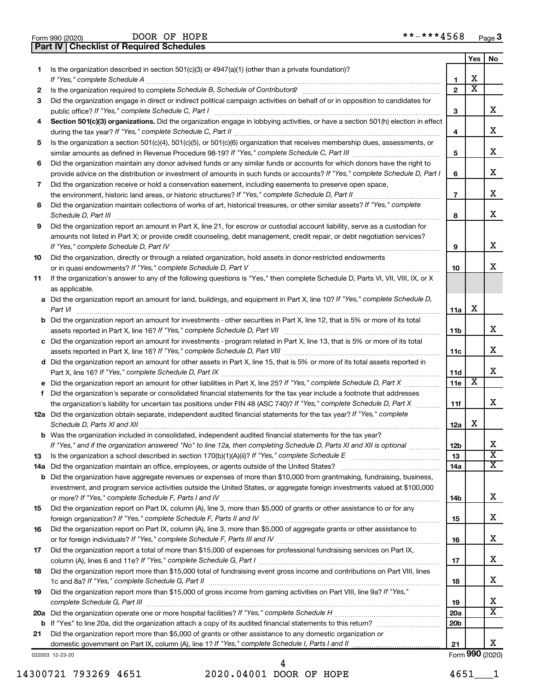|  | Form 990 (2020) |  |
|--|-----------------|--|
|  |                 |  |

**Part IV Checklist of Required Schedules**

|     |                                                                                                                                                                  |                 | Yes | No                      |
|-----|------------------------------------------------------------------------------------------------------------------------------------------------------------------|-----------------|-----|-------------------------|
| 1.  | Is the organization described in section $501(c)(3)$ or $4947(a)(1)$ (other than a private foundation)?                                                          |                 |     |                         |
|     |                                                                                                                                                                  | 1               | х   |                         |
| 2   | Is the organization required to complete Schedule B, Schedule of Contributors? [111] The organization required to complete Schedule B, Schedule of Contributors? | $\mathbf{2}$    | х   |                         |
| З   | Did the organization engage in direct or indirect political campaign activities on behalf of or in opposition to candidates for                                  |                 |     |                         |
|     | public office? If "Yes," complete Schedule C, Part I                                                                                                             | 3               |     | x.                      |
| 4   | Section 501(c)(3) organizations. Did the organization engage in lobbying activities, or have a section 501(h) election in effect                                 |                 |     |                         |
|     |                                                                                                                                                                  | 4               |     | х                       |
| 5   | Is the organization a section 501(c)(4), 501(c)(5), or 501(c)(6) organization that receives membership dues, assessments, or                                     |                 |     |                         |
|     |                                                                                                                                                                  | 5               |     | х                       |
| 6   | Did the organization maintain any donor advised funds or any similar funds or accounts for which donors have the right to                                        |                 |     |                         |
|     | provide advice on the distribution or investment of amounts in such funds or accounts? If "Yes," complete Schedule D, Part I                                     | 6               |     | х                       |
| 7   | Did the organization receive or hold a conservation easement, including easements to preserve open space,                                                        |                 |     | х                       |
|     |                                                                                                                                                                  | $\overline{7}$  |     |                         |
| 8   | Did the organization maintain collections of works of art, historical treasures, or other similar assets? If "Yes," complete                                     |                 |     | x                       |
|     |                                                                                                                                                                  | 8               |     |                         |
| 9   | Did the organization report an amount in Part X, line 21, for escrow or custodial account liability, serve as a custodian for                                    |                 |     |                         |
|     | amounts not listed in Part X; or provide credit counseling, debt management, credit repair, or debt negotiation services?                                        | 9               |     | x                       |
| 10  | Did the organization, directly or through a related organization, hold assets in donor-restricted endowments                                                     |                 |     |                         |
|     |                                                                                                                                                                  | 10              |     | x                       |
| 11  | If the organization's answer to any of the following questions is "Yes," then complete Schedule D, Parts VI, VII, VIII, IX, or X                                 |                 |     |                         |
|     | as applicable.                                                                                                                                                   |                 |     |                         |
|     | a Did the organization report an amount for land, buildings, and equipment in Part X, line 10? If "Yes," complete Schedule D,                                    |                 |     |                         |
|     | Part VI                                                                                                                                                          | 11a             | X   |                         |
|     | <b>b</b> Did the organization report an amount for investments - other securities in Part X, line 12, that is 5% or more of its total                            |                 |     |                         |
|     |                                                                                                                                                                  | 11b             |     | х                       |
|     | c Did the organization report an amount for investments - program related in Part X, line 13, that is 5% or more of its total                                    |                 |     |                         |
|     |                                                                                                                                                                  | 11c             |     | х                       |
|     | d Did the organization report an amount for other assets in Part X, line 15, that is 5% or more of its total assets reported in                                  |                 |     |                         |
|     |                                                                                                                                                                  | 11d             |     | x                       |
|     |                                                                                                                                                                  | 11e             | x   |                         |
| f   | Did the organization's separate or consolidated financial statements for the tax year include a footnote that addresses                                          |                 |     |                         |
|     | the organization's liability for uncertain tax positions under FIN 48 (ASC 740)? If "Yes," complete Schedule D, Part X                                           | 11f             |     | x                       |
|     | 12a Did the organization obtain separate, independent audited financial statements for the tax year? If "Yes," complete                                          |                 |     |                         |
|     |                                                                                                                                                                  | 12a             | X   |                         |
|     | <b>b</b> Was the organization included in consolidated, independent audited financial statements for the tax year?                                               |                 |     |                         |
|     | If "Yes," and if the organization answered "No" to line 12a, then completing Schedule D, Parts XI and XII is optional                                            | 12 <sub>b</sub> |     | х                       |
| 13  |                                                                                                                                                                  | 13              |     | $\overline{\textbf{x}}$ |
| 14a |                                                                                                                                                                  | 14a             |     | x                       |
|     | <b>b</b> Did the organization have aggregate revenues or expenses of more than \$10,000 from grantmaking, fundraising, business,                                 |                 |     |                         |
|     | investment, and program service activities outside the United States, or aggregate foreign investments valued at \$100,000                                       |                 |     |                         |
|     |                                                                                                                                                                  | 14b             |     | х                       |
| 15  | Did the organization report on Part IX, column (A), line 3, more than \$5,000 of grants or other assistance to or for any                                        |                 |     |                         |
|     |                                                                                                                                                                  | 15              |     | х                       |
| 16  | Did the organization report on Part IX, column (A), line 3, more than \$5,000 of aggregate grants or other assistance to                                         |                 |     | х                       |
|     |                                                                                                                                                                  | 16              |     |                         |
| 17  | Did the organization report a total of more than \$15,000 of expenses for professional fundraising services on Part IX,                                          | 17              |     | х                       |
|     | Did the organization report more than \$15,000 total of fundraising event gross income and contributions on Part VIII, lines                                     |                 |     |                         |
| 18  |                                                                                                                                                                  | 18              |     | х                       |
| 19  | Did the organization report more than \$15,000 of gross income from gaming activities on Part VIII, line 9a? If "Yes,"                                           |                 |     |                         |
|     |                                                                                                                                                                  | 19              |     | x                       |
|     |                                                                                                                                                                  | 20a             |     | x                       |
|     |                                                                                                                                                                  | 20 <sub>b</sub> |     |                         |
| 21  | Did the organization report more than \$5,000 of grants or other assistance to any domestic organization or                                                      |                 |     |                         |
|     |                                                                                                                                                                  | 21              |     | x.                      |
|     | 032003 12-23-20                                                                                                                                                  |                 |     | Form 990 (2020)         |

14300721 793269 4651 2020.04001 DOOR OF HOPE 4651\_\_\_1 4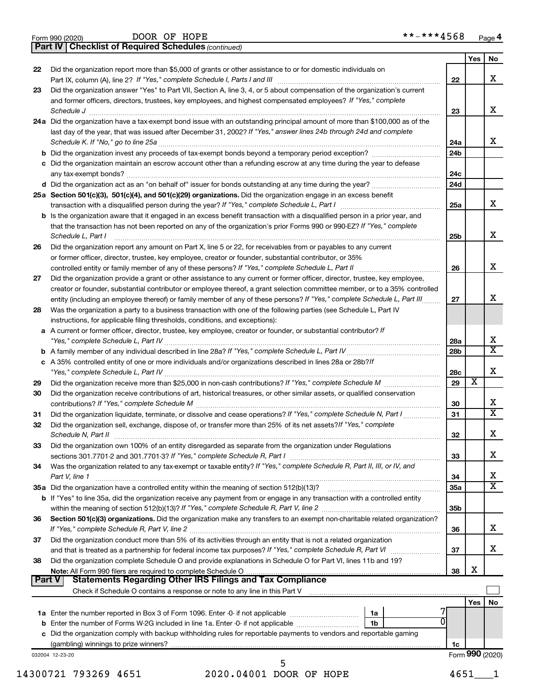|  | Form 990 (2020) |
|--|-----------------|
|  |                 |

DOOR OF HOPE \*\*-\*\*\*4568

**Part IV Checklist of Required Schedules**

*(continued)*

|          |                                                                                                                                                                                                                                                              |                 | Yes        | No                           |
|----------|--------------------------------------------------------------------------------------------------------------------------------------------------------------------------------------------------------------------------------------------------------------|-----------------|------------|------------------------------|
| 22       | Did the organization report more than \$5,000 of grants or other assistance to or for domestic individuals on                                                                                                                                                |                 |            |                              |
|          |                                                                                                                                                                                                                                                              | 22              |            | x                            |
| 23       | Did the organization answer "Yes" to Part VII, Section A, line 3, 4, or 5 about compensation of the organization's current                                                                                                                                   |                 |            |                              |
|          | and former officers, directors, trustees, key employees, and highest compensated employees? If "Yes," complete                                                                                                                                               |                 |            | x                            |
|          | Schedule J <b>Example 2 Contract 2 Contract 2 Contract 2 Contract 2 Contract 2 Contract 2 Contract 2 Contract 2 Contract 2 Contract 2 Contract 2 Contract 2 Contract 2 Contract 2 Contract 2 Con</b>                                                         | 23              |            |                              |
|          | 24a Did the organization have a tax-exempt bond issue with an outstanding principal amount of more than \$100,000 as of the<br>last day of the year, that was issued after December 31, 2002? If "Yes," answer lines 24b through 24d and complete            |                 |            |                              |
|          |                                                                                                                                                                                                                                                              | 24a             |            | x                            |
|          | <b>b</b> Did the organization invest any proceeds of tax-exempt bonds beyond a temporary period exception?                                                                                                                                                   | 24b             |            |                              |
|          | c Did the organization maintain an escrow account other than a refunding escrow at any time during the year to defease                                                                                                                                       |                 |            |                              |
|          |                                                                                                                                                                                                                                                              | 24c             |            |                              |
|          |                                                                                                                                                                                                                                                              | 24d             |            |                              |
|          | 25a Section 501(c)(3), 501(c)(4), and 501(c)(29) organizations. Did the organization engage in an excess benefit                                                                                                                                             |                 |            |                              |
|          |                                                                                                                                                                                                                                                              | 25a             |            | x                            |
|          | <b>b</b> Is the organization aware that it engaged in an excess benefit transaction with a disqualified person in a prior year, and<br>that the transaction has not been reported on any of the organization's prior Forms 990 or 990-EZ? If "Yes," complete |                 |            |                              |
|          | Schedule L, Part I                                                                                                                                                                                                                                           | 25b             |            | x                            |
| 26       | Did the organization report any amount on Part X, line 5 or 22, for receivables from or payables to any current                                                                                                                                              |                 |            |                              |
|          | or former officer, director, trustee, key employee, creator or founder, substantial contributor, or 35%                                                                                                                                                      |                 |            |                              |
|          | controlled entity or family member of any of these persons? If "Yes," complete Schedule L, Part II                                                                                                                                                           | 26              |            | x                            |
| 27       | Did the organization provide a grant or other assistance to any current or former officer, director, trustee, key employee,                                                                                                                                  |                 |            |                              |
|          | creator or founder, substantial contributor or employee thereof, a grant selection committee member, or to a 35% controlled                                                                                                                                  |                 |            |                              |
|          | entity (including an employee thereof) or family member of any of these persons? If "Yes," complete Schedule L, Part III                                                                                                                                     | 27              |            | x                            |
| 28       | Was the organization a party to a business transaction with one of the following parties (see Schedule L, Part IV                                                                                                                                            |                 |            |                              |
|          | instructions, for applicable filing thresholds, conditions, and exceptions):<br>a A current or former officer, director, trustee, key employee, creator or founder, or substantial contributor? If                                                           |                 |            |                              |
|          |                                                                                                                                                                                                                                                              | 28a             |            | x                            |
|          |                                                                                                                                                                                                                                                              | 28b             |            | $\overline{\mathbf{x}}$      |
|          | c A 35% controlled entity of one or more individuals and/or organizations described in lines 28a or 28b?If                                                                                                                                                   |                 |            |                              |
|          |                                                                                                                                                                                                                                                              | 28c             |            | x                            |
| 29       |                                                                                                                                                                                                                                                              | 29              | X          |                              |
| 30       | Did the organization receive contributions of art, historical treasures, or other similar assets, or qualified conservation                                                                                                                                  |                 |            |                              |
|          |                                                                                                                                                                                                                                                              | 30              |            | X<br>$\overline{\mathbf{x}}$ |
| 31<br>32 | Did the organization liquidate, terminate, or dissolve and cease operations? If "Yes," complete Schedule N, Part I<br>Did the organization sell, exchange, dispose of, or transfer more than 25% of its net assets? If "Yes," complete                       | 31              |            |                              |
|          |                                                                                                                                                                                                                                                              | 32              |            | x                            |
| 33       | Did the organization own 100% of an entity disregarded as separate from the organization under Regulations                                                                                                                                                   |                 |            |                              |
|          |                                                                                                                                                                                                                                                              | 33              |            | х                            |
| 34       | Was the organization related to any tax-exempt or taxable entity? If "Yes," complete Schedule R, Part II, III, or IV, and                                                                                                                                    |                 |            |                              |
|          | Part V, line 1                                                                                                                                                                                                                                               | 34              |            | X                            |
|          |                                                                                                                                                                                                                                                              | 35a             |            | $\overline{\texttt{x}}$      |
|          | b If "Yes" to line 35a, did the organization receive any payment from or engage in any transaction with a controlled entity                                                                                                                                  | 35 <sub>b</sub> |            |                              |
| 36       | Section 501(c)(3) organizations. Did the organization make any transfers to an exempt non-charitable related organization?                                                                                                                                   |                 |            |                              |
|          |                                                                                                                                                                                                                                                              | 36              |            | X                            |
| 37       | Did the organization conduct more than 5% of its activities through an entity that is not a related organization                                                                                                                                             |                 |            |                              |
|          |                                                                                                                                                                                                                                                              | 37              |            | X                            |
| 38       | Did the organization complete Schedule O and provide explanations in Schedule O for Part VI, lines 11b and 19?                                                                                                                                               |                 |            |                              |
|          |                                                                                                                                                                                                                                                              | 38              | х          |                              |
| Part V   |                                                                                                                                                                                                                                                              |                 |            |                              |
|          |                                                                                                                                                                                                                                                              |                 | <b>Yes</b> | No                           |
|          | 1a                                                                                                                                                                                                                                                           |                 |            |                              |
|          | <b>b</b> Enter the number of Forms W-2G included in line 1a. Enter -0- if not applicable<br>1b                                                                                                                                                               |                 |            |                              |
|          | c Did the organization comply with backup withholding rules for reportable payments to vendors and reportable gaming                                                                                                                                         |                 |            |                              |
|          |                                                                                                                                                                                                                                                              | 1c              |            |                              |
|          | 032004 12-23-20                                                                                                                                                                                                                                              |                 |            | Form 990 (2020)              |

14300721 793269 4651 2020.04001 DOOR OF HOPE 4651 1 5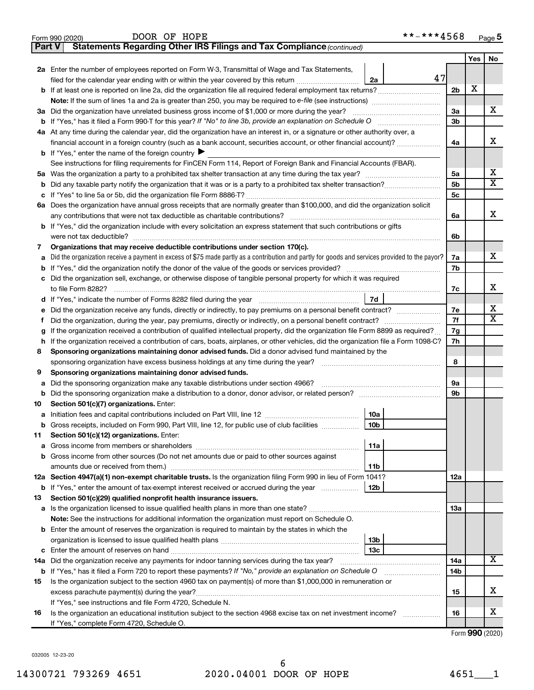| Part V | Statements Regarding Other IRS Filings and Tax Compliance (continued)                                                                                                         |                |     |    |
|--------|-------------------------------------------------------------------------------------------------------------------------------------------------------------------------------|----------------|-----|----|
|        |                                                                                                                                                                               |                | Yes | No |
|        | 2a Enter the number of employees reported on Form W-3, Transmittal of Wage and Tax Statements,                                                                                |                |     |    |
|        | 47<br>filed for the calendar year ending with or within the year covered by this return<br>2a                                                                                 |                |     |    |
|        |                                                                                                                                                                               | 2 <sub>b</sub> | X   |    |
|        | Note: If the sum of lines 1a and 2a is greater than 250, you may be required to e-file (see instructions) <i></i>                                                             |                |     |    |
|        | 3a Did the organization have unrelated business gross income of \$1,000 or more during the year?                                                                              | За             |     | х  |
| b      |                                                                                                                                                                               | Зb             |     |    |
|        | 4a At any time during the calendar year, did the organization have an interest in, or a signature or other authority over, a                                                  |                |     |    |
|        | financial account in a foreign country (such as a bank account, securities account, or other financial account)?                                                              | 4a             |     | x  |
|        | <b>b</b> If "Yes," enter the name of the foreign country ▶                                                                                                                    |                |     |    |
|        | See instructions for filing requirements for FinCEN Form 114, Report of Foreign Bank and Financial Accounts (FBAR).                                                           |                |     |    |
| 5a     |                                                                                                                                                                               | 5a             |     | х  |
| b      |                                                                                                                                                                               | 5b             |     | X  |
| с      |                                                                                                                                                                               | 5c             |     |    |
|        | 6a Does the organization have annual gross receipts that are normally greater than \$100,000, and did the organization solicit                                                |                |     |    |
|        |                                                                                                                                                                               | 6a             |     | x  |
|        | <b>b</b> If "Yes," did the organization include with every solicitation an express statement that such contributions or gifts                                                 |                |     |    |
|        |                                                                                                                                                                               | 6b             |     |    |
| 7      | Organizations that may receive deductible contributions under section 170(c).                                                                                                 |                |     |    |
| а      | Did the organization receive a payment in excess of \$75 made partly as a contribution and partly for goods and services provided to the payor?                               | 7a             |     | x  |
| b      |                                                                                                                                                                               | 7b             |     |    |
|        | c Did the organization sell, exchange, or otherwise dispose of tangible personal property for which it was required                                                           |                |     |    |
|        |                                                                                                                                                                               | 7c             |     | х  |
|        | 7d                                                                                                                                                                            |                |     |    |
| е      | Did the organization receive any funds, directly or indirectly, to pay premiums on a personal benefit contract?                                                               | 7е             |     | х  |
| f.     |                                                                                                                                                                               | 7f             |     | X  |
| g      | If the organization received a contribution of qualified intellectual property, did the organization file Form 8899 as required?                                              | 7g             |     |    |
| h      | If the organization received a contribution of cars, boats, airplanes, or other vehicles, did the organization file a Form 1098-C?                                            | 7h             |     |    |
| 8      | Sponsoring organizations maintaining donor advised funds. Did a donor advised fund maintained by the                                                                          |                |     |    |
|        |                                                                                                                                                                               | 8              |     |    |
| 9      | Sponsoring organizations maintaining donor advised funds.                                                                                                                     |                |     |    |
| а      | Did the sponsoring organization make any taxable distributions under section 4966?                                                                                            | 9а             |     |    |
| b      |                                                                                                                                                                               | 9b             |     |    |
| 10     | Section 501(c)(7) organizations. Enter:                                                                                                                                       |                |     |    |
| а      | 10a                                                                                                                                                                           |                |     |    |
|        | 10 <sub>b</sub><br>b Gross receipts, included on Form 990, Part VIII, line 12, for public use of club facilities                                                              |                |     |    |
| 11     | Section 501(c)(12) organizations. Enter:                                                                                                                                      |                |     |    |
| а      | 11a                                                                                                                                                                           |                |     |    |
|        | b Gross income from other sources (Do not net amounts due or paid to other sources against                                                                                    |                |     |    |
|        | 11b                                                                                                                                                                           |                |     |    |
|        | 12a Section 4947(a)(1) non-exempt charitable trusts. Is the organization filing Form 990 in lieu of Form 1041?                                                                | 12a            |     |    |
|        | <b>b</b> If "Yes," enter the amount of tax-exempt interest received or accrued during the year<br>12b                                                                         |                |     |    |
| 13     | Section 501(c)(29) qualified nonprofit health insurance issuers.                                                                                                              |                |     |    |
| а      | Is the organization licensed to issue qualified health plans in more than one state?                                                                                          | 13a            |     |    |
|        | Note: See the instructions for additional information the organization must report on Schedule O.                                                                             |                |     |    |
|        | <b>b</b> Enter the amount of reserves the organization is required to maintain by the states in which the                                                                     |                |     |    |
|        | 13b                                                                                                                                                                           |                |     |    |
| с      | 13 <sub>c</sub>                                                                                                                                                               |                |     | x  |
| 14a    | Did the organization receive any payments for indoor tanning services during the tax year?                                                                                    | 14a            |     |    |
| b      | If "Yes," has it filed a Form 720 to report these payments? If "No," provide an explanation on Schedule O                                                                     | 14b            |     |    |
| 15     | Is the organization subject to the section 4960 tax on payment(s) of more than \$1,000,000 in remuneration or                                                                 |                |     | x  |
|        |                                                                                                                                                                               | 15             |     |    |
| 16     | If "Yes," see instructions and file Form 4720, Schedule N.<br>Is the organization an educational institution subject to the section 4968 excise tax on net investment income? | 16             |     | х  |
|        | If "Yes," complete Form 4720, Schedule O.                                                                                                                                     |                |     |    |
|        |                                                                                                                                                                               |                |     |    |

Form 990 (2020) DOOR OF HOPE \* \* – \* \* \* 4 5 6 8 <sub>Page</sub>

Form (2020) **990**

**5**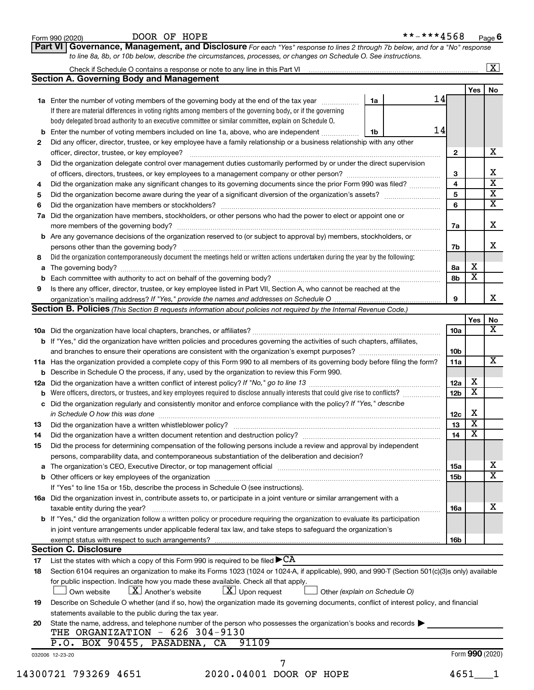|        | DOOR OF HOPE<br>Form 990 (2020)                                                                                                                                                                                                                 |    | **-***4568 |                        |                 | Page 6                  |
|--------|-------------------------------------------------------------------------------------------------------------------------------------------------------------------------------------------------------------------------------------------------|----|------------|------------------------|-----------------|-------------------------|
|        | Part VI Governance, Management, and Disclosure For each "Yes" response to lines 2 through 7b below, and for a "No" response<br>to line 8a, 8b, or 10b below, describe the circumstances, processes, or changes on Schedule O. See instructions. |    |            |                        |                 |                         |
|        |                                                                                                                                                                                                                                                 |    |            |                        |                 | $\overline{\mathbf{x}}$ |
|        | <b>Section A. Governing Body and Management</b>                                                                                                                                                                                                 |    |            |                        |                 |                         |
|        |                                                                                                                                                                                                                                                 |    | 14         |                        | Yes             | No                      |
|        | <b>1a</b> Enter the number of voting members of the governing body at the end of the tax year<br>If there are material differences in voting rights among members of the governing body, or if the governing                                    | 1a |            |                        |                 |                         |
|        | body delegated broad authority to an executive committee or similar committee, explain on Schedule O.                                                                                                                                           |    |            |                        |                 |                         |
|        | <b>b</b> Enter the number of voting members included on line 1a, above, who are independent                                                                                                                                                     | 1b | 14         |                        |                 |                         |
| 2      | Did any officer, director, trustee, or key employee have a family relationship or a business relationship with any other                                                                                                                        |    |            |                        |                 | х                       |
|        | Did the organization delegate control over management duties customarily performed by or under the direct supervision                                                                                                                           |    |            | 2                      |                 |                         |
| 3      |                                                                                                                                                                                                                                                 |    |            | 3                      |                 |                         |
| 4      | Did the organization make any significant changes to its governing documents since the prior Form 990 was filed?                                                                                                                                |    |            | 4                      |                 |                         |
| 5      |                                                                                                                                                                                                                                                 |    |            | 5                      |                 |                         |
| 6      |                                                                                                                                                                                                                                                 |    |            | 6                      |                 | $\overline{\mathbf{X}}$ |
| 7a     | Did the organization have members, stockholders, or other persons who had the power to elect or appoint one or                                                                                                                                  |    |            |                        |                 |                         |
|        | more members of the governing body?                                                                                                                                                                                                             |    |            | 7a                     |                 | х                       |
|        | b Are any governance decisions of the organization reserved to (or subject to approval by) members, stockholders, or                                                                                                                            |    |            |                        |                 |                         |
|        | persons other than the governing body?<br>Did the organization contemporaneously document the meetings held or written actions undertaken during the year by the following:                                                                     |    |            | 7b                     |                 | х                       |
| 8<br>a |                                                                                                                                                                                                                                                 |    |            | 8a                     | х               |                         |
|        | <b>b</b> Each committee with authority to act on behalf of the governing body?                                                                                                                                                                  |    |            | 8b                     | х               |                         |
| 9      | Is there any officer, director, trustee, or key employee listed in Part VII, Section A, who cannot be reached at the                                                                                                                            |    |            |                        |                 |                         |
|        |                                                                                                                                                                                                                                                 |    |            | 9                      |                 |                         |
|        | <b>Section B. Policies</b> (This Section B requests information about policies not required by the Internal Revenue Code.)                                                                                                                      |    |            |                        |                 |                         |
|        |                                                                                                                                                                                                                                                 |    |            |                        | Yes             | No                      |
|        |                                                                                                                                                                                                                                                 |    |            | 10a                    |                 |                         |
|        | b If "Yes," did the organization have written policies and procedures governing the activities of such chapters, affiliates,                                                                                                                    |    |            |                        |                 |                         |
|        |                                                                                                                                                                                                                                                 |    |            | 10 <sub>b</sub><br>11a |                 |                         |
|        | 11a Has the organization provided a complete copy of this Form 990 to all members of its governing body before filing the form?<br><b>b</b> Describe in Schedule O the process, if any, used by the organization to review this Form 990.       |    |            |                        |                 |                         |
|        |                                                                                                                                                                                                                                                 |    |            | 12a                    | х               |                         |
|        | <b>b</b> Were officers, directors, or trustees, and key employees required to disclose annually interests that could give rise to conflicts?                                                                                                    |    |            | 12 <sub>b</sub>        | х               |                         |
|        | c Did the organization regularly and consistently monitor and enforce compliance with the policy? If "Yes," describe                                                                                                                            |    |            |                        |                 |                         |
|        | in Schedule O how this was done                                                                                                                                                                                                                 |    |            | 12c                    | х               |                         |
| 13     | Did the organization have a written whistleblower policy?                                                                                                                                                                                       |    |            | 13                     | х               |                         |
| 14     | Did the organization have a written document retention and destruction policy? [11] manufaction in the organization have a written document retention and destruction policy?                                                                   |    |            | 14                     | х               |                         |
| 15     | Did the process for determining compensation of the following persons include a review and approval by independent                                                                                                                              |    |            |                        |                 |                         |
|        | persons, comparability data, and contemporaneous substantiation of the deliberation and decision?                                                                                                                                               |    |            |                        |                 |                         |
|        | a The organization's CEO, Executive Director, or top management official manufactured content of the organization's CEO, Executive Director, or top management official manufactured and the state of the state of the state o                  |    |            | <b>15a</b>             |                 |                         |
|        |                                                                                                                                                                                                                                                 |    |            | 15 <sub>b</sub>        |                 | $\overline{\mathbf{X}}$ |
|        | If "Yes" to line 15a or 15b, describe the process in Schedule O (see instructions).<br>16a Did the organization invest in, contribute assets to, or participate in a joint venture or similar arrangement with a                                |    |            |                        |                 |                         |
|        | taxable entity during the year?                                                                                                                                                                                                                 |    |            | 16a                    |                 | х                       |
|        | b If "Yes," did the organization follow a written policy or procedure requiring the organization to evaluate its participation                                                                                                                  |    |            |                        |                 |                         |
|        | in joint venture arrangements under applicable federal tax law, and take steps to safeguard the organization's                                                                                                                                  |    |            |                        |                 |                         |
|        |                                                                                                                                                                                                                                                 |    |            | 16 <sub>b</sub>        |                 |                         |
|        | <b>Section C. Disclosure</b>                                                                                                                                                                                                                    |    |            |                        |                 |                         |
| 17     | List the states with which a copy of this Form 990 is required to be filed ${\blacktriangleright}{\rm CA}$                                                                                                                                      |    |            |                        |                 |                         |
| 18     | Section 6104 requires an organization to make its Forms 1023 (1024 or 1024-A, if applicable), 990, and 990-T (Section 501(c)(3)s only) available                                                                                                |    |            |                        |                 |                         |
|        | for public inspection. Indicate how you made these available. Check all that apply.                                                                                                                                                             |    |            |                        |                 |                         |
|        | $\lfloor x \rfloor$ Upon request<br>$\lfloor \underline{X} \rfloor$ Another's website<br>Own website<br>Other (explain on Schedule O)                                                                                                           |    |            |                        |                 |                         |
| 19     | Describe on Schedule O whether (and if so, how) the organization made its governing documents, conflict of interest policy, and financial<br>statements available to the public during the tax year.                                            |    |            |                        |                 |                         |
| 20     | State the name, address, and telephone number of the person who possesses the organization's books and records $\blacktriangleright$                                                                                                            |    |            |                        |                 |                         |
|        | THE ORGANIZATION - 626 304-9130                                                                                                                                                                                                                 |    |            |                        |                 |                         |
|        | P.O. BOX 90455, PASADENA, CA<br>91109                                                                                                                                                                                                           |    |            |                        |                 |                         |
|        | 032006 12-23-20                                                                                                                                                                                                                                 |    |            |                        | Form 990 (2020) |                         |
|        |                                                                                                                                                                                                                                                 |    |            |                        |                 |                         |
|        | 14300721 793269 4651<br>2020.04001 DOOR OF HOPE                                                                                                                                                                                                 |    |            | 4651                   |                 |                         |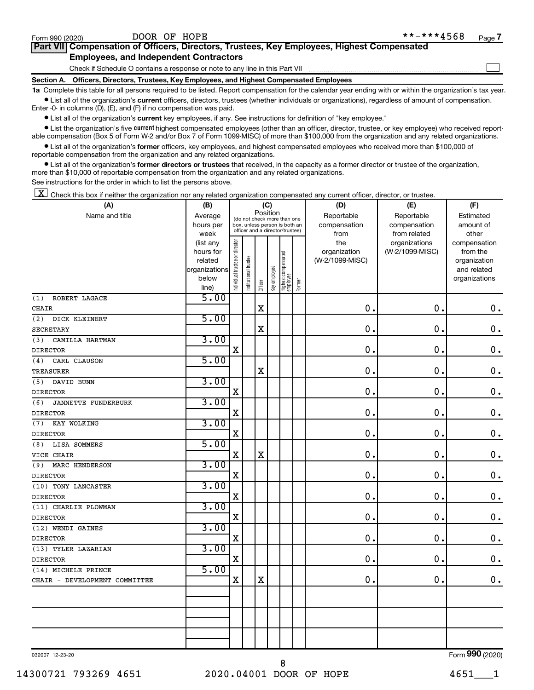$\Box$ 

| Part VII Compensation of Officers, Directors, Trustees, Key Employees, Highest Compensated |  |  |
|--------------------------------------------------------------------------------------------|--|--|
| <b>Employees, and Independent Contractors</b>                                              |  |  |

Check if Schedule O contains a response or note to any line in this Part VII

**Section A. Officers, Directors, Trustees, Key Employees, and Highest Compensated Employees**

**1a**  Complete this table for all persons required to be listed. Report compensation for the calendar year ending with or within the organization's tax year.  $\bullet$  List all of the organization's current officers, directors, trustees (whether individuals or organizations), regardless of amount of compensation.

Enter -0- in columns (D), (E), and (F) if no compensation was paid.

**•** List all of the organization's current key employees, if any. See instructions for definition of "key employee."

• List the organization's five *current* highest compensated employees (other than an officer, director, trustee, or key employee) who received reportable compensation (Box 5 of Form W-2 and/or Box 7 of Form 1099-MISC) of more than \$100,000 from the organization and any related organizations.

 $\bullet$  List all of the organization's former officers, key employees, and highest compensated employees who received more than \$100,000 of reportable compensation from the organization and any related organizations.

**•** List all of the organization's former directors or trustees that received, in the capacity as a former director or trustee of the organization, more than \$10,000 of reportable compensation from the organization and any related organizations.

See instructions for the order in which to list the persons above.

 $\boxed{\textbf{X}}$  Check this box if neither the organization nor any related organization compensated any current officer, director, or trustee.

| (A)                               | (B)                    | (C)                           |                                                                  |             |              |                                 |        | (D)                 | (E)                              | (F)                      |
|-----------------------------------|------------------------|-------------------------------|------------------------------------------------------------------|-------------|--------------|---------------------------------|--------|---------------------|----------------------------------|--------------------------|
| Name and title                    | Average                |                               | (do not check more than one                                      | Position    |              |                                 |        | Reportable          | Reportable                       | Estimated                |
|                                   | hours per              |                               | box, unless person is both an<br>officer and a director/trustee) |             |              |                                 |        | compensation        | compensation                     | amount of                |
|                                   | week                   |                               |                                                                  |             |              |                                 |        | from                | from related                     | other                    |
|                                   | (list any<br>hours for |                               |                                                                  |             |              |                                 |        | the<br>organization | organizations<br>(W-2/1099-MISC) | compensation<br>from the |
|                                   | related                |                               |                                                                  |             |              |                                 |        | (W-2/1099-MISC)     |                                  | organization             |
|                                   | organizations          |                               |                                                                  |             |              |                                 |        |                     |                                  | and related              |
|                                   | below                  | ndividual trustee or director | Institutional trustee                                            |             | Key employee | Highest compensated<br>employee |        |                     |                                  | organizations            |
|                                   | line)                  |                               |                                                                  | Officer     |              |                                 | Former |                     |                                  |                          |
| (1)<br>ROBERT LAGACE              | 5.00                   |                               |                                                                  |             |              |                                 |        |                     |                                  |                          |
| <b>CHAIR</b>                      |                        |                               |                                                                  | $\mathbf X$ |              |                                 |        | $\mathbf 0$ .       | $\mathbf 0$ .                    | $\mathbf 0$ .            |
| (2)<br>DICK KLEINERT              | 5.00                   |                               |                                                                  |             |              |                                 |        |                     |                                  |                          |
| SECRETARY                         |                        |                               |                                                                  | X           |              |                                 |        | 0.                  | $\mathbf 0$                      | $\mathbf 0$ .            |
| (3)<br>CAMILLA HARTMAN            | 3.00                   |                               |                                                                  |             |              |                                 |        |                     |                                  |                          |
| <b>DIRECTOR</b>                   |                        | $\mathbf X$                   |                                                                  |             |              |                                 |        | $\mathbf 0$ .       | $\mathbf 0$                      | $\mathbf 0$ .            |
| (4)<br>CARL CLAUSON               | 5.00                   |                               |                                                                  |             |              |                                 |        |                     |                                  |                          |
| TREASURER                         |                        |                               |                                                                  | X           |              |                                 |        | $\mathbf 0$ .       | 0.                               | $\mathbf 0$ .            |
| DAVID BUNN<br>(5)                 | 3.00                   |                               |                                                                  |             |              |                                 |        |                     |                                  |                          |
| <b>DIRECTOR</b>                   |                        | $\mathbf X$                   |                                                                  |             |              |                                 |        | 0.                  | 0.                               | $\mathbf 0$ .            |
| (6)<br><b>JANNETTE FUNDERBURK</b> | 3.00                   |                               |                                                                  |             |              |                                 |        |                     |                                  |                          |
| <b>DIRECTOR</b>                   |                        | X                             |                                                                  |             |              |                                 |        | $\mathbf 0$ .       | $\mathbf 0$ .                    | $\mathbf 0$ .            |
| KAY WOLKING<br>(7)                | 3.00                   |                               |                                                                  |             |              |                                 |        |                     |                                  |                          |
| <b>DIRECTOR</b>                   |                        | X                             |                                                                  |             |              |                                 |        | $\mathbf 0$ .       | 0.                               | $\mathbf 0$ .            |
| LISA SOMMERS<br>(8)               | 5.00                   |                               |                                                                  |             |              |                                 |        |                     |                                  |                          |
| VICE CHAIR                        |                        | X                             |                                                                  | X           |              |                                 |        | $\mathbf 0$ .       | $\mathbf 0$ .                    | $\mathbf 0$ .            |
| MARC HENDERSON<br>(9)             | 3.00                   |                               |                                                                  |             |              |                                 |        |                     |                                  |                          |
| <b>DIRECTOR</b>                   |                        | $\mathbf X$                   |                                                                  |             |              |                                 |        | $\mathbf 0$ .       | $\mathbf 0$ .                    | $\mathbf 0$ .            |
| (10) TONY LANCASTER               | 3.00                   |                               |                                                                  |             |              |                                 |        |                     |                                  |                          |
| <b>DIRECTOR</b>                   |                        | X                             |                                                                  |             |              |                                 |        | $\mathbf 0$ .       | $\mathbf 0$ .                    | $\mathbf 0$ .            |
| (11) CHARLIE PLOWMAN              | 3.00                   |                               |                                                                  |             |              |                                 |        |                     |                                  |                          |
| <b>DIRECTOR</b>                   |                        | $\mathbf X$                   |                                                                  |             |              |                                 |        | $\mathbf{0}$ .      | $\mathbf 0$ .                    | $\mathbf 0$ .            |
| (12) WENDI GAINES                 | 3.00                   |                               |                                                                  |             |              |                                 |        |                     |                                  |                          |
| <b>DIRECTOR</b>                   |                        | X                             |                                                                  |             |              |                                 |        | 0.                  | О.                               | $\mathbf 0$ .            |
| (13) TYLER LAZARIAN               | 3.00                   |                               |                                                                  |             |              |                                 |        |                     |                                  |                          |
| <b>DIRECTOR</b>                   |                        | $\mathbf X$                   |                                                                  |             |              |                                 |        | 0.                  | О.                               | $\mathbf 0$ .            |
| (14) MICHELE PRINCE               | 5.00                   |                               |                                                                  |             |              |                                 |        |                     |                                  |                          |
| CHAIR - DEVELOPMENT COMMITTEE     |                        | $\mathbf x$                   |                                                                  | $\mathbf X$ |              |                                 |        | 0.                  | 0.                               | $\mathbf 0$ .            |
|                                   |                        |                               |                                                                  |             |              |                                 |        |                     |                                  |                          |
|                                   |                        |                               |                                                                  |             |              |                                 |        |                     |                                  |                          |
|                                   |                        |                               |                                                                  |             |              |                                 |        |                     |                                  |                          |
|                                   |                        |                               |                                                                  |             |              |                                 |        |                     |                                  |                          |
|                                   |                        |                               |                                                                  |             |              |                                 |        |                     |                                  |                          |
|                                   |                        |                               |                                                                  |             |              |                                 |        |                     |                                  |                          |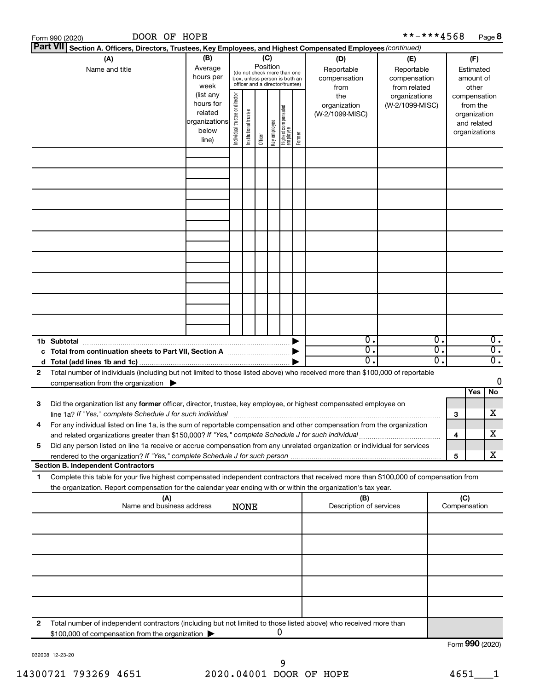|   | DOOR OF HOPE<br>Form 990 (2020)                                                                                                                                                                                                                        |                                                         |                                                                                                                    |                       |         |              |                                         |        |                                                  | **-***4568                                                         |                             |                     |                                                          | Page 8                 |
|---|--------------------------------------------------------------------------------------------------------------------------------------------------------------------------------------------------------------------------------------------------------|---------------------------------------------------------|--------------------------------------------------------------------------------------------------------------------|-----------------------|---------|--------------|-----------------------------------------|--------|--------------------------------------------------|--------------------------------------------------------------------|-----------------------------|---------------------|----------------------------------------------------------|------------------------|
|   | <b>Part VII</b><br>Section A. Officers, Directors, Trustees, Key Employees, and Highest Compensated Employees (continued)                                                                                                                              |                                                         |                                                                                                                    |                       |         |              |                                         |        |                                                  |                                                                    |                             |                     |                                                          |                        |
|   | (A)<br>Name and title                                                                                                                                                                                                                                  | (B)<br>Average<br>hours per<br>week<br>(list any        | (C)<br>Position<br>(do not check more than one<br>box, unless person is both an<br>officer and a director/trustee) |                       |         |              |                                         |        | (D)<br>Reportable<br>compensation<br>from<br>the | (E)<br>Reportable<br>compensation<br>from related<br>organizations |                             |                     | (F)<br>Estimated<br>amount of<br>other<br>compensation   |                        |
|   |                                                                                                                                                                                                                                                        | hours for<br>related<br>organizations<br>below<br>line) | Individual trustee or director                                                                                     | Institutional trustee | Officer | Key employee | <br>  Highest compensated<br>  employee | Former | organization<br>(W-2/1099-MISC)                  | (W-2/1099-MISC)                                                    |                             |                     | from the<br>organization<br>and related<br>organizations |                        |
|   |                                                                                                                                                                                                                                                        |                                                         |                                                                                                                    |                       |         |              |                                         |        |                                                  |                                                                    |                             |                     |                                                          |                        |
|   |                                                                                                                                                                                                                                                        |                                                         |                                                                                                                    |                       |         |              |                                         |        |                                                  |                                                                    |                             |                     |                                                          |                        |
|   |                                                                                                                                                                                                                                                        |                                                         |                                                                                                                    |                       |         |              |                                         |        |                                                  |                                                                    |                             |                     |                                                          |                        |
|   |                                                                                                                                                                                                                                                        |                                                         |                                                                                                                    |                       |         |              |                                         |        |                                                  |                                                                    |                             |                     |                                                          |                        |
|   |                                                                                                                                                                                                                                                        |                                                         |                                                                                                                    |                       |         |              |                                         |        |                                                  |                                                                    |                             |                     |                                                          |                        |
|   |                                                                                                                                                                                                                                                        |                                                         |                                                                                                                    |                       |         |              |                                         |        |                                                  |                                                                    |                             |                     |                                                          |                        |
|   |                                                                                                                                                                                                                                                        |                                                         |                                                                                                                    |                       |         |              |                                         |        |                                                  |                                                                    |                             |                     |                                                          |                        |
|   |                                                                                                                                                                                                                                                        |                                                         |                                                                                                                    |                       |         |              |                                         |        |                                                  |                                                                    |                             |                     |                                                          |                        |
|   |                                                                                                                                                                                                                                                        |                                                         |                                                                                                                    |                       |         |              |                                         |        | 0.                                               |                                                                    | $\overline{0}$ .            |                     |                                                          |                        |
|   | 1b Subtotal                                                                                                                                                                                                                                            |                                                         |                                                                                                                    |                       |         |              |                                         |        | 0.                                               |                                                                    | $\overline{0}$ .            |                     |                                                          | 0.<br>$\overline{0}$ . |
|   |                                                                                                                                                                                                                                                        |                                                         |                                                                                                                    |                       |         |              |                                         |        | о.                                               |                                                                    | $\overline{\mathfrak{o}}$ . |                     |                                                          | $\overline{0}$ .       |
| 2 | Total number of individuals (including but not limited to those listed above) who received more than \$100,000 of reportable<br>compensation from the organization $\blacktriangleright$                                                               |                                                         |                                                                                                                    |                       |         |              |                                         |        |                                                  |                                                                    |                             |                     |                                                          | 0                      |
|   |                                                                                                                                                                                                                                                        |                                                         |                                                                                                                    |                       |         |              |                                         |        |                                                  |                                                                    |                             |                     | Yes                                                      | No                     |
| З | Did the organization list any former officer, director, trustee, key employee, or highest compensated employee on<br>line 1a? If "Yes," complete Schedule J for such individual                                                                        |                                                         |                                                                                                                    |                       |         |              |                                         |        |                                                  |                                                                    |                             | 3                   |                                                          | x                      |
| 4 | For any individual listed on line 1a, is the sum of reportable compensation and other compensation from the organization                                                                                                                               |                                                         |                                                                                                                    |                       |         |              |                                         |        |                                                  |                                                                    |                             | 4                   |                                                          | x                      |
| 5 | Did any person listed on line 1a receive or accrue compensation from any unrelated organization or individual for services                                                                                                                             |                                                         |                                                                                                                    |                       |         |              |                                         |        |                                                  |                                                                    |                             | 5                   |                                                          | x                      |
|   | <b>Section B. Independent Contractors</b>                                                                                                                                                                                                              |                                                         |                                                                                                                    |                       |         |              |                                         |        |                                                  |                                                                    |                             |                     |                                                          |                        |
| 1 | Complete this table for your five highest compensated independent contractors that received more than \$100,000 of compensation from<br>the organization. Report compensation for the calendar year ending with or within the organization's tax year. |                                                         |                                                                                                                    |                       |         |              |                                         |        |                                                  |                                                                    |                             |                     |                                                          |                        |
|   | (A)<br>Name and business address                                                                                                                                                                                                                       |                                                         |                                                                                                                    | <b>NONE</b>           |         |              |                                         |        | (B)<br>Description of services                   |                                                                    |                             | (C)<br>Compensation |                                                          |                        |
|   |                                                                                                                                                                                                                                                        |                                                         |                                                                                                                    |                       |         |              |                                         |        |                                                  |                                                                    |                             |                     |                                                          |                        |
|   |                                                                                                                                                                                                                                                        |                                                         |                                                                                                                    |                       |         |              |                                         |        |                                                  |                                                                    |                             |                     |                                                          |                        |
|   |                                                                                                                                                                                                                                                        |                                                         |                                                                                                                    |                       |         |              |                                         |        |                                                  |                                                                    |                             |                     |                                                          |                        |
|   |                                                                                                                                                                                                                                                        |                                                         |                                                                                                                    |                       |         |              |                                         |        |                                                  |                                                                    |                             |                     |                                                          |                        |
| 2 | Total number of independent contractors (including but not limited to those listed above) who received more than                                                                                                                                       |                                                         |                                                                                                                    |                       |         |              |                                         |        |                                                  |                                                                    |                             |                     |                                                          |                        |
|   | \$100,000 of compensation from the organization                                                                                                                                                                                                        |                                                         |                                                                                                                    |                       |         |              | 0                                       |        |                                                  |                                                                    |                             | Form 990 (2020)     |                                                          |                        |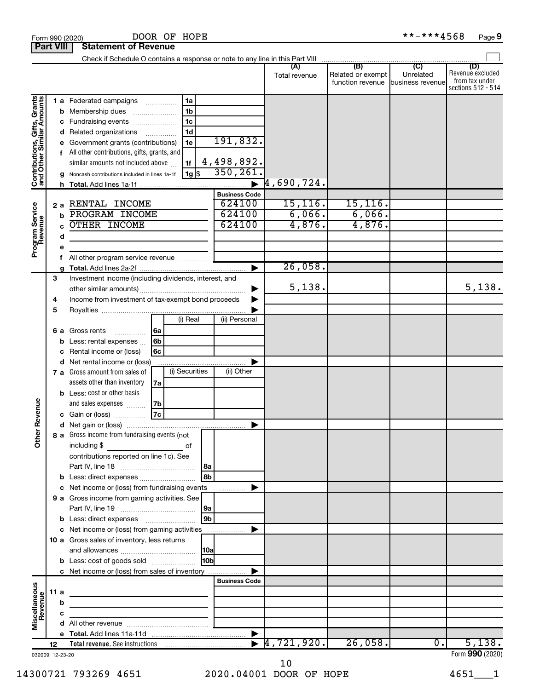| <b>Part VIII</b>                                                                        |             |                                  | <b>Statement of Revenue</b>                                                                                                                                                                                                                                                                                           |                                                                                               |                                                                                 |                                  |                                              |                                               |                                           |
|-----------------------------------------------------------------------------------------|-------------|----------------------------------|-----------------------------------------------------------------------------------------------------------------------------------------------------------------------------------------------------------------------------------------------------------------------------------------------------------------------|-----------------------------------------------------------------------------------------------|---------------------------------------------------------------------------------|----------------------------------|----------------------------------------------|-----------------------------------------------|-------------------------------------------|
|                                                                                         |             |                                  | Check if Schedule O contains a response or note to any line in this Part VIII                                                                                                                                                                                                                                         |                                                                                               |                                                                                 |                                  |                                              |                                               |                                           |
|                                                                                         |             |                                  |                                                                                                                                                                                                                                                                                                                       |                                                                                               |                                                                                 | Total revenue                    | (B)<br>Related or exempt<br>function revenue | $\mathbf{C}$<br>Unrelated<br>business revenue | (D)<br>Revenue excluded<br>from tax under |
| Contributions, Gifts, Grants<br>and Other Similar Amounts<br>Program Service<br>Revenue | 2a          | b<br>с<br>d<br>е<br>g<br>h.<br>b | <b>1 a</b> Federated campaigns<br>Membership dues<br>Fundraising events<br>Related organizations<br>Government grants (contributions)<br>All other contributions, gifts, grants, and<br>similar amounts not included above<br>Noncash contributions included in lines 1a-1f<br>RENTAL INCOME<br><b>PROGRAM INCOME</b> | 1a<br>1 <sub>b</sub><br>1 <sub>c</sub><br>1 <sub>d</sub><br>$\cdots$<br>1e<br>1f<br>$ 1g $ \$ | 191,832.<br>4,498,892.<br>350, 261.<br><b>Business Code</b><br>624100<br>624100 | 4,690,724.<br>15, 116.<br>6,066. | 15, 116.<br>6,066.                           |                                               | sections 512 - 514                        |
|                                                                                         |             | C                                | OTHER INCOME                                                                                                                                                                                                                                                                                                          |                                                                                               | 624100                                                                          | 4,876.                           | 4,876.                                       |                                               |                                           |
|                                                                                         |             | d                                |                                                                                                                                                                                                                                                                                                                       |                                                                                               |                                                                                 |                                  |                                              |                                               |                                           |
|                                                                                         |             | e                                |                                                                                                                                                                                                                                                                                                                       |                                                                                               |                                                                                 |                                  |                                              |                                               |                                           |
|                                                                                         |             | f                                | All other program service revenue                                                                                                                                                                                                                                                                                     |                                                                                               |                                                                                 |                                  |                                              |                                               |                                           |
|                                                                                         |             | a                                |                                                                                                                                                                                                                                                                                                                       |                                                                                               |                                                                                 | 26,058.                          |                                              |                                               |                                           |
|                                                                                         | 3<br>4<br>5 |                                  | Investment income (including dividends, interest, and<br>Income from investment of tax-exempt bond proceeds                                                                                                                                                                                                           |                                                                                               |                                                                                 | 5,138.                           |                                              |                                               | 5,138.                                    |
|                                                                                         |             |                                  |                                                                                                                                                                                                                                                                                                                       | (i) Real                                                                                      | (ii) Personal                                                                   |                                  |                                              |                                               |                                           |
|                                                                                         | 6а          | b<br>с<br>d                      | Gross rents<br>Less: rental expenses<br>Rental income or (loss)<br>Net rental income or (loss)                                                                                                                                                                                                                        | 6a<br>6b<br>6c                                                                                |                                                                                 |                                  |                                              |                                               |                                           |
|                                                                                         |             |                                  | 7 a Gross amount from sales of                                                                                                                                                                                                                                                                                        | (i) Securities                                                                                | (ii) Other                                                                      |                                  |                                              |                                               |                                           |
|                                                                                         |             |                                  | assets other than inventory                                                                                                                                                                                                                                                                                           | 7a                                                                                            |                                                                                 |                                  |                                              |                                               |                                           |
| Revenue                                                                                 |             |                                  | <b>b</b> Less: cost or other basis<br>and sales expenses<br>Gain or (loss)                                                                                                                                                                                                                                            | 7b<br><b>7c</b>                                                                               |                                                                                 |                                  |                                              |                                               |                                           |
|                                                                                         |             |                                  |                                                                                                                                                                                                                                                                                                                       |                                                                                               |                                                                                 |                                  |                                              |                                               |                                           |
| 눎<br>$\check{\bar{\epsilon}}$                                                           |             |                                  | 8 a Gross income from fundraising events (not<br>including \$<br>$\mathcal{L}^{\mathcal{L}}(\mathcal{L}^{\mathcal{L}})$ and $\mathcal{L}^{\mathcal{L}}(\mathcal{L}^{\mathcal{L}})$ and $\mathcal{L}^{\mathcal{L}}(\mathcal{L}^{\mathcal{L}})$<br>contributions reported on line 1c). See                              | οf                                                                                            | 8a                                                                              |                                  |                                              |                                               |                                           |
|                                                                                         |             | b                                | Less: direct expenses                                                                                                                                                                                                                                                                                                 |                                                                                               | 8b                                                                              |                                  |                                              |                                               |                                           |
|                                                                                         |             | с                                | Net income or (loss) from fundraising events                                                                                                                                                                                                                                                                          |                                                                                               |                                                                                 |                                  |                                              |                                               |                                           |
|                                                                                         |             | b                                | 9 a Gross income from gaming activities. See                                                                                                                                                                                                                                                                          |                                                                                               | 9a<br>l 9bl                                                                     |                                  |                                              |                                               |                                           |
|                                                                                         |             |                                  | c Net income or (loss) from gaming activities                                                                                                                                                                                                                                                                         |                                                                                               |                                                                                 |                                  |                                              |                                               |                                           |
|                                                                                         |             |                                  | 10 a Gross sales of inventory, less returns                                                                                                                                                                                                                                                                           |                                                                                               |                                                                                 |                                  |                                              |                                               |                                           |
|                                                                                         |             |                                  | <b>b</b> Less: cost of goods sold                                                                                                                                                                                                                                                                                     |                                                                                               | 10 <sub>b</sub>                                                                 |                                  |                                              |                                               |                                           |
|                                                                                         |             |                                  | c Net income or (loss) from sales of inventory                                                                                                                                                                                                                                                                        |                                                                                               |                                                                                 |                                  |                                              |                                               |                                           |
|                                                                                         |             |                                  |                                                                                                                                                                                                                                                                                                                       |                                                                                               | <b>Business Code</b>                                                            |                                  |                                              |                                               |                                           |
|                                                                                         | 11a         |                                  | the control of the control of the control of the control of the control of                                                                                                                                                                                                                                            |                                                                                               |                                                                                 |                                  |                                              |                                               |                                           |
| Miscellaneous<br>Revenue                                                                |             | b                                |                                                                                                                                                                                                                                                                                                                       |                                                                                               |                                                                                 |                                  |                                              |                                               |                                           |
|                                                                                         |             | с                                |                                                                                                                                                                                                                                                                                                                       |                                                                                               |                                                                                 |                                  |                                              |                                               |                                           |
|                                                                                         |             |                                  |                                                                                                                                                                                                                                                                                                                       |                                                                                               |                                                                                 |                                  |                                              |                                               |                                           |
|                                                                                         | 12          |                                  |                                                                                                                                                                                                                                                                                                                       |                                                                                               |                                                                                 | 4, 721, 920.                     | 26,058.                                      | $\overline{0}$ .                              | 5,138.                                    |
| 032009 12-23-20                                                                         |             |                                  |                                                                                                                                                                                                                                                                                                                       |                                                                                               |                                                                                 |                                  |                                              |                                               | Form 990 (2020)                           |

DOOR OF HOPE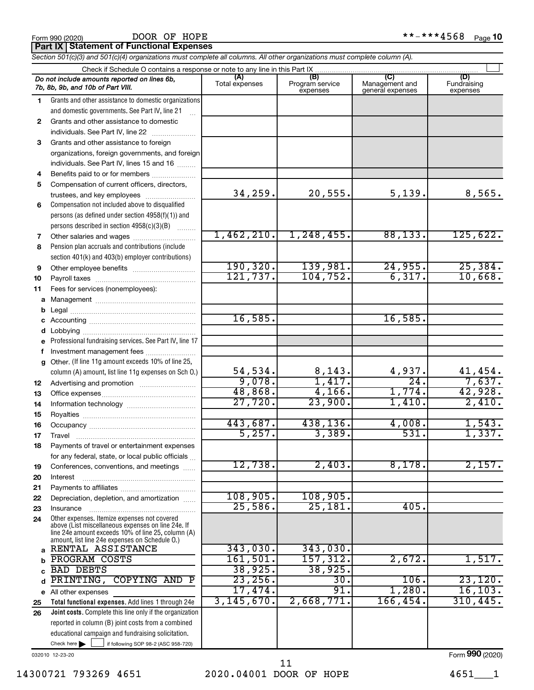#### DOOR OF HOPE

**Part IX Statement of Functional Expenses**

*Section 501(c)(3) and 501(c)(4) organizations must complete all columns. All other organizations must complete column (A).*

|    | Check if Schedule O contains a response or note to any line in this Part IX                                                                                                                                |                       |                                    |                                           |                                |
|----|------------------------------------------------------------------------------------------------------------------------------------------------------------------------------------------------------------|-----------------------|------------------------------------|-------------------------------------------|--------------------------------|
|    | Do not include amounts reported on lines 6b,<br>7b, 8b, 9b, and 10b of Part VIII.                                                                                                                          | (A)<br>Total expenses | (B)<br>Program service<br>expenses | (C)<br>Management and<br>general expenses | (D)<br>Fundraising<br>expenses |
| 1. | Grants and other assistance to domestic organizations                                                                                                                                                      |                       |                                    |                                           |                                |
|    | and domestic governments. See Part IV, line 21                                                                                                                                                             |                       |                                    |                                           |                                |
| 2  | Grants and other assistance to domestic                                                                                                                                                                    |                       |                                    |                                           |                                |
|    | individuals. See Part IV, line 22                                                                                                                                                                          |                       |                                    |                                           |                                |
| 3  | Grants and other assistance to foreign                                                                                                                                                                     |                       |                                    |                                           |                                |
|    | organizations, foreign governments, and foreign                                                                                                                                                            |                       |                                    |                                           |                                |
|    | individuals. See Part IV, lines 15 and 16                                                                                                                                                                  |                       |                                    |                                           |                                |
| 4  | Benefits paid to or for members                                                                                                                                                                            |                       |                                    |                                           |                                |
| 5  | Compensation of current officers, directors,                                                                                                                                                               |                       |                                    |                                           |                                |
|    | trustees, and key employees                                                                                                                                                                                | 34, 259.              | 20,555.                            | 5,139.                                    | 8,565.                         |
| 6  | Compensation not included above to disqualified                                                                                                                                                            |                       |                                    |                                           |                                |
|    | persons (as defined under section 4958(f)(1)) and                                                                                                                                                          |                       |                                    |                                           |                                |
|    | persons described in section 4958(c)(3)(B)                                                                                                                                                                 |                       |                                    |                                           |                                |
| 7  |                                                                                                                                                                                                            | 1,462,210.            | 1, 248, 455.                       | 88, 133.                                  | 125,622.                       |
| 8  | Pension plan accruals and contributions (include                                                                                                                                                           |                       |                                    |                                           |                                |
|    | section 401(k) and 403(b) employer contributions)                                                                                                                                                          |                       |                                    |                                           |                                |
| 9  |                                                                                                                                                                                                            | 190, 320.             | 139,981.                           | 24,955.                                   | 25,384.                        |
| 10 |                                                                                                                                                                                                            | 121,737.              | 104, 752.                          | 6, 317.                                   | 10,668.                        |
| 11 | Fees for services (nonemployees):                                                                                                                                                                          |                       |                                    |                                           |                                |
| a  |                                                                                                                                                                                                            |                       |                                    |                                           |                                |
| b  |                                                                                                                                                                                                            | 16,585.               |                                    | 16,585.                                   |                                |
|    |                                                                                                                                                                                                            |                       |                                    |                                           |                                |
| d  |                                                                                                                                                                                                            |                       |                                    |                                           |                                |
|    | Professional fundraising services. See Part IV, line 17                                                                                                                                                    |                       |                                    |                                           |                                |
| f  | Investment management fees<br>Other. (If line 11g amount exceeds 10% of line 25,                                                                                                                           |                       |                                    |                                           |                                |
| a  | column (A) amount, list line 11g expenses on Sch O.)                                                                                                                                                       | 54,534.               |                                    | 4,937.                                    | 41,454.                        |
| 12 |                                                                                                                                                                                                            | 9,078.                | $\frac{8,143}{1,417}$              | $\overline{24}$                           | 7,637.                         |
| 13 |                                                                                                                                                                                                            | 48,868.               | 4,166.                             | 1,774.                                    | 42,928.                        |
| 14 |                                                                                                                                                                                                            | 27,720.               | 23,900.                            | 1,410.                                    | 2,410.                         |
| 15 |                                                                                                                                                                                                            |                       |                                    |                                           |                                |
| 16 |                                                                                                                                                                                                            | 443,687.              | 438,136.                           | 4,008.                                    | 1,543.                         |
| 17 | Travel                                                                                                                                                                                                     | 5,257.                | 3,389.                             | 531.                                      | 1,337.                         |
| 18 | Payments of travel or entertainment expenses                                                                                                                                                               |                       |                                    |                                           |                                |
|    | for any federal, state, or local public officials                                                                                                                                                          |                       |                                    |                                           |                                |
| 19 | Conferences, conventions, and meetings                                                                                                                                                                     | 12,738.               | 2,403.                             | 8,178.                                    | 2,157.                         |
| 20 | Interest                                                                                                                                                                                                   |                       |                                    |                                           |                                |
| 21 |                                                                                                                                                                                                            |                       |                                    |                                           |                                |
| 22 | Depreciation, depletion, and amortization                                                                                                                                                                  | 108,905.              | 108,905.                           |                                           |                                |
| 23 | Insurance                                                                                                                                                                                                  | 25,586.               | 25,181                             | 405.                                      |                                |
| 24 | Other expenses. Itemize expenses not covered<br>above (List miscellaneous expenses on line 24e. If<br>line 24e amount exceeds 10% of line 25, column (A)<br>amount, list line 24e expenses on Schedule O.) |                       |                                    |                                           |                                |
| a  | RENTAL ASSISTANCE                                                                                                                                                                                          | 343,030.              | 343,030.                           |                                           |                                |
| b  | <b>PROGRAM COSTS</b>                                                                                                                                                                                       | 161, 501.             | 157, 312.                          | 2,672.                                    | 1,517.                         |
| C  | <b>BAD DEBTS</b>                                                                                                                                                                                           | 38,925.               | 38,925.                            |                                           |                                |
| d  | PRINTING,<br><b>COPYING AND</b><br>$\mathbf{P}$                                                                                                                                                            | 23,256.               | 30.                                | 106.                                      | 23,120.                        |
|    | e All other expenses                                                                                                                                                                                       | 17,474.               | 91.                                | 1,280.                                    | 16, 103.                       |
| 25 | Total functional expenses. Add lines 1 through 24e                                                                                                                                                         | 3, 145, 670.          | 2,668,771.                         | 166, 454.                                 | 310, 445.                      |
| 26 | Joint costs. Complete this line only if the organization                                                                                                                                                   |                       |                                    |                                           |                                |
|    | reported in column (B) joint costs from a combined                                                                                                                                                         |                       |                                    |                                           |                                |
|    | educational campaign and fundraising solicitation.                                                                                                                                                         |                       |                                    |                                           |                                |
|    | Check here $\blacktriangleright$<br>if following SOP 98-2 (ASC 958-720)                                                                                                                                    |                       |                                    |                                           |                                |

032010 12-23-20

Form (2020) **990**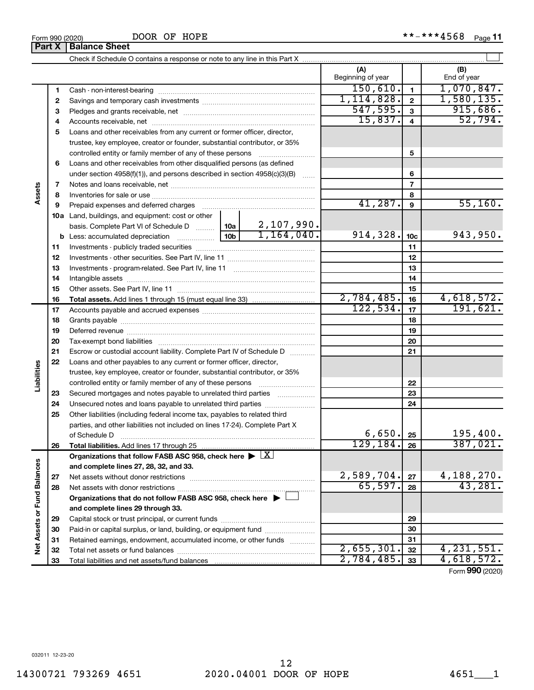DOOR OF HOPE

|                             | Part X | <b>Balance Sheet</b>                                                                                                                                                                                                          |  |                          |                         |                              |
|-----------------------------|--------|-------------------------------------------------------------------------------------------------------------------------------------------------------------------------------------------------------------------------------|--|--------------------------|-------------------------|------------------------------|
|                             |        |                                                                                                                                                                                                                               |  |                          |                         |                              |
|                             |        |                                                                                                                                                                                                                               |  | (A)<br>Beginning of year |                         | (B)<br>End of year           |
|                             | 1      |                                                                                                                                                                                                                               |  | 150, 610.                | $\mathbf{1}$            | 1,070,847.                   |
|                             | 2      |                                                                                                                                                                                                                               |  | 1, 114, 828.             | $\overline{2}$          | 1,580,135.                   |
|                             | з      |                                                                                                                                                                                                                               |  | 547,595.                 | $\mathbf{3}$            | 915,686.                     |
|                             | 4      |                                                                                                                                                                                                                               |  | 15,837.                  | $\overline{\mathbf{4}}$ | 52,794.                      |
|                             | 5      | Loans and other receivables from any current or former officer, director,                                                                                                                                                     |  |                          |                         |                              |
|                             |        | trustee, key employee, creator or founder, substantial contributor, or 35%                                                                                                                                                    |  |                          |                         |                              |
|                             |        | controlled entity or family member of any of these persons                                                                                                                                                                    |  |                          | 5                       |                              |
|                             | 6      | Loans and other receivables from other disqualified persons (as defined                                                                                                                                                       |  |                          |                         |                              |
|                             |        | under section 4958(f)(1)), and persons described in section 4958(c)(3)(B)                                                                                                                                                     |  |                          | 6                       |                              |
|                             | 7      |                                                                                                                                                                                                                               |  | $\overline{7}$           |                         |                              |
| Assets                      | 8      |                                                                                                                                                                                                                               |  |                          | 8                       |                              |
|                             | 9      | Prepaid expenses and deferred charges [11] [11] Prepaid expenses and deferred charges [11] [11] Martin Marian Marian Marian Marian Marian Marian Marian Marian Marian Marian Marian Marian Marian Marian Marian Marian Marian |  | 41,287.                  | 9                       | 55, 160.                     |
|                             |        | 10a Land, buildings, and equipment: cost or other                                                                                                                                                                             |  |                          |                         |                              |
|                             |        | basis. Complete Part VI of Schedule D    10a   2, 107, 990.                                                                                                                                                                   |  |                          |                         |                              |
|                             |        |                                                                                                                                                                                                                               |  | 914,328.                 | 10 <sub>c</sub>         | 943,950.                     |
|                             | 11     |                                                                                                                                                                                                                               |  |                          | 11                      |                              |
|                             | 12     |                                                                                                                                                                                                                               |  |                          | 12                      |                              |
|                             | 13     |                                                                                                                                                                                                                               |  | 13                       |                         |                              |
|                             | 14     |                                                                                                                                                                                                                               |  | 14                       |                         |                              |
|                             | 15     |                                                                                                                                                                                                                               |  |                          | 15                      |                              |
|                             | 16     |                                                                                                                                                                                                                               |  | 2,784,485.               | 16                      | 4,618,572.                   |
|                             | 17     |                                                                                                                                                                                                                               |  | 122,534.                 | 17                      | 191,621.                     |
|                             | 18     |                                                                                                                                                                                                                               |  | 18                       |                         |                              |
|                             | 19     |                                                                                                                                                                                                                               |  |                          | 19                      |                              |
|                             | 20     |                                                                                                                                                                                                                               |  |                          | 20                      |                              |
|                             | 21     | Escrow or custodial account liability. Complete Part IV of Schedule D                                                                                                                                                         |  |                          | 21                      |                              |
|                             | 22     | Loans and other payables to any current or former officer, director,                                                                                                                                                          |  |                          |                         |                              |
|                             |        | trustee, key employee, creator or founder, substantial contributor, or 35%                                                                                                                                                    |  |                          |                         |                              |
| Liabilities                 |        | controlled entity or family member of any of these persons                                                                                                                                                                    |  |                          | 22                      |                              |
|                             | 23     | Secured mortgages and notes payable to unrelated third parties                                                                                                                                                                |  |                          | 23                      |                              |
|                             | 24     |                                                                                                                                                                                                                               |  |                          | 24                      |                              |
|                             | 25     | Other liabilities (including federal income tax, payables to related third                                                                                                                                                    |  |                          |                         |                              |
|                             |        | parties, and other liabilities not included on lines 17-24). Complete Part X                                                                                                                                                  |  |                          |                         |                              |
|                             |        | of Schedule D                                                                                                                                                                                                                 |  | 6,650.                   | 25                      | 195,400.                     |
|                             | 26     | Total liabilities. Add lines 17 through 25                                                                                                                                                                                    |  | 129, 184.                | 26                      | 387,021.                     |
|                             |        | Organizations that follow FASB ASC 958, check here $\blacktriangleright \boxed{X}$                                                                                                                                            |  |                          |                         |                              |
|                             |        | and complete lines 27, 28, 32, and 33.                                                                                                                                                                                        |  |                          |                         |                              |
|                             | 27     | Net assets without donor restrictions                                                                                                                                                                                         |  | 2,589,704.               | 27                      | $\frac{4,188,270.}{43,281.}$ |
|                             | 28     |                                                                                                                                                                                                                               |  | 65,597.                  | 28                      |                              |
|                             |        | Organizations that do not follow FASB ASC 958, check here $\blacktriangleright$                                                                                                                                               |  |                          |                         |                              |
|                             |        | and complete lines 29 through 33.                                                                                                                                                                                             |  |                          |                         |                              |
| Net Assets or Fund Balances | 29     |                                                                                                                                                                                                                               |  |                          | 29                      |                              |
|                             | 30     | Paid-in or capital surplus, or land, building, or equipment fund                                                                                                                                                              |  |                          | 30                      |                              |
|                             | 31     | Retained earnings, endowment, accumulated income, or other funds                                                                                                                                                              |  |                          | 31                      |                              |
|                             | 32     |                                                                                                                                                                                                                               |  | 2,655,301.               | 32                      | 4, 231, 551.                 |
|                             | 33     |                                                                                                                                                                                                                               |  | 2,784,485.               | 33                      | 4,618,572.                   |

Form (2020) **990**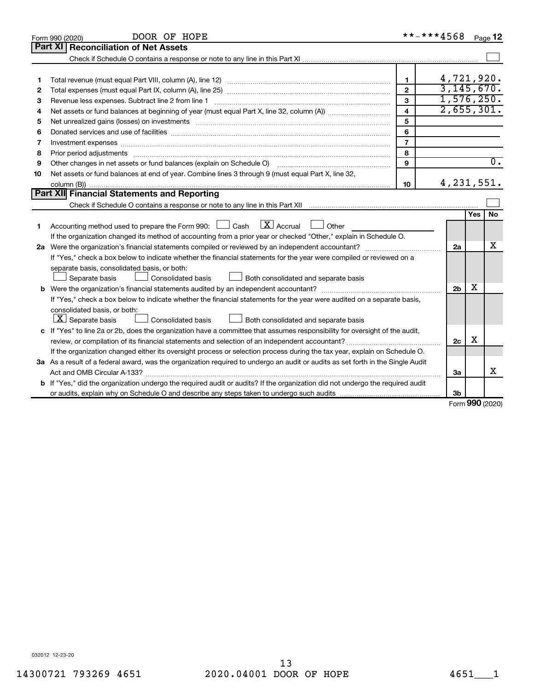|    | DOOR OF HOPE<br>Form 990 (2020)                                                                                                 | **-***4568     |                |     | Page 12          |
|----|---------------------------------------------------------------------------------------------------------------------------------|----------------|----------------|-----|------------------|
|    | Part XI<br><b>Reconciliation of Net Assets</b>                                                                                  |                |                |     |                  |
|    |                                                                                                                                 |                |                |     |                  |
|    |                                                                                                                                 |                |                |     |                  |
| 1  |                                                                                                                                 | $\mathbf{1}$   | 4,721,920.     |     |                  |
| 2  |                                                                                                                                 | $\mathfrak{p}$ | 3,145,670.     |     |                  |
| З  | Revenue less expenses. Subtract line 2 from line 1                                                                              | 3              | 1,576,250.     |     |                  |
| 4  |                                                                                                                                 | $\overline{4}$ | 2,655,301.     |     |                  |
| 5  |                                                                                                                                 | 5              |                |     |                  |
| 6  |                                                                                                                                 | 6              |                |     |                  |
| 7  | Investment expenses www.communication.com/www.communication.com/www.communication.com/www.com                                   | $\overline{7}$ |                |     |                  |
| 8  | Prior period adjustments www.communication.communication.communication.com/                                                     | 8              |                |     |                  |
| 9  | Other changes in net assets or fund balances (explain on Schedule O)                                                            | 9              |                |     | $\overline{0}$ . |
| 10 | Net assets or fund balances at end of year. Combine lines 3 through 9 (must equal Part X, line 32,                              |                |                |     |                  |
|    |                                                                                                                                 | 10             | 4, 231, 551.   |     |                  |
|    | Part XII Financial Statements and Reporting                                                                                     |                |                |     |                  |
|    |                                                                                                                                 |                |                |     |                  |
|    |                                                                                                                                 |                |                | Yes | <b>No</b>        |
| 1  | $\boxed{\text{X}}$ Accrual<br>Accounting method used to prepare the Form 990: [130] Cash<br>$\Box$ Other                        |                |                |     |                  |
|    | If the organization changed its method of accounting from a prior year or checked "Other," explain in Schedule O.               |                |                |     |                  |
|    |                                                                                                                                 |                | 2a             |     | x                |
|    | If "Yes," check a box below to indicate whether the financial statements for the year were compiled or reviewed on a            |                |                |     |                  |
|    | separate basis, consolidated basis, or both:                                                                                    |                |                |     |                  |
|    | Both consolidated and separate basis<br>Separate basis<br>Consolidated basis                                                    |                |                |     |                  |
|    |                                                                                                                                 |                | 2 <sub>b</sub> | X   |                  |
|    | If "Yes," check a box below to indicate whether the financial statements for the year were audited on a separate basis,         |                |                |     |                  |
|    | consolidated basis, or both:                                                                                                    |                |                |     |                  |
|    | $\lfloor \underline{X} \rfloor$ Separate basis<br>Consolidated basis<br>Both consolidated and separate basis                    |                |                |     |                  |
|    | c If "Yes" to line 2a or 2b, does the organization have a committee that assumes responsibility for oversight of the audit,     |                |                |     |                  |
|    |                                                                                                                                 |                | 2c             | х   |                  |
|    | If the organization changed either its oversight process or selection process during the tax year, explain on Schedule O.       |                |                |     |                  |
|    | 3a As a result of a federal award, was the organization required to undergo an audit or audits as set forth in the Single Audit |                |                |     |                  |
|    |                                                                                                                                 |                | 3a             |     | х                |
|    | b If "Yes," did the organization undergo the required audit or audits? If the organization did not undergo the required audit   |                |                |     |                  |
|    |                                                                                                                                 |                | 3b             |     |                  |

Form (2020) **990**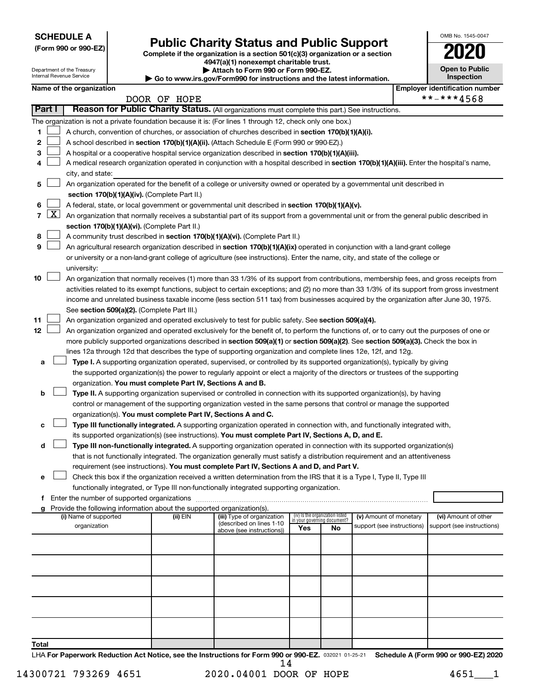**SCHEDULE A**

Department of the Treasury

# Form 990 or 990-EZ) **Public Charity Status and Public Support**<br>
Complete if the organization is a section 501(c)(3) organization or a section<br> **2020**

**4947(a)(1) nonexempt charitable trust.**

**| Attach to Form 990 or Form 990-EZ. | Go to www.irs.gov/Form990 for instructions and the latest information.**

| <b>Open to Public</b><br>Inspection |
|-------------------------------------|
| er identification numbe             |

OMB No. 1545-0047

|                |                     | Internal Revenue Service              |                                                                        | <b>AUGUI IV LUI 11 230 01 LUI 11 330</b><br>Go to www.irs.gov/Form990 for instructions and the latest information.                           |     |                                                                |                                                      |  | Inspection                                         |
|----------------|---------------------|---------------------------------------|------------------------------------------------------------------------|----------------------------------------------------------------------------------------------------------------------------------------------|-----|----------------------------------------------------------------|------------------------------------------------------|--|----------------------------------------------------|
|                |                     | Name of the organization              |                                                                        |                                                                                                                                              |     |                                                                |                                                      |  | <b>Employer identification number</b>              |
|                |                     |                                       | DOOR OF HOPE                                                           |                                                                                                                                              |     |                                                                |                                                      |  | **-***4568                                         |
|                | Part I              |                                       |                                                                        | Reason for Public Charity Status. (All organizations must complete this part.) See instructions.                                             |     |                                                                |                                                      |  |                                                    |
|                |                     |                                       |                                                                        | The organization is not a private foundation because it is: (For lines 1 through 12, check only one box.)                                    |     |                                                                |                                                      |  |                                                    |
| 1              |                     |                                       |                                                                        | A church, convention of churches, or association of churches described in section 170(b)(1)(A)(i).                                           |     |                                                                |                                                      |  |                                                    |
| 2              |                     |                                       |                                                                        | A school described in section 170(b)(1)(A)(ii). (Attach Schedule E (Form 990 or 990-EZ).)                                                    |     |                                                                |                                                      |  |                                                    |
| 3              |                     |                                       |                                                                        | A hospital or a cooperative hospital service organization described in section 170(b)(1)(A)(iii).                                            |     |                                                                |                                                      |  |                                                    |
| 4              |                     |                                       |                                                                        | A medical research organization operated in conjunction with a hospital described in section 170(b)(1)(A)(iii). Enter the hospital's name,   |     |                                                                |                                                      |  |                                                    |
|                |                     | city, and state:                      |                                                                        |                                                                                                                                              |     |                                                                |                                                      |  |                                                    |
| 5              |                     |                                       |                                                                        | An organization operated for the benefit of a college or university owned or operated by a governmental unit described in                    |     |                                                                |                                                      |  |                                                    |
|                |                     |                                       | section 170(b)(1)(A)(iv). (Complete Part II.)                          |                                                                                                                                              |     |                                                                |                                                      |  |                                                    |
| 6              | $\lfloor x \rfloor$ |                                       |                                                                        | A federal, state, or local government or governmental unit described in section 170(b)(1)(A)(v).                                             |     |                                                                |                                                      |  |                                                    |
| $\overline{7}$ |                     |                                       |                                                                        | An organization that normally receives a substantial part of its support from a governmental unit or from the general public described in    |     |                                                                |                                                      |  |                                                    |
| 8              |                     |                                       | section 170(b)(1)(A)(vi). (Complete Part II.)                          | A community trust described in section 170(b)(1)(A)(vi). (Complete Part II.)                                                                 |     |                                                                |                                                      |  |                                                    |
| 9              |                     |                                       |                                                                        | An agricultural research organization described in section 170(b)(1)(A)(ix) operated in conjunction with a land-grant college                |     |                                                                |                                                      |  |                                                    |
|                |                     |                                       |                                                                        | or university or a non-land-grant college of agriculture (see instructions). Enter the name, city, and state of the college or               |     |                                                                |                                                      |  |                                                    |
|                |                     | university:                           |                                                                        |                                                                                                                                              |     |                                                                |                                                      |  |                                                    |
| 10             |                     |                                       |                                                                        | An organization that normally receives (1) more than 33 1/3% of its support from contributions, membership fees, and gross receipts from     |     |                                                                |                                                      |  |                                                    |
|                |                     |                                       |                                                                        | activities related to its exempt functions, subject to certain exceptions; and (2) no more than 33 1/3% of its support from gross investment |     |                                                                |                                                      |  |                                                    |
|                |                     |                                       |                                                                        | income and unrelated business taxable income (less section 511 tax) from businesses acquired by the organization after June 30, 1975.        |     |                                                                |                                                      |  |                                                    |
|                |                     |                                       | See section 509(a)(2). (Complete Part III.)                            |                                                                                                                                              |     |                                                                |                                                      |  |                                                    |
| 11             |                     |                                       |                                                                        | An organization organized and operated exclusively to test for public safety. See section 509(a)(4).                                         |     |                                                                |                                                      |  |                                                    |
| 12             |                     |                                       |                                                                        | An organization organized and operated exclusively for the benefit of, to perform the functions of, or to carry out the purposes of one or   |     |                                                                |                                                      |  |                                                    |
|                |                     |                                       |                                                                        | more publicly supported organizations described in section 509(a)(1) or section 509(a)(2). See section 509(a)(3). Check the box in           |     |                                                                |                                                      |  |                                                    |
|                |                     |                                       |                                                                        | lines 12a through 12d that describes the type of supporting organization and complete lines 12e, 12f, and 12g.                               |     |                                                                |                                                      |  |                                                    |
| а              |                     |                                       |                                                                        | Type I. A supporting organization operated, supervised, or controlled by its supported organization(s), typically by giving                  |     |                                                                |                                                      |  |                                                    |
|                |                     |                                       |                                                                        | the supported organization(s) the power to regularly appoint or elect a majority of the directors or trustees of the supporting              |     |                                                                |                                                      |  |                                                    |
|                |                     |                                       | organization. You must complete Part IV, Sections A and B.             |                                                                                                                                              |     |                                                                |                                                      |  |                                                    |
| b              |                     |                                       |                                                                        | Type II. A supporting organization supervised or controlled in connection with its supported organization(s), by having                      |     |                                                                |                                                      |  |                                                    |
|                |                     |                                       | organization(s). You must complete Part IV, Sections A and C.          | control or management of the supporting organization vested in the same persons that control or manage the supported                         |     |                                                                |                                                      |  |                                                    |
| с              |                     |                                       |                                                                        | Type III functionally integrated. A supporting organization operated in connection with, and functionally integrated with,                   |     |                                                                |                                                      |  |                                                    |
|                |                     |                                       |                                                                        | its supported organization(s) (see instructions). You must complete Part IV, Sections A, D, and E.                                           |     |                                                                |                                                      |  |                                                    |
| d              |                     |                                       |                                                                        | Type III non-functionally integrated. A supporting organization operated in connection with its supported organization(s)                    |     |                                                                |                                                      |  |                                                    |
|                |                     |                                       |                                                                        | that is not functionally integrated. The organization generally must satisfy a distribution requirement and an attentiveness                 |     |                                                                |                                                      |  |                                                    |
|                |                     |                                       |                                                                        | requirement (see instructions). You must complete Part IV, Sections A and D, and Part V.                                                     |     |                                                                |                                                      |  |                                                    |
| е              |                     |                                       |                                                                        | Check this box if the organization received a written determination from the IRS that it is a Type I, Type II, Type III                      |     |                                                                |                                                      |  |                                                    |
|                |                     |                                       |                                                                        | functionally integrated, or Type III non-functionally integrated supporting organization.                                                    |     |                                                                |                                                      |  |                                                    |
|                |                     |                                       |                                                                        |                                                                                                                                              |     |                                                                |                                                      |  |                                                    |
| g              |                     |                                       | Provide the following information about the supported organization(s). |                                                                                                                                              |     |                                                                |                                                      |  |                                                    |
|                |                     | (i) Name of supported<br>organization | (ii) EIN                                                               | (iii) Type of organization<br>(described on lines 1-10                                                                                       |     | (iv) Is the organization listed<br>in your governing document? | (v) Amount of monetary<br>support (see instructions) |  | (vi) Amount of other<br>support (see instructions) |
|                |                     |                                       |                                                                        | above (see instructions))                                                                                                                    | Yes | No                                                             |                                                      |  |                                                    |
|                |                     |                                       |                                                                        |                                                                                                                                              |     |                                                                |                                                      |  |                                                    |
|                |                     |                                       |                                                                        |                                                                                                                                              |     |                                                                |                                                      |  |                                                    |
|                |                     |                                       |                                                                        |                                                                                                                                              |     |                                                                |                                                      |  |                                                    |
|                |                     |                                       |                                                                        |                                                                                                                                              |     |                                                                |                                                      |  |                                                    |
|                |                     |                                       |                                                                        |                                                                                                                                              |     |                                                                |                                                      |  |                                                    |
|                |                     |                                       |                                                                        |                                                                                                                                              |     |                                                                |                                                      |  |                                                    |
|                |                     |                                       |                                                                        |                                                                                                                                              |     |                                                                |                                                      |  |                                                    |
|                |                     |                                       |                                                                        |                                                                                                                                              |     |                                                                |                                                      |  |                                                    |
|                |                     |                                       |                                                                        |                                                                                                                                              |     |                                                                |                                                      |  |                                                    |
| Total          |                     |                                       |                                                                        |                                                                                                                                              |     |                                                                |                                                      |  |                                                    |

LHA For Paperwork Reduction Act Notice, see the Instructions for Form 990 or 990-EZ. 032021 01-25-21 Schedule A (Form 990 or 990-EZ) 2020 14

14300721 793269 4651 2020.04001 DOOR OF HOPE 4651 1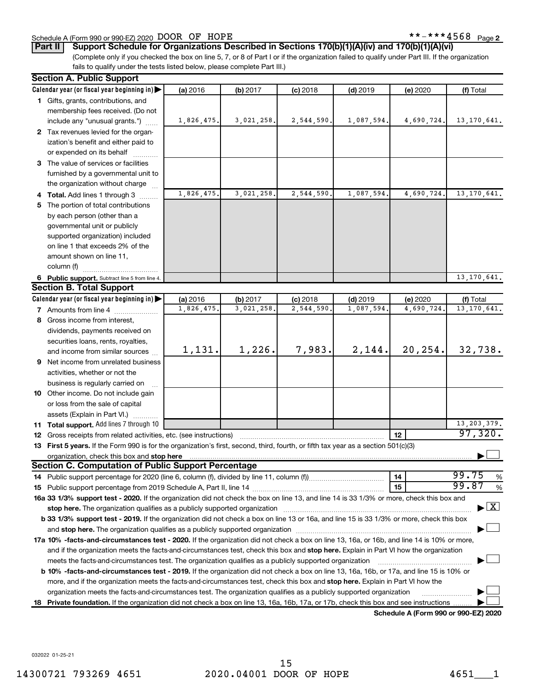#### Schedule A (Form 990 or 990-EZ) 2020 DOOR OF HOPE  $***-*+**4568$  Page

**Part II Support Schedule for Organizations Described in Sections 170(b)(1)(A)(iv) and 170(b)(1)(A)(vi)**

(Complete only if you checked the box on line 5, 7, or 8 of Part I or if the organization failed to qualify under Part III. If the organization fails to qualify under the tests listed below, please complete Part III.)

| <b>Section A. Public Support</b>                                                                                                                                                                                                    |            |            |            |                          |                                      |                                    |  |  |  |  |
|-------------------------------------------------------------------------------------------------------------------------------------------------------------------------------------------------------------------------------------|------------|------------|------------|--------------------------|--------------------------------------|------------------------------------|--|--|--|--|
| Calendar year (or fiscal year beginning in)                                                                                                                                                                                         | (a) 2016   | (b) 2017   | $(c)$ 2018 | $(d)$ 2019               | (e) 2020                             | (f) Total                          |  |  |  |  |
| 1 Gifts, grants, contributions, and                                                                                                                                                                                                 |            |            |            |                          |                                      |                                    |  |  |  |  |
| membership fees received. (Do not                                                                                                                                                                                                   |            |            |            |                          |                                      |                                    |  |  |  |  |
| include any "unusual grants.")                                                                                                                                                                                                      | 1,826,475. | 3,021,258. | 2,544,590. | 1,087,594.               | 4,690,724.                           | 13, 170, 641.                      |  |  |  |  |
| 2 Tax revenues levied for the organ-                                                                                                                                                                                                |            |            |            |                          |                                      |                                    |  |  |  |  |
| ization's benefit and either paid to                                                                                                                                                                                                |            |            |            |                          |                                      |                                    |  |  |  |  |
| or expended on its behalf                                                                                                                                                                                                           |            |            |            |                          |                                      |                                    |  |  |  |  |
| 3 The value of services or facilities                                                                                                                                                                                               |            |            |            |                          |                                      |                                    |  |  |  |  |
| furnished by a governmental unit to                                                                                                                                                                                                 |            |            |            |                          |                                      |                                    |  |  |  |  |
| the organization without charge                                                                                                                                                                                                     |            |            |            |                          |                                      |                                    |  |  |  |  |
| 4 Total. Add lines 1 through 3                                                                                                                                                                                                      | 1,826,475  | 3,021,258. | 2,544,590  | 1,087,594.               | 4,690,724.                           | 13, 170, 641.                      |  |  |  |  |
| 5 The portion of total contributions                                                                                                                                                                                                |            |            |            |                          |                                      |                                    |  |  |  |  |
| by each person (other than a                                                                                                                                                                                                        |            |            |            |                          |                                      |                                    |  |  |  |  |
| governmental unit or publicly                                                                                                                                                                                                       |            |            |            |                          |                                      |                                    |  |  |  |  |
| supported organization) included                                                                                                                                                                                                    |            |            |            |                          |                                      |                                    |  |  |  |  |
| on line 1 that exceeds 2% of the                                                                                                                                                                                                    |            |            |            |                          |                                      |                                    |  |  |  |  |
| amount shown on line 11,                                                                                                                                                                                                            |            |            |            |                          |                                      |                                    |  |  |  |  |
| column (f)                                                                                                                                                                                                                          |            |            |            |                          |                                      |                                    |  |  |  |  |
|                                                                                                                                                                                                                                     |            |            |            |                          |                                      | 13, 170, 641.                      |  |  |  |  |
| 6 Public support. Subtract line 5 from line 4.<br><b>Section B. Total Support</b>                                                                                                                                                   |            |            |            |                          |                                      |                                    |  |  |  |  |
|                                                                                                                                                                                                                                     |            |            |            |                          |                                      |                                    |  |  |  |  |
| Calendar year (or fiscal year beginning in)                                                                                                                                                                                         | (a) 2016   | (b) 2017   | $(c)$ 2018 | $(d)$ 2019<br>1,087,594. | (e) 2020                             | (f) Total                          |  |  |  |  |
| <b>7</b> Amounts from line 4                                                                                                                                                                                                        | 1,826,475  | 3,021,258. | 2,544,590  |                          | 4,690,724.                           | 13, 170, 641.                      |  |  |  |  |
| 8 Gross income from interest,                                                                                                                                                                                                       |            |            |            |                          |                                      |                                    |  |  |  |  |
| dividends, payments received on                                                                                                                                                                                                     |            |            |            |                          |                                      |                                    |  |  |  |  |
| securities loans, rents, royalties,                                                                                                                                                                                                 |            |            |            |                          |                                      |                                    |  |  |  |  |
| and income from similar sources                                                                                                                                                                                                     | 1,131.     | 1,226.     | 7,983.     | 2,144.                   | 20,254.                              | 32,738.                            |  |  |  |  |
| 9 Net income from unrelated business                                                                                                                                                                                                |            |            |            |                          |                                      |                                    |  |  |  |  |
| activities, whether or not the                                                                                                                                                                                                      |            |            |            |                          |                                      |                                    |  |  |  |  |
| business is regularly carried on                                                                                                                                                                                                    |            |            |            |                          |                                      |                                    |  |  |  |  |
| 10 Other income. Do not include gain                                                                                                                                                                                                |            |            |            |                          |                                      |                                    |  |  |  |  |
| or loss from the sale of capital                                                                                                                                                                                                    |            |            |            |                          |                                      |                                    |  |  |  |  |
| assets (Explain in Part VI.)                                                                                                                                                                                                        |            |            |            |                          |                                      |                                    |  |  |  |  |
| 11 Total support. Add lines 7 through 10                                                                                                                                                                                            |            |            |            |                          |                                      | 13, 203, 379.                      |  |  |  |  |
| <b>12</b> Gross receipts from related activities, etc. (see instructions)                                                                                                                                                           |            |            |            |                          | 12                                   | 97,320.                            |  |  |  |  |
| 13 First 5 years. If the Form 990 is for the organization's first, second, third, fourth, or fifth tax year as a section 501(c)(3)                                                                                                  |            |            |            |                          |                                      |                                    |  |  |  |  |
| organization, check this box and stop here <b>construction and construction</b> construction of the state of the state of the state of the state of the state of the state of the state of the state of the state of the state of t |            |            |            |                          |                                      |                                    |  |  |  |  |
| <b>Section C. Computation of Public Support Percentage</b>                                                                                                                                                                          |            |            |            |                          |                                      |                                    |  |  |  |  |
|                                                                                                                                                                                                                                     |            |            |            |                          | 14                                   | 99.75<br>%                         |  |  |  |  |
|                                                                                                                                                                                                                                     |            |            |            |                          | 15                                   | 99.87<br>%                         |  |  |  |  |
| 16a 33 1/3% support test - 2020. If the organization did not check the box on line 13, and line 14 is 33 1/3% or more, check this box and                                                                                           |            |            |            |                          |                                      |                                    |  |  |  |  |
| stop here. The organization qualifies as a publicly supported organization manufactured content and the organization manufactured and the state of the state of the state of the state of the state of the state of the state       |            |            |            |                          |                                      | $\blacktriangleright$ $\mathbf{X}$ |  |  |  |  |
| b 33 1/3% support test - 2019. If the organization did not check a box on line 13 or 16a, and line 15 is 33 1/3% or more, check this box                                                                                            |            |            |            |                          |                                      |                                    |  |  |  |  |
|                                                                                                                                                                                                                                     |            |            |            |                          |                                      |                                    |  |  |  |  |
| 17a 10% -facts-and-circumstances test - 2020. If the organization did not check a box on line 13, 16a, or 16b, and line 14 is 10% or more,                                                                                          |            |            |            |                          |                                      |                                    |  |  |  |  |
| and if the organization meets the facts-and-circumstances test, check this box and stop here. Explain in Part VI how the organization                                                                                               |            |            |            |                          |                                      |                                    |  |  |  |  |
| meets the facts-and-circumstances test. The organization qualifies as a publicly supported organization                                                                                                                             |            |            |            |                          |                                      |                                    |  |  |  |  |
| <b>b 10%</b> -facts-and-circumstances test - 2019. If the organization did not check a box on line 13, 16a, 16b, or 17a, and line 15 is 10% or                                                                                      |            |            |            |                          |                                      |                                    |  |  |  |  |
| more, and if the organization meets the facts-and-circumstances test, check this box and stop here. Explain in Part VI how the                                                                                                      |            |            |            |                          |                                      |                                    |  |  |  |  |
| organization meets the facts-and-circumstances test. The organization qualifies as a publicly supported organization                                                                                                                |            |            |            |                          |                                      |                                    |  |  |  |  |
| 18 Private foundation. If the organization did not check a box on line 13, 16a, 16b, 17a, or 17b, check this box and see instructions.                                                                                              |            |            |            |                          |                                      |                                    |  |  |  |  |
|                                                                                                                                                                                                                                     |            |            |            |                          | Schodule A (Form 000 or 000 EZ) 2020 |                                    |  |  |  |  |

**Schedule A (Form 990 or 990-EZ) 2020**

032022 01-25-21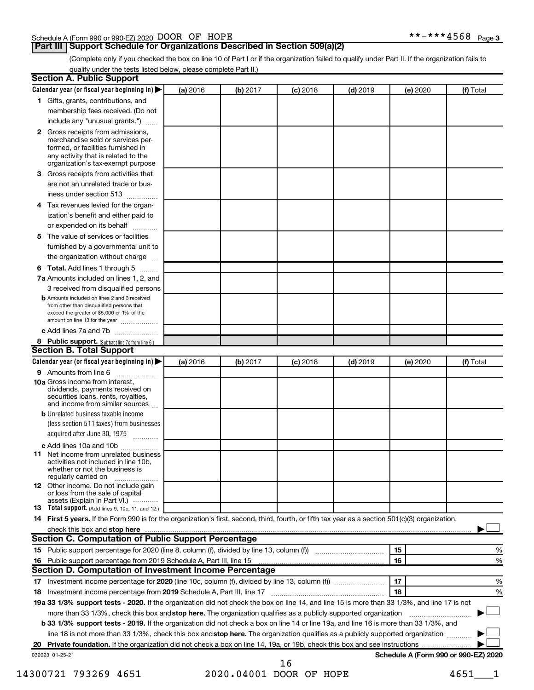#### Schedule A (Form 990 or 990-EZ) 2020 DOOR OF HOPE  $***-*+**4568$  Page

#### **Part III Support Schedule for Organizations Described in Section 509(a)(2)**

(Complete only if you checked the box on line 10 of Part I or if the organization failed to qualify under Part II. If the organization fails to qualify under the tests listed below, please complete Part II.)

| <b>Section A. Public Support</b>                                                                                                                                                                                                    |          |          |          |            |          |                                      |
|-------------------------------------------------------------------------------------------------------------------------------------------------------------------------------------------------------------------------------------|----------|----------|----------|------------|----------|--------------------------------------|
| Calendar year (or fiscal year beginning in)                                                                                                                                                                                         | (a) 2016 | (b) 2017 | (c) 2018 | $(d)$ 2019 | (e) 2020 | (f) Total                            |
| 1 Gifts, grants, contributions, and                                                                                                                                                                                                 |          |          |          |            |          |                                      |
| membership fees received. (Do not                                                                                                                                                                                                   |          |          |          |            |          |                                      |
| include any "unusual grants.")                                                                                                                                                                                                      |          |          |          |            |          |                                      |
| <b>2</b> Gross receipts from admissions,<br>merchandise sold or services per-<br>formed, or facilities furnished in<br>any activity that is related to the<br>organization's tax-exempt purpose                                     |          |          |          |            |          |                                      |
| 3 Gross receipts from activities that                                                                                                                                                                                               |          |          |          |            |          |                                      |
| are not an unrelated trade or bus-                                                                                                                                                                                                  |          |          |          |            |          |                                      |
| iness under section 513                                                                                                                                                                                                             |          |          |          |            |          |                                      |
| 4 Tax revenues levied for the organ-                                                                                                                                                                                                |          |          |          |            |          |                                      |
| ization's benefit and either paid to<br>or expended on its behalf                                                                                                                                                                   |          |          |          |            |          |                                      |
| .<br>5 The value of services or facilities                                                                                                                                                                                          |          |          |          |            |          |                                      |
| furnished by a governmental unit to                                                                                                                                                                                                 |          |          |          |            |          |                                      |
| the organization without charge                                                                                                                                                                                                     |          |          |          |            |          |                                      |
| <b>6 Total.</b> Add lines 1 through 5                                                                                                                                                                                               |          |          |          |            |          |                                      |
| 7a Amounts included on lines 1, 2, and                                                                                                                                                                                              |          |          |          |            |          |                                      |
| 3 received from disqualified persons<br><b>b</b> Amounts included on lines 2 and 3 received<br>from other than disqualified persons that<br>exceed the greater of \$5,000 or 1% of the<br>amount on line 13 for the year            |          |          |          |            |          |                                      |
| c Add lines 7a and 7b                                                                                                                                                                                                               |          |          |          |            |          |                                      |
| 8 Public support. (Subtract line 7c from line 6.)<br><b>Section B. Total Support</b>                                                                                                                                                |          |          |          |            |          |                                      |
| Calendar year (or fiscal year beginning in)                                                                                                                                                                                         | (a) 2016 | (b) 2017 | (c) 2018 | $(d)$ 2019 | (e) 2020 | (f) Total                            |
| <b>9</b> Amounts from line 6                                                                                                                                                                                                        |          |          |          |            |          |                                      |
| <b>10a</b> Gross income from interest,<br>dividends, payments received on<br>securities loans, rents, royalties,<br>and income from similar sources                                                                                 |          |          |          |            |          |                                      |
| <b>b</b> Unrelated business taxable income<br>(less section 511 taxes) from businesses<br>acquired after June 30, 1975                                                                                                              |          |          |          |            |          |                                      |
| c Add lines 10a and 10b                                                                                                                                                                                                             |          |          |          |            |          |                                      |
| <b>11</b> Net income from unrelated business<br>activities not included in line 10b.<br>whether or not the business is<br>regularly carried on                                                                                      |          |          |          |            |          |                                      |
| 12 Other income. Do not include gain<br>or loss from the sale of capital<br>assets (Explain in Part VI.)                                                                                                                            |          |          |          |            |          |                                      |
| <b>13</b> Total support. (Add lines 9, 10c, 11, and 12.)                                                                                                                                                                            |          |          |          |            |          |                                      |
| 14 First 5 years. If the Form 990 is for the organization's first, second, third, fourth, or fifth tax year as a section 501(c)(3) organization,                                                                                    |          |          |          |            |          |                                      |
| check this box and stop here <i>manual content of the content of the state of the state and stop here</i> manual content of the state of the state of the state of the state of the state of the state of the state of the state of |          |          |          |            |          |                                      |
| Section C. Computation of Public Support Percentage                                                                                                                                                                                 |          |          |          |            |          |                                      |
| 15 Public support percentage for 2020 (line 8, column (f), divided by line 13, column (f) <i></i>                                                                                                                                   |          |          |          |            | 15       | %                                    |
| 16 Public support percentage from 2019 Schedule A, Part III, line 15                                                                                                                                                                |          |          |          |            | 16       | %                                    |
| Section D. Computation of Investment Income Percentage                                                                                                                                                                              |          |          |          |            |          |                                      |
| 18 Investment income percentage from 2019 Schedule A, Part III, line 17                                                                                                                                                             |          |          |          |            | 17<br>18 | %<br>%                               |
| 19a 33 1/3% support tests - 2020. If the organization did not check the box on line 14, and line 15 is more than 33 1/3%, and line 17 is not                                                                                        |          |          |          |            |          |                                      |
| more than 33 1/3%, check this box and stop here. The organization qualifies as a publicly supported organization                                                                                                                    |          |          |          |            |          |                                      |
| b 33 1/3% support tests - 2019. If the organization did not check a box on line 14 or line 19a, and line 16 is more than 33 1/3%, and                                                                                               |          |          |          |            |          |                                      |
| line 18 is not more than 33 1/3%, check this box and stop here. The organization qualifies as a publicly supported organization                                                                                                     |          |          |          |            |          |                                      |
|                                                                                                                                                                                                                                     |          |          |          |            |          |                                      |
|                                                                                                                                                                                                                                     |          |          |          |            |          | Schedule A (Form 990 or 990-EZ) 2020 |
| 032023 01-25-21                                                                                                                                                                                                                     |          |          | 16       |            |          |                                      |

14300721 793269 4651 2020.04001 DOOR OF HOPE 4651 1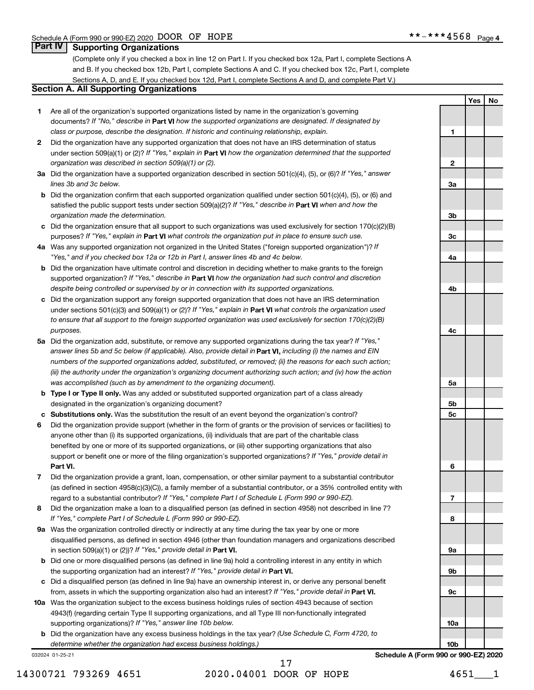**Yes No**

#### **Part IV Supporting Organizations**

(Complete only if you checked a box in line 12 on Part I. If you checked box 12a, Part I, complete Sections A and B. If you checked box 12b, Part I, complete Sections A and C. If you checked box 12c, Part I, complete Sections A, D, and E. If you checked box 12d, Part I, complete Sections A and D, and complete Part V.)

#### **Section A. All Supporting Organizations**

- **1** Are all of the organization's supported organizations listed by name in the organization's governing documents? If "No," describe in Part VI how the supported organizations are designated. If designated by *class or purpose, describe the designation. If historic and continuing relationship, explain.*
- **2** Did the organization have any supported organization that does not have an IRS determination of status under section 509(a)(1) or (2)? If "Yes," explain in Part **VI** how the organization determined that the supported *organization was described in section 509(a)(1) or (2).*
- **3a** Did the organization have a supported organization described in section 501(c)(4), (5), or (6)? If "Yes," answer *lines 3b and 3c below.*
- **b** Did the organization confirm that each supported organization qualified under section 501(c)(4), (5), or (6) and satisfied the public support tests under section 509(a)(2)? If "Yes," describe in Part VI when and how the *organization made the determination.*
- **c** Did the organization ensure that all support to such organizations was used exclusively for section 170(c)(2)(B) purposes? If "Yes," explain in Part VI what controls the organization put in place to ensure such use.
- **4 a** *If* Was any supported organization not organized in the United States ("foreign supported organization")? *"Yes," and if you checked box 12a or 12b in Part I, answer lines 4b and 4c below.*
- **b** Did the organization have ultimate control and discretion in deciding whether to make grants to the foreign supported organization? If "Yes," describe in Part VI how the organization had such control and discretion *despite being controlled or supervised by or in connection with its supported organizations.*
- **c** Did the organization support any foreign supported organization that does not have an IRS determination under sections 501(c)(3) and 509(a)(1) or (2)? If "Yes," explain in Part VI what controls the organization used *to ensure that all support to the foreign supported organization was used exclusively for section 170(c)(2)(B) purposes.*
- **5a** Did the organization add, substitute, or remove any supported organizations during the tax year? If "Yes," answer lines 5b and 5c below (if applicable). Also, provide detail in **Part VI,** including (i) the names and EIN *numbers of the supported organizations added, substituted, or removed; (ii) the reasons for each such action; (iii) the authority under the organization's organizing document authorizing such action; and (iv) how the action was accomplished (such as by amendment to the organizing document).*
- **b** Type I or Type II only. Was any added or substituted supported organization part of a class already designated in the organization's organizing document?
- **c Substitutions only.**  Was the substitution the result of an event beyond the organization's control?
- **6** Did the organization provide support (whether in the form of grants or the provision of services or facilities) to **Part VI.** support or benefit one or more of the filing organization's supported organizations? If "Yes," provide detail in anyone other than (i) its supported organizations, (ii) individuals that are part of the charitable class benefited by one or more of its supported organizations, or (iii) other supporting organizations that also
- **7** Did the organization provide a grant, loan, compensation, or other similar payment to a substantial contributor regard to a substantial contributor? If "Yes," complete Part I of Schedule L (Form 990 or 990-EZ). (as defined in section 4958(c)(3)(C)), a family member of a substantial contributor, or a 35% controlled entity with
- **8** Did the organization make a loan to a disqualified person (as defined in section 4958) not described in line 7? *If "Yes," complete Part I of Schedule L (Form 990 or 990-EZ).*
- **9 a** Was the organization controlled directly or indirectly at any time during the tax year by one or more in section 509(a)(1) or (2))? If "Yes," provide detail in **Part VI.** disqualified persons, as defined in section 4946 (other than foundation managers and organizations described
- **b** Did one or more disqualified persons (as defined in line 9a) hold a controlling interest in any entity in which the supporting organization had an interest? If "Yes," provide detail in Part VI.
- **c** Did a disqualified person (as defined in line 9a) have an ownership interest in, or derive any personal benefit from, assets in which the supporting organization also had an interest? If "Yes," provide detail in Part VI.
- **10 a** Was the organization subject to the excess business holdings rules of section 4943 because of section supporting organizations)? If "Yes," answer line 10b below. 4943(f) (regarding certain Type II supporting organizations, and all Type III non-functionally integrated
	- **b** Did the organization have any excess business holdings in the tax year? (Use Schedule C, Form 4720, to *determine whether the organization had excess business holdings.)*

032024 01-25-21

14300721 793269 4651 2020.04001 DOOR OF HOPE 4651\_\_\_1 17

**1 2 3a 3b 3c 4a 4b 4c 5a 5b 5c 6 7 8 9a 9b 9c 10a 10b Schedule A (Form 990 or 990-EZ) 2020**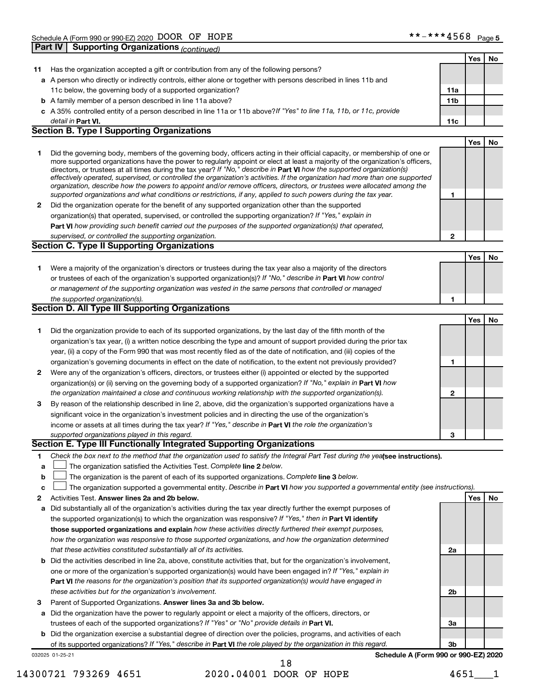|    | <b>Supporting Organizations (continued)</b><br>Part IV                                                                                                                                                                                                                                                                                                                                 |                 |     |    |
|----|----------------------------------------------------------------------------------------------------------------------------------------------------------------------------------------------------------------------------------------------------------------------------------------------------------------------------------------------------------------------------------------|-----------------|-----|----|
|    |                                                                                                                                                                                                                                                                                                                                                                                        |                 | Yes | No |
| 11 | Has the organization accepted a gift or contribution from any of the following persons?                                                                                                                                                                                                                                                                                                |                 |     |    |
|    | a A person who directly or indirectly controls, either alone or together with persons described in lines 11b and                                                                                                                                                                                                                                                                       |                 |     |    |
|    | 11c below, the governing body of a supported organization?                                                                                                                                                                                                                                                                                                                             | 11a             |     |    |
|    | <b>b</b> A family member of a person described in line 11a above?                                                                                                                                                                                                                                                                                                                      | 11 <sub>b</sub> |     |    |
|    | c A 35% controlled entity of a person described in line 11a or 11b above?If "Yes" to line 11a, 11b, or 11c, provide                                                                                                                                                                                                                                                                    |                 |     |    |
|    | detail in Part VI.                                                                                                                                                                                                                                                                                                                                                                     | 11c             |     |    |
|    | <b>Section B. Type I Supporting Organizations</b>                                                                                                                                                                                                                                                                                                                                      |                 |     |    |
|    |                                                                                                                                                                                                                                                                                                                                                                                        |                 | Yes | No |
| 1  | Did the governing body, members of the governing body, officers acting in their official capacity, or membership of one or<br>more supported organizations have the power to regularly appoint or elect at least a majority of the organization's officers,<br>directors, or trustees at all times during the tax year? If "No," describe in Part VI how the supported organization(s) |                 |     |    |
|    | effectively operated, supervised, or controlled the organization's activities. If the organization had more than one supported<br>organization, describe how the powers to appoint and/or remove officers, directors, or trustees were allocated among the                                                                                                                             |                 |     |    |
|    | supported organizations and what conditions or restrictions, if any, applied to such powers during the tax year.                                                                                                                                                                                                                                                                       | 1               |     |    |
| 2  | Did the organization operate for the benefit of any supported organization other than the supported                                                                                                                                                                                                                                                                                    |                 |     |    |
|    | organization(s) that operated, supervised, or controlled the supporting organization? If "Yes," explain in                                                                                                                                                                                                                                                                             |                 |     |    |
|    | Part VI how providing such benefit carried out the purposes of the supported organization(s) that operated.                                                                                                                                                                                                                                                                            |                 |     |    |
|    | supervised, or controlled the supporting organization.<br><b>Section C. Type II Supporting Organizations</b>                                                                                                                                                                                                                                                                           | $\mathbf{2}$    |     |    |
|    |                                                                                                                                                                                                                                                                                                                                                                                        |                 | Yes | No |
| 1  | Were a majority of the organization's directors or trustees during the tax year also a majority of the directors                                                                                                                                                                                                                                                                       |                 |     |    |
|    | or trustees of each of the organization's supported organization(s)? If "No," describe in Part VI how control                                                                                                                                                                                                                                                                          |                 |     |    |
|    | or management of the supporting organization was vested in the same persons that controlled or managed                                                                                                                                                                                                                                                                                 |                 |     |    |
|    | the supported organization(s).                                                                                                                                                                                                                                                                                                                                                         | 1               |     |    |
|    | <b>Section D. All Type III Supporting Organizations</b>                                                                                                                                                                                                                                                                                                                                |                 |     |    |
|    |                                                                                                                                                                                                                                                                                                                                                                                        |                 | Yes | No |
| 1  | Did the organization provide to each of its supported organizations, by the last day of the fifth month of the                                                                                                                                                                                                                                                                         |                 |     |    |
|    | organization's tax year, (i) a written notice describing the type and amount of support provided during the prior tax                                                                                                                                                                                                                                                                  |                 |     |    |
|    | year, (ii) a copy of the Form 990 that was most recently filed as of the date of notification, and (iii) copies of the                                                                                                                                                                                                                                                                 |                 |     |    |
|    | organization's governing documents in effect on the date of notification, to the extent not previously provided?                                                                                                                                                                                                                                                                       | 1               |     |    |
| 2  | Were any of the organization's officers, directors, or trustees either (i) appointed or elected by the supported                                                                                                                                                                                                                                                                       |                 |     |    |
|    | organization(s) or (ii) serving on the governing body of a supported organization? If "No," explain in Part VI how                                                                                                                                                                                                                                                                     |                 |     |    |
|    | the organization maintained a close and continuous working relationship with the supported organization(s).                                                                                                                                                                                                                                                                            | $\mathbf{2}$    |     |    |
| 3  | By reason of the relationship described in line 2, above, did the organization's supported organizations have a                                                                                                                                                                                                                                                                        |                 |     |    |
|    | significant voice in the organization's investment policies and in directing the use of the organization's                                                                                                                                                                                                                                                                             |                 |     |    |
|    | income or assets at all times during the tax year? If "Yes," describe in Part VI the role the organization's                                                                                                                                                                                                                                                                           |                 |     |    |
|    | supported organizations played in this regard.                                                                                                                                                                                                                                                                                                                                         | 3               |     |    |
|    | Section E. Type III Functionally Integrated Supporting Organizations                                                                                                                                                                                                                                                                                                                   |                 |     |    |
| 1  | Check the box next to the method that the organization used to satisfy the Integral Part Test during the yealsee instructions).                                                                                                                                                                                                                                                        |                 |     |    |
| a  | The organization satisfied the Activities Test. Complete line 2 below.                                                                                                                                                                                                                                                                                                                 |                 |     |    |
| b  | The organization is the parent of each of its supported organizations. Complete line 3 below.                                                                                                                                                                                                                                                                                          |                 |     |    |
| c  | The organization supported a governmental entity. Describe in Part VI how you supported a governmental entity (see instructions).                                                                                                                                                                                                                                                      |                 |     |    |
| 2  | Activities Test. Answer lines 2a and 2b below.                                                                                                                                                                                                                                                                                                                                         |                 | Yes | No |
| а  | Did substantially all of the organization's activities during the tax year directly further the exempt purposes of                                                                                                                                                                                                                                                                     |                 |     |    |
|    | the supported organization(s) to which the organization was responsive? If "Yes," then in Part VI identify<br>those supported organizations and explain how these activities directly furthered their exempt purposes,                                                                                                                                                                 |                 |     |    |
|    | how the organization was responsive to those supported organizations, and how the organization determined                                                                                                                                                                                                                                                                              |                 |     |    |
|    | that these activities constituted substantially all of its activities.                                                                                                                                                                                                                                                                                                                 | 2a              |     |    |
| b  | Did the activities described in line 2a, above, constitute activities that, but for the organization's involvement,                                                                                                                                                                                                                                                                    |                 |     |    |
|    | one or more of the organization's supported organization(s) would have been engaged in? If "Yes," explain in                                                                                                                                                                                                                                                                           |                 |     |    |
|    | Part VI the reasons for the organization's position that its supported organization(s) would have engaged in                                                                                                                                                                                                                                                                           |                 |     |    |
|    | these activities but for the organization's involvement.                                                                                                                                                                                                                                                                                                                               | 2b              |     |    |
| 3  | Parent of Supported Organizations. Answer lines 3a and 3b below.                                                                                                                                                                                                                                                                                                                       |                 |     |    |
| а  | Did the organization have the power to regularly appoint or elect a majority of the officers, directors, or                                                                                                                                                                                                                                                                            |                 |     |    |
|    | trustees of each of the supported organizations? If "Yes" or "No" provide details in Part VI.                                                                                                                                                                                                                                                                                          | За              |     |    |
| b  | Did the organization exercise a substantial degree of direction over the policies, programs, and activities of each                                                                                                                                                                                                                                                                    |                 |     |    |
|    | of its supported organizations? If "Yes," describe in Part VI the role played by the organization in this regard.                                                                                                                                                                                                                                                                      | Зb              |     |    |

032025 01-25-21

14300721 793269 4651 2020.04001 DOOR OF HOPE 4651 1 18

**Schedule A (Form 990 or 990-EZ) 2020**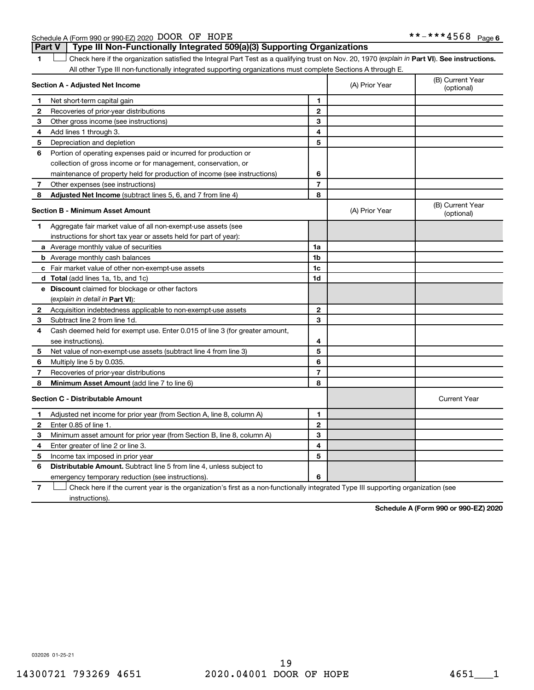Schedule A (Form 990 or 990-EZ) 2020 DOOR OF HOPE  $***-*+**4568$  Page **Part V Type III Non-Functionally Integrated 509(a)(3) Supporting Organizations** 

1 **Letter See instructions.** Check here if the organization satisfied the Integral Part Test as a qualifying trust on Nov. 20, 1970 (*explain in* Part **VI**). See instructions. All other Type III non-functionally integrated supporting organizations must complete Sections A through E.

| Section A - Adjusted Net Income |                                                                                                                                   |                | (A) Prior Year | (B) Current Year<br>(optional) |
|---------------------------------|-----------------------------------------------------------------------------------------------------------------------------------|----------------|----------------|--------------------------------|
| 1                               | Net short-term capital gain                                                                                                       | 1              |                |                                |
| 2                               | Recoveries of prior-year distributions                                                                                            | $\mathbf{2}$   |                |                                |
| З                               | Other gross income (see instructions)                                                                                             | 3              |                |                                |
| 4                               | Add lines 1 through 3.                                                                                                            | 4              |                |                                |
| 5                               | Depreciation and depletion                                                                                                        | 5              |                |                                |
| 6                               | Portion of operating expenses paid or incurred for production or                                                                  |                |                |                                |
|                                 | collection of gross income or for management, conservation, or                                                                    |                |                |                                |
|                                 | maintenance of property held for production of income (see instructions)                                                          | 6              |                |                                |
| 7                               | Other expenses (see instructions)                                                                                                 | $\overline{7}$ |                |                                |
| 8                               | Adjusted Net Income (subtract lines 5, 6, and 7 from line 4)                                                                      | 8              |                |                                |
|                                 | <b>Section B - Minimum Asset Amount</b>                                                                                           |                | (A) Prior Year | (B) Current Year<br>(optional) |
| 1                               | Aggregate fair market value of all non-exempt-use assets (see                                                                     |                |                |                                |
|                                 | instructions for short tax year or assets held for part of year):                                                                 |                |                |                                |
|                                 | a Average monthly value of securities                                                                                             | 1a             |                |                                |
|                                 | <b>b</b> Average monthly cash balances                                                                                            | 1 <sub>b</sub> |                |                                |
|                                 | c Fair market value of other non-exempt-use assets                                                                                | 1c             |                |                                |
|                                 | d Total (add lines 1a, 1b, and 1c)                                                                                                | 1d             |                |                                |
|                                 | e Discount claimed for blockage or other factors                                                                                  |                |                |                                |
|                                 | (explain in detail in <b>Part VI</b> ):                                                                                           |                |                |                                |
| 2                               | Acquisition indebtedness applicable to non-exempt-use assets                                                                      | $\mathbf{2}$   |                |                                |
| 3                               | Subtract line 2 from line 1d.                                                                                                     | 3              |                |                                |
| 4                               | Cash deemed held for exempt use. Enter 0.015 of line 3 (for greater amount,                                                       |                |                |                                |
|                                 | see instructions).                                                                                                                | 4              |                |                                |
| 5                               | Net value of non-exempt-use assets (subtract line 4 from line 3)                                                                  | 5              |                |                                |
| 6                               | Multiply line 5 by 0.035.                                                                                                         | 6              |                |                                |
| 7                               | Recoveries of prior-year distributions                                                                                            | $\overline{7}$ |                |                                |
| 8                               | Minimum Asset Amount (add line 7 to line 6)                                                                                       | 8              |                |                                |
|                                 | <b>Section C - Distributable Amount</b>                                                                                           |                |                | <b>Current Year</b>            |
| 1.                              | Adjusted net income for prior year (from Section A, line 8, column A)                                                             | 1              |                |                                |
| 2                               | Enter 0.85 of line 1.                                                                                                             | $\mathbf{2}$   |                |                                |
| з                               | Minimum asset amount for prior year (from Section B, line 8, column A)                                                            | 3              |                |                                |
| 4                               | Enter greater of line 2 or line 3.                                                                                                | 4              |                |                                |
| 5                               | Income tax imposed in prior year                                                                                                  | 5              |                |                                |
| 6                               | <b>Distributable Amount.</b> Subtract line 5 from line 4, unless subject to                                                       |                |                |                                |
|                                 | emergency temporary reduction (see instructions).                                                                                 | 6              |                |                                |
| 7                               | Check here if the current year is the organization's first as a non-functionally integrated Type III supporting organization (see |                |                |                                |

instructions).

**Schedule A (Form 990 or 990-EZ) 2020**

032026 01-25-21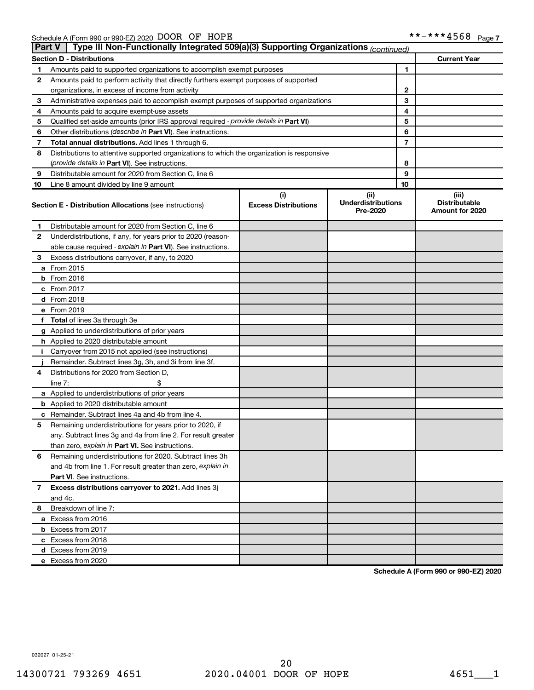|    | Type III Non-Functionally Integrated 509(a)(3) Supporting Organizations (continued)<br><b>Part V</b> |                                    |                                               |    |                                                  |  |  |  |
|----|------------------------------------------------------------------------------------------------------|------------------------------------|-----------------------------------------------|----|--------------------------------------------------|--|--|--|
|    | <b>Section D - Distributions</b>                                                                     |                                    |                                               |    | <b>Current Year</b>                              |  |  |  |
| 1  | Amounts paid to supported organizations to accomplish exempt purposes                                |                                    | 1                                             |    |                                                  |  |  |  |
| 2  | Amounts paid to perform activity that directly furthers exempt purposes of supported                 |                                    |                                               |    |                                                  |  |  |  |
|    | organizations, in excess of income from activity                                                     |                                    | 2                                             |    |                                                  |  |  |  |
| 3  | Administrative expenses paid to accomplish exempt purposes of supported organizations                |                                    | 3                                             |    |                                                  |  |  |  |
| 4  | Amounts paid to acquire exempt-use assets                                                            |                                    |                                               | 4  |                                                  |  |  |  |
| 5  | Qualified set-aside amounts (prior IRS approval required - provide details in Part VI)               |                                    |                                               | 5  |                                                  |  |  |  |
| 6  | Other distributions ( <i>describe in Part VI</i> ). See instructions.                                |                                    |                                               | 6  |                                                  |  |  |  |
| 7  | Total annual distributions. Add lines 1 through 6.                                                   |                                    |                                               | 7  |                                                  |  |  |  |
| 8  | Distributions to attentive supported organizations to which the organization is responsive           |                                    |                                               |    |                                                  |  |  |  |
|    | (provide details in Part VI). See instructions.                                                      |                                    |                                               | 8  |                                                  |  |  |  |
| 9  | Distributable amount for 2020 from Section C, line 6                                                 |                                    |                                               | 9  |                                                  |  |  |  |
| 10 | Line 8 amount divided by line 9 amount                                                               |                                    |                                               | 10 |                                                  |  |  |  |
|    | <b>Section E - Distribution Allocations (see instructions)</b>                                       | (i)<br><b>Excess Distributions</b> | (ii)<br><b>Underdistributions</b><br>Pre-2020 |    | (iii)<br><b>Distributable</b><br>Amount for 2020 |  |  |  |
| 1  | Distributable amount for 2020 from Section C, line 6                                                 |                                    |                                               |    |                                                  |  |  |  |
| 2  | Underdistributions, if any, for years prior to 2020 (reason-                                         |                                    |                                               |    |                                                  |  |  |  |
|    | able cause required - explain in Part VI). See instructions.                                         |                                    |                                               |    |                                                  |  |  |  |
| 3  | Excess distributions carryover, if any, to 2020                                                      |                                    |                                               |    |                                                  |  |  |  |
|    | a From 2015                                                                                          |                                    |                                               |    |                                                  |  |  |  |
|    | <b>b</b> From 2016                                                                                   |                                    |                                               |    |                                                  |  |  |  |
|    | c From 2017                                                                                          |                                    |                                               |    |                                                  |  |  |  |
|    | d From 2018                                                                                          |                                    |                                               |    |                                                  |  |  |  |
|    | e From 2019                                                                                          |                                    |                                               |    |                                                  |  |  |  |
|    | f Total of lines 3a through 3e                                                                       |                                    |                                               |    |                                                  |  |  |  |
|    | g Applied to underdistributions of prior years                                                       |                                    |                                               |    |                                                  |  |  |  |
|    | <b>h</b> Applied to 2020 distributable amount                                                        |                                    |                                               |    |                                                  |  |  |  |
| Ť. | Carryover from 2015 not applied (see instructions)                                                   |                                    |                                               |    |                                                  |  |  |  |
|    | Remainder. Subtract lines 3g, 3h, and 3i from line 3f.                                               |                                    |                                               |    |                                                  |  |  |  |
| 4  | Distributions for 2020 from Section D,                                                               |                                    |                                               |    |                                                  |  |  |  |
|    | line $7:$                                                                                            |                                    |                                               |    |                                                  |  |  |  |
|    | a Applied to underdistributions of prior years                                                       |                                    |                                               |    |                                                  |  |  |  |
|    | <b>b</b> Applied to 2020 distributable amount                                                        |                                    |                                               |    |                                                  |  |  |  |
|    | c Remainder. Subtract lines 4a and 4b from line 4.                                                   |                                    |                                               |    |                                                  |  |  |  |
| 5  | Remaining underdistributions for years prior to 2020, if                                             |                                    |                                               |    |                                                  |  |  |  |
|    | any. Subtract lines 3g and 4a from line 2. For result greater                                        |                                    |                                               |    |                                                  |  |  |  |
|    | than zero, explain in Part VI. See instructions.                                                     |                                    |                                               |    |                                                  |  |  |  |
| 6  | Remaining underdistributions for 2020. Subtract lines 3h                                             |                                    |                                               |    |                                                  |  |  |  |
|    | and 4b from line 1. For result greater than zero, explain in                                         |                                    |                                               |    |                                                  |  |  |  |
|    | <b>Part VI.</b> See instructions.                                                                    |                                    |                                               |    |                                                  |  |  |  |
| 7  | Excess distributions carryover to 2021. Add lines 3j                                                 |                                    |                                               |    |                                                  |  |  |  |
|    | and 4c.                                                                                              |                                    |                                               |    |                                                  |  |  |  |
| 8  | Breakdown of line 7:                                                                                 |                                    |                                               |    |                                                  |  |  |  |
|    | a Excess from 2016                                                                                   |                                    |                                               |    |                                                  |  |  |  |
|    | <b>b</b> Excess from 2017                                                                            |                                    |                                               |    |                                                  |  |  |  |
|    | c Excess from 2018                                                                                   |                                    |                                               |    |                                                  |  |  |  |
|    | d Excess from 2019                                                                                   |                                    |                                               |    |                                                  |  |  |  |
|    | e Excess from 2020                                                                                   |                                    |                                               |    |                                                  |  |  |  |

**Schedule A (Form 990 or 990-EZ) 2020**

032027 01-25-21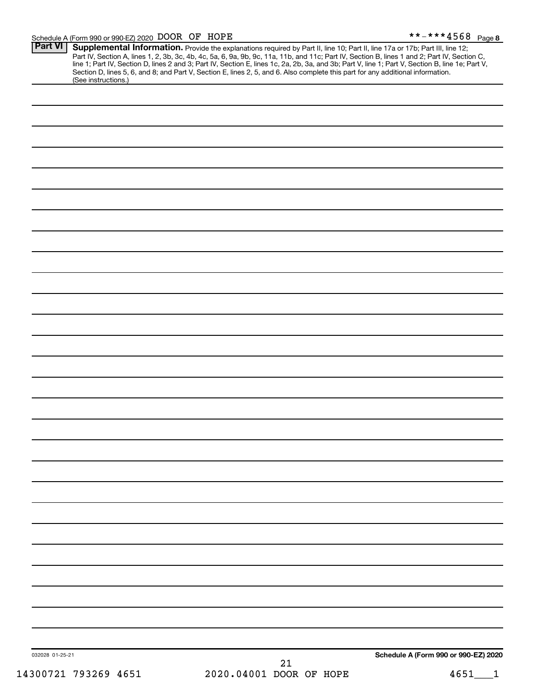|                     | 2020.04001 DOOR OF HOPE                                                                                                                                                                                                             | 4651                                 |
|---------------------|-------------------------------------------------------------------------------------------------------------------------------------------------------------------------------------------------------------------------------------|--------------------------------------|
| 032028 01-25-21     | 21                                                                                                                                                                                                                                  | Schedule A (Form 990 or 990-EZ) 2020 |
|                     |                                                                                                                                                                                                                                     |                                      |
|                     |                                                                                                                                                                                                                                     |                                      |
|                     |                                                                                                                                                                                                                                     |                                      |
|                     |                                                                                                                                                                                                                                     |                                      |
|                     |                                                                                                                                                                                                                                     |                                      |
|                     |                                                                                                                                                                                                                                     |                                      |
|                     |                                                                                                                                                                                                                                     |                                      |
|                     |                                                                                                                                                                                                                                     |                                      |
|                     |                                                                                                                                                                                                                                     |                                      |
|                     |                                                                                                                                                                                                                                     |                                      |
|                     |                                                                                                                                                                                                                                     |                                      |
|                     |                                                                                                                                                                                                                                     |                                      |
|                     |                                                                                                                                                                                                                                     |                                      |
|                     |                                                                                                                                                                                                                                     |                                      |
|                     |                                                                                                                                                                                                                                     |                                      |
|                     |                                                                                                                                                                                                                                     |                                      |
|                     |                                                                                                                                                                                                                                     |                                      |
|                     |                                                                                                                                                                                                                                     |                                      |
|                     |                                                                                                                                                                                                                                     |                                      |
|                     |                                                                                                                                                                                                                                     |                                      |
|                     |                                                                                                                                                                                                                                     |                                      |
|                     |                                                                                                                                                                                                                                     |                                      |
|                     |                                                                                                                                                                                                                                     |                                      |
|                     |                                                                                                                                                                                                                                     |                                      |
|                     |                                                                                                                                                                                                                                     |                                      |
|                     |                                                                                                                                                                                                                                     |                                      |
|                     |                                                                                                                                                                                                                                     |                                      |
|                     |                                                                                                                                                                                                                                     |                                      |
|                     |                                                                                                                                                                                                                                     |                                      |
|                     |                                                                                                                                                                                                                                     |                                      |
|                     |                                                                                                                                                                                                                                     |                                      |
| (See instructions.) | <b>Supplemental Information.</b> Provide the explanations required by Part II, line 10; Part II, line 17a or 17b; Part III, line 12; Part IV, Section A, lines 1, 2, 3b, 3c, 4b, 4c, 5a, 6, 9a, 9b, 9c, 11a, 11b, and 11c; Part IV, |                                      |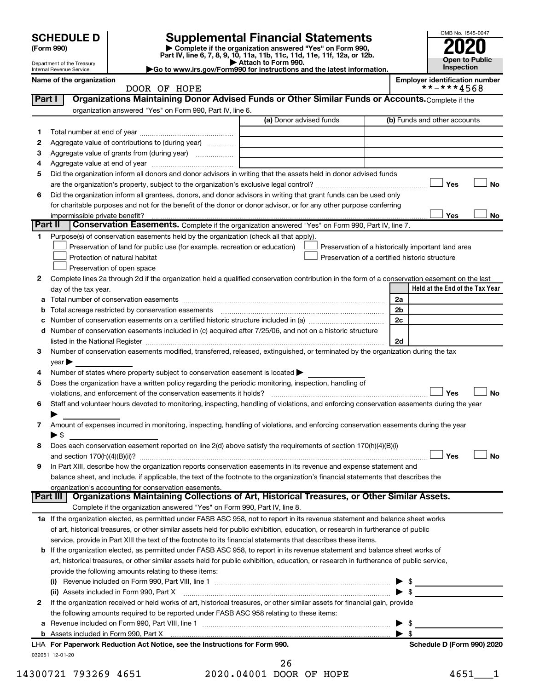| <b>SCHEDULE D</b> |
|-------------------|
|-------------------|

# **SCHEDULE D Supplemental Financial Statements**<br> **Form 990 2020**<br> **Part IV** line 6.7.8.9.10, 11a, 11b, 11d, 11d, 11d, 11d, 11d, 12a, 0r, 12b

**(Form 990) | Complete if the organization answered "Yes" on Form 990, Part IV, line 6, 7, 8, 9, 10, 11a, 11b, 11c, 11d, 11e, 11f, 12a, or 12b.**

**| Attach to Form 990. |Go to www.irs.gov/Form990 for instructions and the latest information.**



Department of the Treasury Internal Revenue Service **Name of the organization**<br> **NAME OF HOPE**<br>
TOOR OF HOPE

| Organizations Maintaining Donor Advised Funds or Other Similar Funds or Accounts. Complete if the<br>Part I                                                                                                                                                                                                                                       |                                                | **-***4568                                         |
|---------------------------------------------------------------------------------------------------------------------------------------------------------------------------------------------------------------------------------------------------------------------------------------------------------------------------------------------------|------------------------------------------------|----------------------------------------------------|
|                                                                                                                                                                                                                                                                                                                                                   |                                                |                                                    |
| organization answered "Yes" on Form 990, Part IV, line 6.                                                                                                                                                                                                                                                                                         |                                                |                                                    |
| (a) Donor advised funds                                                                                                                                                                                                                                                                                                                           |                                                | (b) Funds and other accounts                       |
| 1                                                                                                                                                                                                                                                                                                                                                 |                                                |                                                    |
| Aggregate value of contributions to (during year)<br>2                                                                                                                                                                                                                                                                                            |                                                |                                                    |
| з<br>Aggregate value of grants from (during year)                                                                                                                                                                                                                                                                                                 |                                                |                                                    |
| 4                                                                                                                                                                                                                                                                                                                                                 |                                                |                                                    |
| Did the organization inform all donors and donor advisors in writing that the assets held in donor advised funds<br>5                                                                                                                                                                                                                             |                                                |                                                    |
|                                                                                                                                                                                                                                                                                                                                                   |                                                | Yes                                                |
| Did the organization inform all grantees, donors, and donor advisors in writing that grant funds can be used only<br>6                                                                                                                                                                                                                            |                                                |                                                    |
| for charitable purposes and not for the benefit of the donor or donor advisor, or for any other purpose conferring                                                                                                                                                                                                                                |                                                |                                                    |
| impermissible private benefit?                                                                                                                                                                                                                                                                                                                    |                                                | Yes                                                |
| Part II<br><b>Conservation Easements.</b> Complete if the organization answered "Yes" on Form 990, Part IV, line 7.                                                                                                                                                                                                                               |                                                |                                                    |
| Purpose(s) of conservation easements held by the organization (check all that apply).<br>1.                                                                                                                                                                                                                                                       |                                                |                                                    |
| Preservation of land for public use (for example, recreation or education)                                                                                                                                                                                                                                                                        |                                                | Preservation of a historically important land area |
| Protection of natural habitat                                                                                                                                                                                                                                                                                                                     | Preservation of a certified historic structure |                                                    |
| Preservation of open space                                                                                                                                                                                                                                                                                                                        |                                                |                                                    |
| 2<br>Complete lines 2a through 2d if the organization held a qualified conservation contribution in the form of a conservation easement on the last                                                                                                                                                                                               |                                                |                                                    |
| day of the tax year.                                                                                                                                                                                                                                                                                                                              |                                                | Held at the End of the Tax Year                    |
|                                                                                                                                                                                                                                                                                                                                                   |                                                | 2a                                                 |
|                                                                                                                                                                                                                                                                                                                                                   |                                                | 2b                                                 |
| Number of conservation easements on a certified historic structure included in (a) manufacture included in (a)<br>c                                                                                                                                                                                                                               |                                                | 2c                                                 |
| Number of conservation easements included in (c) acquired after 7/25/06, and not on a historic structure<br>d                                                                                                                                                                                                                                     |                                                |                                                    |
| listed in the National Register [111] Marshall Register [11] Marshall Register [11] Marshall Register [11] Marshall Register [11] Marshall Register [11] Marshall Register [11] Marshall Register [11] Marshall Register [11]                                                                                                                     |                                                | 2d                                                 |
| Number of conservation easements modified, transferred, released, extinguished, or terminated by the organization during the tax<br>3                                                                                                                                                                                                             |                                                |                                                    |
| year                                                                                                                                                                                                                                                                                                                                              |                                                |                                                    |
|                                                                                                                                                                                                                                                                                                                                                   |                                                |                                                    |
| Number of states where property subject to conservation easement is located ><br>4                                                                                                                                                                                                                                                                |                                                |                                                    |
| Does the organization have a written policy regarding the periodic monitoring, inspection, handling of<br>5                                                                                                                                                                                                                                       |                                                |                                                    |
|                                                                                                                                                                                                                                                                                                                                                   |                                                |                                                    |
| violations, and enforcement of the conservation easements it holds?                                                                                                                                                                                                                                                                               |                                                | Yes                                                |
| Staff and volunteer hours devoted to monitoring, inspecting, handling of violations, and enforcing conservation easements during the year                                                                                                                                                                                                         |                                                |                                                    |
|                                                                                                                                                                                                                                                                                                                                                   |                                                |                                                    |
| Amount of expenses incurred in monitoring, inspecting, handling of violations, and enforcing conservation easements during the year                                                                                                                                                                                                               |                                                |                                                    |
| ► \$                                                                                                                                                                                                                                                                                                                                              |                                                |                                                    |
| Does each conservation easement reported on line 2(d) above satisfy the requirements of section 170(h)(4)(B)(i)                                                                                                                                                                                                                                   |                                                |                                                    |
|                                                                                                                                                                                                                                                                                                                                                   |                                                | Yes                                                |
| In Part XIII, describe how the organization reports conservation easements in its revenue and expense statement and                                                                                                                                                                                                                               |                                                |                                                    |
| balance sheet, and include, if applicable, the text of the footnote to the organization's financial statements that describes the                                                                                                                                                                                                                 |                                                |                                                    |
| organization's accounting for conservation easements.                                                                                                                                                                                                                                                                                             |                                                |                                                    |
|                                                                                                                                                                                                                                                                                                                                                   |                                                |                                                    |
| Complete if the organization answered "Yes" on Form 990, Part IV, line 8.                                                                                                                                                                                                                                                                         |                                                |                                                    |
|                                                                                                                                                                                                                                                                                                                                                   |                                                |                                                    |
| of art, historical treasures, or other similar assets held for public exhibition, education, or research in furtherance of public                                                                                                                                                                                                                 |                                                |                                                    |
| service, provide in Part XIII the text of the footnote to its financial statements that describes these items.                                                                                                                                                                                                                                    |                                                |                                                    |
| b If the organization elected, as permitted under FASB ASC 958, to report in its revenue statement and balance sheet works of                                                                                                                                                                                                                     |                                                |                                                    |
| art, historical treasures, or other similar assets held for public exhibition, education, or research in furtherance of public service,                                                                                                                                                                                                           |                                                |                                                    |
| provide the following amounts relating to these items:                                                                                                                                                                                                                                                                                            |                                                |                                                    |
|                                                                                                                                                                                                                                                                                                                                                   |                                                |                                                    |
| (ii) Assets included in Form 990, Part X                                                                                                                                                                                                                                                                                                          |                                                | $\blacktriangleright$ s                            |
| If the organization received or held works of art, historical treasures, or other similar assets for financial gain, provide                                                                                                                                                                                                                      |                                                |                                                    |
| the following amounts required to be reported under FASB ASC 958 relating to these items:                                                                                                                                                                                                                                                         |                                                |                                                    |
|                                                                                                                                                                                                                                                                                                                                                   |                                                | \$                                                 |
|                                                                                                                                                                                                                                                                                                                                                   |                                                | $\blacktriangleright$ s                            |
| 6<br>7<br>8<br>9<br>Part III   Organizations Maintaining Collections of Art, Historical Treasures, or Other Similar Assets.<br>1a If the organization elected, as permitted under FASB ASC 958, not to report in its revenue statement and balance sheet works<br>2<br>LHA For Paperwork Reduction Act Notice, see the Instructions for Form 990. |                                                | Schedule D (Form 990) 2020                         |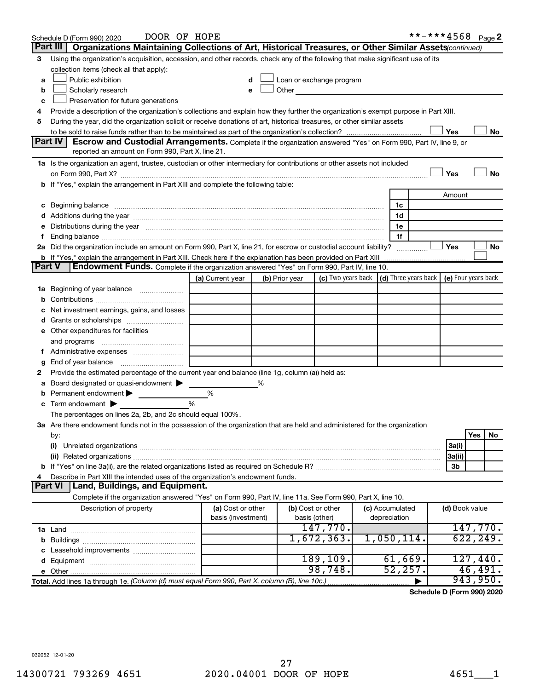|                                                                                                                               | DOOR OF HOPE<br>Schedule D (Form 990) 2020                                                                                                                                                                                     |                    |   |                |                                                                                                                                                                                                                                |  |                                                          | **-***4568 Page 2 |                |           |    |
|-------------------------------------------------------------------------------------------------------------------------------|--------------------------------------------------------------------------------------------------------------------------------------------------------------------------------------------------------------------------------|--------------------|---|----------------|--------------------------------------------------------------------------------------------------------------------------------------------------------------------------------------------------------------------------------|--|----------------------------------------------------------|-------------------|----------------|-----------|----|
|                                                                                                                               | Part III<br>Organizations Maintaining Collections of Art, Historical Treasures, or Other Similar Assets(continued)                                                                                                             |                    |   |                |                                                                                                                                                                                                                                |  |                                                          |                   |                |           |    |
| З                                                                                                                             | Using the organization's acquisition, accession, and other records, check any of the following that make significant use of its                                                                                                |                    |   |                |                                                                                                                                                                                                                                |  |                                                          |                   |                |           |    |
|                                                                                                                               | collection items (check all that apply):                                                                                                                                                                                       |                    |   |                |                                                                                                                                                                                                                                |  |                                                          |                   |                |           |    |
| a                                                                                                                             | Public exhibition                                                                                                                                                                                                              |                    |   |                | Loan or exchange program                                                                                                                                                                                                       |  |                                                          |                   |                |           |    |
| b                                                                                                                             | Scholarly research                                                                                                                                                                                                             | e                  |   |                | Other the contract of the contract of the contract of the contract of the contract of the contract of the contract of the contract of the contract of the contract of the contract of the contract of the contract of the cont |  |                                                          |                   |                |           |    |
| c                                                                                                                             | Preservation for future generations                                                                                                                                                                                            |                    |   |                |                                                                                                                                                                                                                                |  |                                                          |                   |                |           |    |
| 4                                                                                                                             | Provide a description of the organization's collections and explain how they further the organization's exempt purpose in Part XIII.                                                                                           |                    |   |                |                                                                                                                                                                                                                                |  |                                                          |                   |                |           |    |
| During the year, did the organization solicit or receive donations of art, historical treasures, or other similar assets<br>5 |                                                                                                                                                                                                                                |                    |   |                |                                                                                                                                                                                                                                |  |                                                          |                   |                |           |    |
|                                                                                                                               |                                                                                                                                                                                                                                |                    |   |                |                                                                                                                                                                                                                                |  |                                                          |                   | Yes            |           | No |
|                                                                                                                               | <b>Part IV</b><br>Escrow and Custodial Arrangements. Complete if the organization answered "Yes" on Form 990, Part IV, line 9, or                                                                                              |                    |   |                |                                                                                                                                                                                                                                |  |                                                          |                   |                |           |    |
|                                                                                                                               | reported an amount on Form 990, Part X, line 21.                                                                                                                                                                               |                    |   |                |                                                                                                                                                                                                                                |  |                                                          |                   |                |           |    |
|                                                                                                                               | 1a Is the organization an agent, trustee, custodian or other intermediary for contributions or other assets not included                                                                                                       |                    |   |                |                                                                                                                                                                                                                                |  |                                                          |                   |                |           |    |
|                                                                                                                               |                                                                                                                                                                                                                                |                    |   |                |                                                                                                                                                                                                                                |  |                                                          |                   | Yes            |           | No |
|                                                                                                                               | <b>b</b> If "Yes," explain the arrangement in Part XIII and complete the following table:                                                                                                                                      |                    |   |                |                                                                                                                                                                                                                                |  |                                                          |                   |                |           |    |
|                                                                                                                               |                                                                                                                                                                                                                                |                    |   |                |                                                                                                                                                                                                                                |  |                                                          |                   | Amount         |           |    |
| c                                                                                                                             | Beginning balance                                                                                                                                                                                                              |                    |   |                |                                                                                                                                                                                                                                |  | 1c                                                       |                   |                |           |    |
|                                                                                                                               | Additions during the year manufactured and an according to the state of the state of the state of the state of                                                                                                                 |                    |   |                |                                                                                                                                                                                                                                |  | 1d                                                       |                   |                |           |    |
|                                                                                                                               | e Distributions during the year manufactured and continuum control of the control of the control of the state of the state of the control of the control of the control of the control of the control of the control of the co |                    |   |                |                                                                                                                                                                                                                                |  | 1e<br>1f                                                 |                   |                |           |    |
|                                                                                                                               | 2a Did the organization include an amount on Form 990, Part X, line 21, for escrow or custodial account liability?                                                                                                             |                    |   |                |                                                                                                                                                                                                                                |  |                                                          |                   | Yes            |           | No |
|                                                                                                                               | <b>b</b> If "Yes," explain the arrangement in Part XIII. Check here if the explanation has been provided on Part XIII                                                                                                          |                    |   |                |                                                                                                                                                                                                                                |  | .                                                        |                   |                |           |    |
| Part V                                                                                                                        | <b>Endowment Funds.</b> Complete if the organization answered "Yes" on Form 990, Part IV, line 10.                                                                                                                             |                    |   |                |                                                                                                                                                                                                                                |  |                                                          |                   |                |           |    |
|                                                                                                                               |                                                                                                                                                                                                                                | (a) Current year   |   | (b) Prior year | (c) Two years back                                                                                                                                                                                                             |  | $\vert$ (d) Three years back $\vert$ (e) Four years back |                   |                |           |    |
| 1a                                                                                                                            | Beginning of year balance                                                                                                                                                                                                      |                    |   |                |                                                                                                                                                                                                                                |  |                                                          |                   |                |           |    |
|                                                                                                                               |                                                                                                                                                                                                                                |                    |   |                |                                                                                                                                                                                                                                |  |                                                          |                   |                |           |    |
|                                                                                                                               | Net investment earnings, gains, and losses                                                                                                                                                                                     |                    |   |                |                                                                                                                                                                                                                                |  |                                                          |                   |                |           |    |
|                                                                                                                               |                                                                                                                                                                                                                                |                    |   |                |                                                                                                                                                                                                                                |  |                                                          |                   |                |           |    |
|                                                                                                                               | e Other expenditures for facilities                                                                                                                                                                                            |                    |   |                |                                                                                                                                                                                                                                |  |                                                          |                   |                |           |    |
|                                                                                                                               | and programs                                                                                                                                                                                                                   |                    |   |                |                                                                                                                                                                                                                                |  |                                                          |                   |                |           |    |
|                                                                                                                               |                                                                                                                                                                                                                                |                    |   |                |                                                                                                                                                                                                                                |  |                                                          |                   |                |           |    |
| g                                                                                                                             |                                                                                                                                                                                                                                |                    |   |                |                                                                                                                                                                                                                                |  |                                                          |                   |                |           |    |
| 2                                                                                                                             | Provide the estimated percentage of the current year end balance (line 1g, column (a)) held as:                                                                                                                                |                    |   |                |                                                                                                                                                                                                                                |  |                                                          |                   |                |           |    |
|                                                                                                                               | Board designated or quasi-endowment                                                                                                                                                                                            |                    | % |                |                                                                                                                                                                                                                                |  |                                                          |                   |                |           |    |
| b                                                                                                                             | Permanent endowment                                                                                                                                                                                                            | %                  |   |                |                                                                                                                                                                                                                                |  |                                                          |                   |                |           |    |
| с                                                                                                                             | Term endowment $\blacktriangleright$                                                                                                                                                                                           | %                  |   |                |                                                                                                                                                                                                                                |  |                                                          |                   |                |           |    |
|                                                                                                                               | The percentages on lines 2a, 2b, and 2c should equal 100%.                                                                                                                                                                     |                    |   |                |                                                                                                                                                                                                                                |  |                                                          |                   |                |           |    |
|                                                                                                                               | ${\bf 3a}$ Are there endowment funds not in the possession of the organization that are held and administered for the organization                                                                                             |                    |   |                |                                                                                                                                                                                                                                |  |                                                          |                   |                |           |    |
|                                                                                                                               | by:                                                                                                                                                                                                                            |                    |   |                |                                                                                                                                                                                                                                |  |                                                          |                   |                | Yes       | No |
|                                                                                                                               | (i)                                                                                                                                                                                                                            |                    |   |                |                                                                                                                                                                                                                                |  |                                                          |                   | 3a(i)          |           |    |
|                                                                                                                               |                                                                                                                                                                                                                                |                    |   |                |                                                                                                                                                                                                                                |  |                                                          |                   | 3a(ii)         |           |    |
|                                                                                                                               |                                                                                                                                                                                                                                |                    |   |                |                                                                                                                                                                                                                                |  |                                                          |                   | 3b             |           |    |
|                                                                                                                               | Describe in Part XIII the intended uses of the organization's endowment funds.<br>Land, Buildings, and Equipment.<br>Part VI                                                                                                   |                    |   |                |                                                                                                                                                                                                                                |  |                                                          |                   |                |           |    |
|                                                                                                                               | Complete if the organization answered "Yes" on Form 990, Part IV, line 11a. See Form 990, Part X, line 10.                                                                                                                     |                    |   |                |                                                                                                                                                                                                                                |  |                                                          |                   |                |           |    |
|                                                                                                                               | Description of property                                                                                                                                                                                                        | (a) Cost or other  |   |                | (b) Cost or other                                                                                                                                                                                                              |  | (c) Accumulated                                          |                   | (d) Book value |           |    |
|                                                                                                                               |                                                                                                                                                                                                                                | basis (investment) |   |                | basis (other)                                                                                                                                                                                                                  |  | depreciation                                             |                   |                |           |    |
|                                                                                                                               |                                                                                                                                                                                                                                |                    |   |                | 147,770.                                                                                                                                                                                                                       |  |                                                          |                   |                | 147,770.  |    |
|                                                                                                                               |                                                                                                                                                                                                                                |                    |   |                | 1,672,363.                                                                                                                                                                                                                     |  | 1,050,114.                                               |                   |                | 622, 249. |    |
|                                                                                                                               |                                                                                                                                                                                                                                |                    |   |                |                                                                                                                                                                                                                                |  |                                                          |                   |                |           |    |
|                                                                                                                               |                                                                                                                                                                                                                                |                    |   |                | 189, 109.                                                                                                                                                                                                                      |  | 61,669.                                                  |                   |                | 127,440.  |    |
|                                                                                                                               |                                                                                                                                                                                                                                |                    |   |                | 98,748.                                                                                                                                                                                                                        |  | 52, 257.                                                 |                   |                | 46,491.   |    |
|                                                                                                                               | Total. Add lines 1a through 1e. (Column (d) must equal Form 990, Part X, column (B), line 10c.)                                                                                                                                |                    |   |                |                                                                                                                                                                                                                                |  |                                                          |                   |                | 943,950.  |    |
|                                                                                                                               |                                                                                                                                                                                                                                |                    |   |                |                                                                                                                                                                                                                                |  |                                                          |                   |                |           |    |

**Schedule D (Form 990) 2020**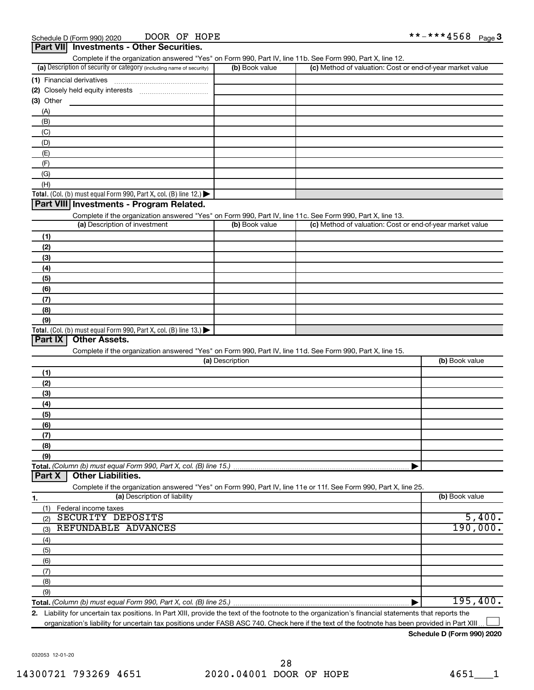|            | Part VII Investments - Other Securities.                                                                                                    |                 |                                                           |                |
|------------|---------------------------------------------------------------------------------------------------------------------------------------------|-----------------|-----------------------------------------------------------|----------------|
|            | Complete if the organization answered "Yes" on Form 990, Part IV, line 11b. See Form 990, Part X, line 12.                                  |                 |                                                           |                |
|            | (a) Description of security or category (including name of security)                                                                        | (b) Book value  | (c) Method of valuation: Cost or end-of-year market value |                |
|            | (1) Financial derivatives                                                                                                                   |                 |                                                           |                |
|            |                                                                                                                                             |                 |                                                           |                |
| (3) Other  |                                                                                                                                             |                 |                                                           |                |
| (A)        |                                                                                                                                             |                 |                                                           |                |
| (B)        |                                                                                                                                             |                 |                                                           |                |
| (C)        |                                                                                                                                             |                 |                                                           |                |
| (D)        |                                                                                                                                             |                 |                                                           |                |
| (E)        |                                                                                                                                             |                 |                                                           |                |
| (F)        |                                                                                                                                             |                 |                                                           |                |
| (G)        |                                                                                                                                             |                 |                                                           |                |
| (H)        |                                                                                                                                             |                 |                                                           |                |
|            | Total. (Col. (b) must equal Form 990, Part X, col. (B) line 12.)<br>Part VIII Investments - Program Related.                                |                 |                                                           |                |
|            |                                                                                                                                             |                 |                                                           |                |
|            | Complete if the organization answered "Yes" on Form 990, Part IV, line 11c. See Form 990, Part X, line 13.<br>(a) Description of investment | (b) Book value  | (c) Method of valuation: Cost or end-of-year market value |                |
|            |                                                                                                                                             |                 |                                                           |                |
| (1)        |                                                                                                                                             |                 |                                                           |                |
| (2)        |                                                                                                                                             |                 |                                                           |                |
| (3)        |                                                                                                                                             |                 |                                                           |                |
| (4)<br>(5) |                                                                                                                                             |                 |                                                           |                |
| (6)        |                                                                                                                                             |                 |                                                           |                |
| (7)        |                                                                                                                                             |                 |                                                           |                |
| (8)        |                                                                                                                                             |                 |                                                           |                |
| (9)        |                                                                                                                                             |                 |                                                           |                |
|            | Total. (Col. (b) must equal Form 990, Part X, col. (B) line 13.) $\blacktriangleright$                                                      |                 |                                                           |                |
| Part IX    | <b>Other Assets.</b>                                                                                                                        |                 |                                                           |                |
|            | Complete if the organization answered "Yes" on Form 990, Part IV, line 11d. See Form 990, Part X, line 15.                                  |                 |                                                           |                |
|            |                                                                                                                                             | (a) Description |                                                           | (b) Book value |
| (1)        |                                                                                                                                             |                 |                                                           |                |
| (2)        |                                                                                                                                             |                 |                                                           |                |
| (3)        |                                                                                                                                             |                 |                                                           |                |
| (4)        |                                                                                                                                             |                 |                                                           |                |
| (5)        |                                                                                                                                             |                 |                                                           |                |
| (6)        |                                                                                                                                             |                 |                                                           |                |
| (7)        |                                                                                                                                             |                 |                                                           |                |
| (8)        |                                                                                                                                             |                 |                                                           |                |
| (9)        |                                                                                                                                             |                 |                                                           |                |
|            | Total. (Column (b) must equal Form 990, Part X, col. (B) line 15.)                                                                          |                 |                                                           |                |
| Part X     | <b>Other Liabilities.</b>                                                                                                                   |                 |                                                           |                |
|            | Complete if the organization answered "Yes" on Form 990, Part IV, line 11e or 11f. See Form 990, Part X, line 25.                           |                 |                                                           |                |
| 1.         | (a) Description of liability                                                                                                                |                 |                                                           | (b) Book value |
| (1)        | Federal income taxes                                                                                                                        |                 |                                                           |                |
| (2)        | SECURITY DEPOSITS                                                                                                                           |                 |                                                           | 5,400.         |
| (3)        | REFUNDABLE ADVANCES                                                                                                                         |                 |                                                           | 190,000.       |
| (4)        |                                                                                                                                             |                 |                                                           |                |
| (5)        |                                                                                                                                             |                 |                                                           |                |
| (6)        |                                                                                                                                             |                 |                                                           |                |
| (7)        |                                                                                                                                             |                 |                                                           |                |
| (8)        |                                                                                                                                             |                 |                                                           |                |
| (9)        |                                                                                                                                             |                 |                                                           |                |
|            | Total. (Column (b) must equal Form 990, Part X, col. (B) line 25.)                                                                          |                 |                                                           | 195,400.       |

**2.** Liability for uncertain tax positions. In Part XIII, provide the text of the footnote to the organization's financial statements that reports the organization's liability for uncertain tax positions under FASB ASC 740. Check here if the text of the footnote has been provided in Part XIII.  $\perp$ 

#### **Schedule D (Form 990) 2020**

032053 12-01-20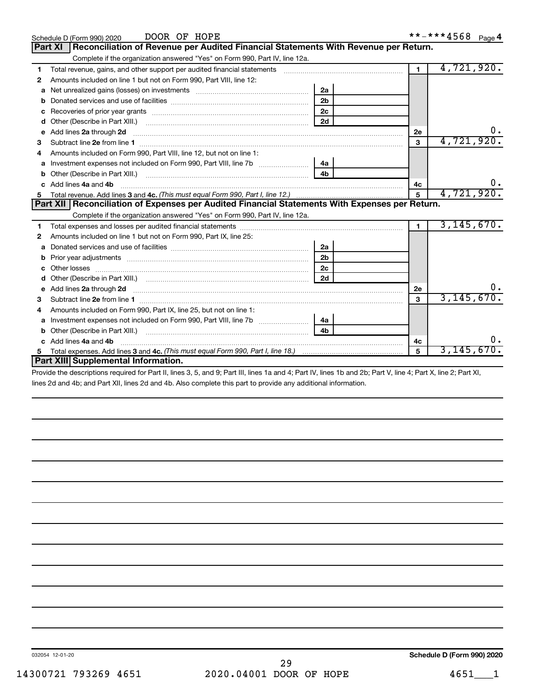| anua nar Daturn |  |
|-----------------|--|

**5**

3,145,670.

|    | DOOR OF HOPE<br>Schedule D (Form 990) 2020                                                                                                                                                                                          |                |                | **-***4568 Page 4 |
|----|-------------------------------------------------------------------------------------------------------------------------------------------------------------------------------------------------------------------------------------|----------------|----------------|-------------------|
|    | <b>Part XI</b><br>Reconciliation of Revenue per Audited Financial Statements With Revenue per Return.                                                                                                                               |                |                |                   |
|    | Complete if the organization answered "Yes" on Form 990, Part IV, line 12a.                                                                                                                                                         |                |                |                   |
| 1  | Total revenue, gains, and other support per audited financial statements [100011001100110110110110110111111111                                                                                                                      |                | $\blacksquare$ | 4,721,920.        |
| 2  | Amounts included on line 1 but not on Form 990, Part VIII, line 12:                                                                                                                                                                 |                |                |                   |
| a  |                                                                                                                                                                                                                                     | 2a             |                |                   |
| b  |                                                                                                                                                                                                                                     | 2 <sub>b</sub> |                |                   |
| с  |                                                                                                                                                                                                                                     | 2 <sub>c</sub> |                |                   |
| d  | Other (Describe in Part XIII.) (2000) (2000) (2000) (2010) (2010) (2010) (2010) (2010) (2010) (2010) (2010) (20                                                                                                                     | 2d             |                |                   |
| е  | Add lines 2a through 2d                                                                                                                                                                                                             |                | 2e             | 0.                |
| 3  |                                                                                                                                                                                                                                     |                | 3              | 4,721,920.        |
| 4  | Amounts included on Form 990, Part VIII, line 12, but not on line 1:                                                                                                                                                                |                |                |                   |
| a  |                                                                                                                                                                                                                                     | 4a             |                |                   |
| b  | Other (Describe in Part XIII.)                                                                                                                                                                                                      | 4 <sub>b</sub> |                |                   |
| C. | Add lines 4a and 4b                                                                                                                                                                                                                 |                | 4c             | 0.                |
| 5. |                                                                                                                                                                                                                                     |                | 5              | 4,721,920.        |
|    | Part XII Reconciliation of Expenses per Audited Financial Statements With Expenses per Return.                                                                                                                                      |                |                |                   |
|    | Complete if the organization answered "Yes" on Form 990, Part IV, line 12a.                                                                                                                                                         |                |                |                   |
| 1  |                                                                                                                                                                                                                                     |                | $\blacksquare$ | 3, 145, 670.      |
| 2  | Amounts included on line 1 but not on Form 990, Part IX, line 25:                                                                                                                                                                   |                |                |                   |
| a  |                                                                                                                                                                                                                                     | 2a             |                |                   |
| b  |                                                                                                                                                                                                                                     | 2 <sub>b</sub> |                |                   |
| с  |                                                                                                                                                                                                                                     | 2 <sub>c</sub> |                |                   |
|    |                                                                                                                                                                                                                                     |                |                |                   |
| e  | Add lines 2a through 2d <b>[10]</b> University of the state of the state of the state of the state of the state of the state of the state of the state of the state of the state of the state of the state of the state of the stat |                | <b>2e</b>      | 0.                |
| 3. |                                                                                                                                                                                                                                     |                | 3              | 3, 145, 670.      |
| 4  | Amounts included on Form 990, Part IX, line 25, but not on line 1:                                                                                                                                                                  |                |                |                   |
| a  | Investment expenses not included on Form 990, Part VIII, line 7b [11, 111, 111, 111]                                                                                                                                                | 4a             |                |                   |
| b  | Other (Describe in Part XIII.)                                                                                                                                                                                                      | 4b             |                |                   |
|    | c Add lines 4a and 4b                                                                                                                                                                                                               |                | 4c             | 0.                |

| <b>Part XIII Supplemental Information.</b>                                                                                                                     |
|----------------------------------------------------------------------------------------------------------------------------------------------------------------|
| Provide the descriptions required for Part II, lines 3, 5, and 9; Part III, lines 1a and 4; Part IV, lines 1b and 2b; Part V, line 4; Part X, line 2; Part XI, |
| lines 2d and 4b; and Part XII, lines 2d and 4b. Also complete this part to provide any additional information.                                                 |

**3 4c.**  *(This must equal Form 990, Part I, line 18.)* Total expenses. Add lines and

032054 12-01-20

**5**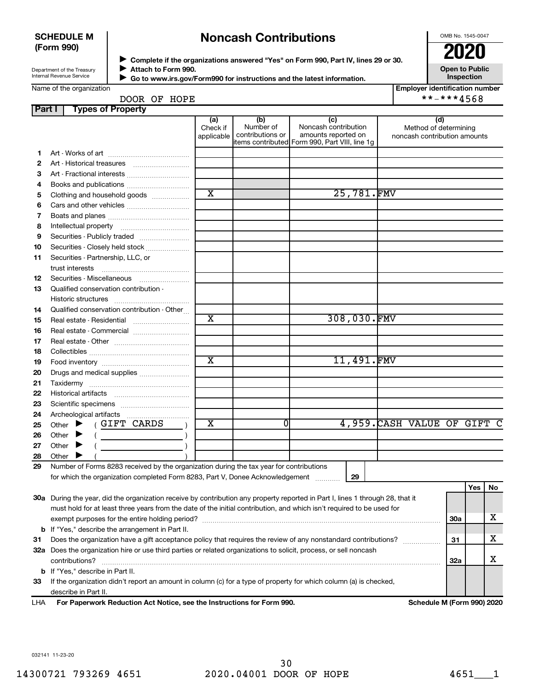#### **SCHEDULE M (Form 990)**

# **Noncash Contributions**

OMB No. 1545-0047

Department of the Treasury Internal Revenue Service

**Part I Types of Property**

◆ Complete if the organizations answered "Yes" on Form 990, Part IV, lines 29 or 30.<br>● Complete if the organizations answered "Yes" on Form 990, Part IV, lines 29 or 30. **Attach to Form 990.** J

**Open to Public Inspection**

|  | Name of the organization |
|--|--------------------------|
|--|--------------------------|

| Go to www.irs.gov/Form990 for instructions and the latest information |
|-----------------------------------------------------------------------|
|                                                                       |

**Employer identification number**

### DOOR OF HOPE **\*\*-\*\*\*4568**

| <b>raili</b> |                             | Types of Froperty                                                                                                                                                                                                                                                                                                                                                                                                                                                                                                                                                                  |                               |                                      |                                                                                                      |                                                              |            |     |    |
|--------------|-----------------------------|------------------------------------------------------------------------------------------------------------------------------------------------------------------------------------------------------------------------------------------------------------------------------------------------------------------------------------------------------------------------------------------------------------------------------------------------------------------------------------------------------------------------------------------------------------------------------------|-------------------------------|--------------------------------------|------------------------------------------------------------------------------------------------------|--------------------------------------------------------------|------------|-----|----|
|              |                             |                                                                                                                                                                                                                                                                                                                                                                                                                                                                                                                                                                                    | (a)<br>Check if<br>applicable | (b)<br>Number of<br>contributions or | (c)<br>Noncash contribution<br>amounts reported on<br>items contributed Form 990, Part VIII, line 1g | (d)<br>Method of determining<br>noncash contribution amounts |            |     |    |
| 1.           |                             |                                                                                                                                                                                                                                                                                                                                                                                                                                                                                                                                                                                    |                               |                                      |                                                                                                      |                                                              |            |     |    |
| $\mathbf{2}$ |                             |                                                                                                                                                                                                                                                                                                                                                                                                                                                                                                                                                                                    |                               |                                      |                                                                                                      |                                                              |            |     |    |
| З            |                             |                                                                                                                                                                                                                                                                                                                                                                                                                                                                                                                                                                                    |                               |                                      |                                                                                                      |                                                              |            |     |    |
| 4            |                             |                                                                                                                                                                                                                                                                                                                                                                                                                                                                                                                                                                                    |                               |                                      |                                                                                                      |                                                              |            |     |    |
| 5            |                             | Clothing and household goods                                                                                                                                                                                                                                                                                                                                                                                                                                                                                                                                                       | $\overline{\text{x}}$         |                                      | 25,781.FMV                                                                                           |                                                              |            |     |    |
| 6            |                             |                                                                                                                                                                                                                                                                                                                                                                                                                                                                                                                                                                                    |                               |                                      |                                                                                                      |                                                              |            |     |    |
| 7            |                             |                                                                                                                                                                                                                                                                                                                                                                                                                                                                                                                                                                                    |                               |                                      |                                                                                                      |                                                              |            |     |    |
| 8            |                             |                                                                                                                                                                                                                                                                                                                                                                                                                                                                                                                                                                                    |                               |                                      |                                                                                                      |                                                              |            |     |    |
|              |                             |                                                                                                                                                                                                                                                                                                                                                                                                                                                                                                                                                                                    |                               |                                      |                                                                                                      |                                                              |            |     |    |
| 9            |                             |                                                                                                                                                                                                                                                                                                                                                                                                                                                                                                                                                                                    |                               |                                      |                                                                                                      |                                                              |            |     |    |
| 10           |                             | Securities - Closely held stock                                                                                                                                                                                                                                                                                                                                                                                                                                                                                                                                                    |                               |                                      |                                                                                                      |                                                              |            |     |    |
| 11           |                             | Securities - Partnership, LLC, or                                                                                                                                                                                                                                                                                                                                                                                                                                                                                                                                                  |                               |                                      |                                                                                                      |                                                              |            |     |    |
|              |                             |                                                                                                                                                                                                                                                                                                                                                                                                                                                                                                                                                                                    |                               |                                      |                                                                                                      |                                                              |            |     |    |
| 12           |                             |                                                                                                                                                                                                                                                                                                                                                                                                                                                                                                                                                                                    |                               |                                      |                                                                                                      |                                                              |            |     |    |
| 13           |                             | Qualified conservation contribution -                                                                                                                                                                                                                                                                                                                                                                                                                                                                                                                                              |                               |                                      |                                                                                                      |                                                              |            |     |    |
|              |                             |                                                                                                                                                                                                                                                                                                                                                                                                                                                                                                                                                                                    |                               |                                      |                                                                                                      |                                                              |            |     |    |
| 14           |                             | Qualified conservation contribution - Other                                                                                                                                                                                                                                                                                                                                                                                                                                                                                                                                        | $\overline{\text{x}}$         |                                      | 308,030.FMV                                                                                          |                                                              |            |     |    |
| 15           |                             |                                                                                                                                                                                                                                                                                                                                                                                                                                                                                                                                                                                    |                               |                                      |                                                                                                      |                                                              |            |     |    |
| 16           |                             | Real estate - Commercial                                                                                                                                                                                                                                                                                                                                                                                                                                                                                                                                                           |                               |                                      |                                                                                                      |                                                              |            |     |    |
| 17           |                             |                                                                                                                                                                                                                                                                                                                                                                                                                                                                                                                                                                                    |                               |                                      |                                                                                                      |                                                              |            |     |    |
| 18           |                             |                                                                                                                                                                                                                                                                                                                                                                                                                                                                                                                                                                                    | $\overline{\texttt{x}}$       |                                      |                                                                                                      |                                                              |            |     |    |
| 19           |                             |                                                                                                                                                                                                                                                                                                                                                                                                                                                                                                                                                                                    |                               |                                      | 11,491.FMV                                                                                           |                                                              |            |     |    |
| 20           |                             | Drugs and medical supplies                                                                                                                                                                                                                                                                                                                                                                                                                                                                                                                                                         |                               |                                      |                                                                                                      |                                                              |            |     |    |
| 21           |                             |                                                                                                                                                                                                                                                                                                                                                                                                                                                                                                                                                                                    |                               |                                      |                                                                                                      |                                                              |            |     |    |
| 22           |                             |                                                                                                                                                                                                                                                                                                                                                                                                                                                                                                                                                                                    |                               |                                      |                                                                                                      |                                                              |            |     |    |
| 23           |                             |                                                                                                                                                                                                                                                                                                                                                                                                                                                                                                                                                                                    |                               |                                      |                                                                                                      |                                                              |            |     |    |
| 24           |                             |                                                                                                                                                                                                                                                                                                                                                                                                                                                                                                                                                                                    |                               |                                      |                                                                                                      |                                                              |            |     |    |
| 25           | Other $\blacktriangleright$ | (GIFT CARDS                                                                                                                                                                                                                                                                                                                                                                                                                                                                                                                                                                        | X                             | 01                                   |                                                                                                      | 4,959. CASH VALUE OF GIFT C                                  |            |     |    |
| 26           | Other $\blacktriangleright$ | $\left(\begin{array}{ccc} \begin{array}{ccc} \end{array} & \begin{array}{ccc} \end{array} & \begin{array}{ccc} \end{array} & \begin{array}{ccc} \end{array} & \begin{array}{ccc} \end{array} & \begin{array}{ccc} \end{array} & \begin{array}{ccc} \end{array} & \begin{array}{ccc} \end{array} & \begin{array}{ccc} \end{array} & \begin{array}{ccc} \end{array} & \begin{array}{ccc} \end{array} & \begin{array}{ccc} \end{array} & \begin{array}{ccc} \end{array} & \begin{array}{ccc} \end{array} & \begin{array}{ccc} \end{array} & \begin{array}{ccc} \end{array} & \begin{$ |                               |                                      |                                                                                                      |                                                              |            |     |    |
| 27           | Other $\blacktriangleright$ |                                                                                                                                                                                                                                                                                                                                                                                                                                                                                                                                                                                    |                               |                                      |                                                                                                      |                                                              |            |     |    |
| 28           | Other                       |                                                                                                                                                                                                                                                                                                                                                                                                                                                                                                                                                                                    |                               |                                      |                                                                                                      |                                                              |            |     |    |
| 29           |                             | Number of Forms 8283 received by the organization during the tax year for contributions                                                                                                                                                                                                                                                                                                                                                                                                                                                                                            |                               |                                      |                                                                                                      |                                                              |            |     |    |
|              |                             | for which the organization completed Form 8283, Part V, Donee Acknowledgement                                                                                                                                                                                                                                                                                                                                                                                                                                                                                                      |                               |                                      | 29                                                                                                   |                                                              |            |     |    |
|              |                             |                                                                                                                                                                                                                                                                                                                                                                                                                                                                                                                                                                                    |                               |                                      |                                                                                                      |                                                              |            | Yes | No |
|              |                             | 30a During the year, did the organization receive by contribution any property reported in Part I, lines 1 through 28, that it                                                                                                                                                                                                                                                                                                                                                                                                                                                     |                               |                                      |                                                                                                      |                                                              |            |     |    |
|              |                             | must hold for at least three years from the date of the initial contribution, and which isn't required to be used for                                                                                                                                                                                                                                                                                                                                                                                                                                                              |                               |                                      |                                                                                                      |                                                              |            |     |    |
|              |                             |                                                                                                                                                                                                                                                                                                                                                                                                                                                                                                                                                                                    |                               |                                      |                                                                                                      |                                                              | <b>30a</b> |     | x  |
|              |                             | <b>b</b> If "Yes," describe the arrangement in Part II.                                                                                                                                                                                                                                                                                                                                                                                                                                                                                                                            |                               |                                      |                                                                                                      |                                                              |            |     |    |
| 31           |                             | Does the organization have a gift acceptance policy that requires the review of any nonstandard contributions?                                                                                                                                                                                                                                                                                                                                                                                                                                                                     |                               |                                      |                                                                                                      | .                                                            | 31         |     | x  |
| 32a          |                             | Does the organization hire or use third parties or related organizations to solicit, process, or sell noncash                                                                                                                                                                                                                                                                                                                                                                                                                                                                      |                               |                                      |                                                                                                      |                                                              |            |     |    |
|              | contributions?              |                                                                                                                                                                                                                                                                                                                                                                                                                                                                                                                                                                                    |                               |                                      |                                                                                                      |                                                              | 32a        |     | х  |
|              |                             | <b>b</b> If "Yes," describe in Part II.                                                                                                                                                                                                                                                                                                                                                                                                                                                                                                                                            |                               |                                      |                                                                                                      |                                                              |            |     |    |
| 33           |                             | If the organization didn't report an amount in column (c) for a type of property for which column (a) is checked,                                                                                                                                                                                                                                                                                                                                                                                                                                                                  |                               |                                      |                                                                                                      |                                                              |            |     |    |

**Schedule M (Form 990) 2020** 

032141 11-23-20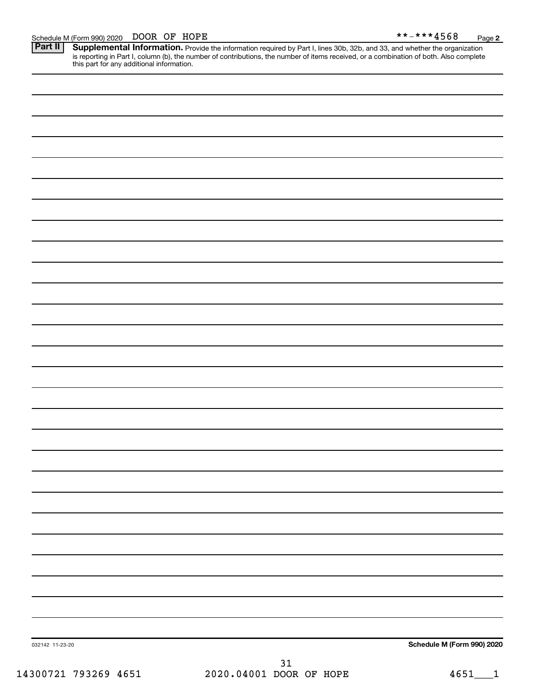Provide the information required by Part I, lines 30b, 32b, and 33, and whether the organization is reporting in Part I, column (b), the number of contributions, the number of items received, or a combination of both. Also complete this part for any additional information. **Part II Supplemental Information.** 

| 032142 11-23-20 | Schedule M (Form 990) 2020 |
|-----------------|----------------------------|
|                 |                            |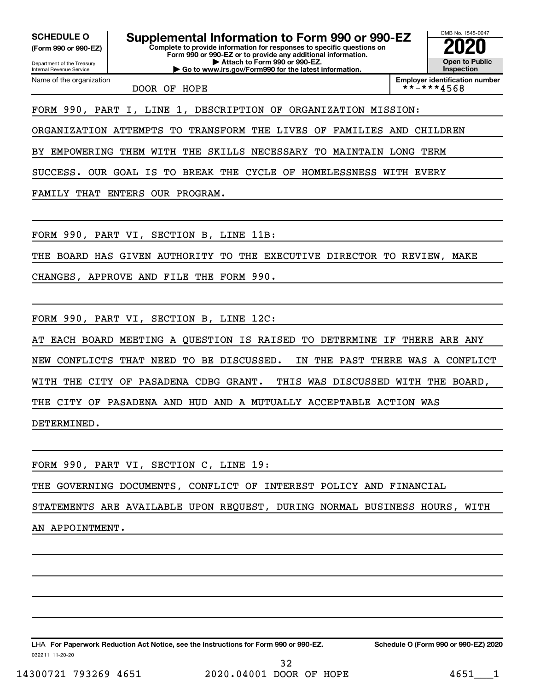**(Form 990 or 990-EZ)**

Department of the Treasury Internal Revenue Service Name of the organization

**Complete to provide information for responses to specific questions on Form 990 or 990-EZ or to provide any additional information. | Attach to Form 990 or 990-EZ. | Go to www.irs.gov/Form990 for the latest information. SCHEDULE O Supplemental Information to Form 990 or 990-EZ 2020**<br>(Form 990 or 990-EZ)

OMB No. 1545-0047 **Open to Public Inspection**

DOOR OF HOPE

**Employer identification number**<br>\* \* - \* \* \* 4 5 6 8

FORM 990, PART I, LINE 1, DESCRIPTION OF ORGANIZATION MISSION:

ORGANIZATION ATTEMPTS TO TRANSFORM THE LIVES OF FAMILIES AND CHILDREN

BY EMPOWERING THEM WITH THE SKILLS NECESSARY TO MAINTAIN LONG TERM

SUCCESS. OUR GOAL IS TO BREAK THE CYCLE OF HOMELESSNESS WITH EVERY

FAMILY THAT ENTERS OUR PROGRAM.

FORM 990, PART VI, SECTION B, LINE 11B:

THE BOARD HAS GIVEN AUTHORITY TO THE EXECUTIVE DIRECTOR TO REVIEW, MAKE

CHANGES, APPROVE AND FILE THE FORM 990.

FORM 990, PART VI, SECTION B, LINE 12C:

AT EACH BOARD MEETING A QUESTION IS RAISED TO DETERMINE IF THERE ARE ANY NEW CONFLICTS THAT NEED TO BE DISCUSSED. IN THE PAST THERE WAS A CONFLICT WITH THE CITY OF PASADENA CDBG GRANT. THIS WAS DISCUSSED WITH THE BOARD, THE CITY OF PASADENA AND HUD AND A MUTUALLY ACCEPTABLE ACTION WAS DETERMINED.

FORM 990, PART VI, SECTION C, LINE 19:

THE GOVERNING DOCUMENTS, CONFLICT OF INTEREST POLICY AND FINANCIAL

STATEMENTS ARE AVAILABLE UPON REQUEST, DURING NORMAL BUSINESS HOURS, WITH

AN APPOINTMENT.

032211 11-20-20 **For Paperwork Reduction Act Notice, see the Instructions for Form 990 or 990-EZ. Schedule O (Form 990 or 990-EZ) 2020** LHA

14300721 793269 4651 2020.04001 DOOR OF HOPE 4651\_\_\_1 32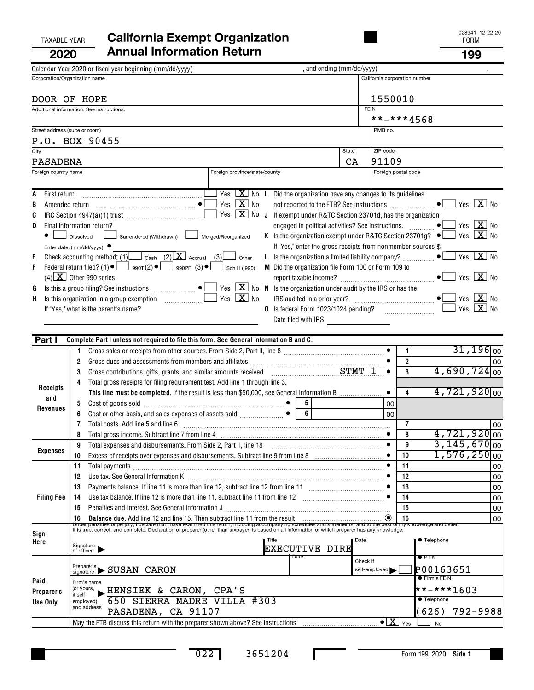# TAXABLE YEAR **California Exempt Organization California Exempt Organization 2020 Annual Information Return 199**

|              |                                |                        | Calendar Year 2020 or fiscal year beginning (mm/dd/yyyy)                                                                                                                                                                         | , and ending (mm/dd/yyyy)                                                      |             |                               |                |                                                                |                                                          |
|--------------|--------------------------------|------------------------|----------------------------------------------------------------------------------------------------------------------------------------------------------------------------------------------------------------------------------|--------------------------------------------------------------------------------|-------------|-------------------------------|----------------|----------------------------------------------------------------|----------------------------------------------------------|
|              | Corporation/Organization name  |                        |                                                                                                                                                                                                                                  |                                                                                |             | California corporation number |                |                                                                |                                                          |
|              |                                |                        |                                                                                                                                                                                                                                  |                                                                                |             |                               |                |                                                                |                                                          |
|              | DOOR OF HOPE                   |                        |                                                                                                                                                                                                                                  |                                                                                |             | 1550010                       |                |                                                                |                                                          |
|              |                                |                        | Additional information. See instructions.                                                                                                                                                                                        |                                                                                | <b>FEIN</b> |                               |                |                                                                |                                                          |
|              |                                |                        |                                                                                                                                                                                                                                  |                                                                                |             | **-***4568                    |                |                                                                |                                                          |
|              | Street address (suite or room) |                        |                                                                                                                                                                                                                                  |                                                                                |             | PMB no.                       |                |                                                                |                                                          |
|              |                                |                        | P.O. BOX 90455                                                                                                                                                                                                                   |                                                                                |             |                               |                |                                                                |                                                          |
| City         |                                |                        |                                                                                                                                                                                                                                  |                                                                                | State       | ZIP code                      |                |                                                                |                                                          |
|              | <b>PASADENA</b>                |                        |                                                                                                                                                                                                                                  |                                                                                | CA          | 91109                         |                |                                                                |                                                          |
|              | Foreign country name           |                        | Foreign province/state/county                                                                                                                                                                                                    |                                                                                |             | Foreign postal code           |                |                                                                |                                                          |
|              |                                |                        | Yes $X$ No I                                                                                                                                                                                                                     |                                                                                |             |                               |                |                                                                |                                                          |
| A<br>B       | First return                   |                        | Yes $X$ No                                                                                                                                                                                                                       | Did the organization have any changes to its guidelines                        |             |                               |                |                                                                | Yes $\boxed{\mathbf{X}}$ No                              |
| C            |                                |                        | Yes $X$ No                                                                                                                                                                                                                       | J If exempt under R&TC Section 23701d, has the organization                    |             |                               |                |                                                                |                                                          |
| D            |                                |                        | Final information return?                                                                                                                                                                                                        |                                                                                |             |                               |                |                                                                | Yes $X$ No                                               |
|              |                                | Dissolved              | Surrendered (Withdrawn) Merged/Reorganized                                                                                                                                                                                       | K Is the organization exempt under R&TC Section 23701g? $\bullet$              |             |                               |                |                                                                | Yes $\lfloor \mathbf{X} \rfloor$ No                      |
|              |                                |                        | Enter date: (mm/dd/yyyy) $\bullet$                                                                                                                                                                                               | If "Yes," enter the gross receipts from nonmember sources \$                   |             |                               |                |                                                                |                                                          |
| Е            |                                |                        | Check accounting method: (1) Cash (2) $X$ Accrual (3) Other                                                                                                                                                                      | L Is the organization a limited liability company? $\ldots$ $\bullet$ $\vdots$ |             |                               |                |                                                                | $Yes \  \  \boxed{\mathbf{X}} \  \  \boxed{\mathbf{No}}$ |
| F            |                                |                        | Federal return filed? (1) $\bullet$ $\Box$ 990T(2) $\bullet$ $\Box$ 990PF (3) $\bullet$ $\Box$ Sch H(990)                                                                                                                        | M Did the organization file Form 100 or Form 109 to                            |             |                               |                |                                                                |                                                          |
|              |                                |                        | $(4)$ X Other 990 series                                                                                                                                                                                                         |                                                                                |             |                               |                |                                                                | Yes $X$ No                                               |
| G            |                                |                        | Is this a group filing? See instructions $\begin{bmatrix} \bullet & \bullet \end{bmatrix}$ Yes $\begin{bmatrix} \mathbf{X} \end{bmatrix}$ No                                                                                     | N Is the organization under audit by the IRS or has the                        |             |                               |                |                                                                |                                                          |
| н            |                                |                        | Yes $X$ No                                                                                                                                                                                                                       |                                                                                |             |                               |                |                                                                | Yes $X$ No                                               |
|              |                                |                        | If "Yes," what is the parent's name?                                                                                                                                                                                             | O Is federal Form 1023/1024 pending?                                           |             |                               |                |                                                                | Yes $X$ No                                               |
|              |                                |                        |                                                                                                                                                                                                                                  | Date filed with IRS                                                            |             |                               |                |                                                                |                                                          |
|              |                                |                        |                                                                                                                                                                                                                                  |                                                                                |             |                               |                |                                                                |                                                          |
|              | Part I                         |                        | Complete Part I unless not required to file this form. See General Information B and C.                                                                                                                                          |                                                                                |             |                               |                |                                                                |                                                          |
|              |                                | 1                      |                                                                                                                                                                                                                                  |                                                                                |             |                               | $\mathbf{1}$   |                                                                | $31,196$ <sub>00</sub>                                   |
|              |                                | 2                      | Gross dues and assessments from members and affiliates [111] [11] contains and a filiates [11] contains and a filiates [11] contains and a filial mass of the state of the state of the state of the state of the state of the   |                                                                                |             |                               | $\overline{2}$ |                                                                | 00                                                       |
|              |                                | 3                      | Gross contributions, gifts, grants, and similar amounts received example assets and string 1                                                                                                                                     |                                                                                |             |                               | 3              | $4,690,724$ <sub>00</sub>                                      |                                                          |
|              | Receipts                       | 4                      | Total gross receipts for filing requirement test. Add line 1 through line 3.                                                                                                                                                     |                                                                                |             |                               |                |                                                                |                                                          |
|              | and                            |                        | This line must be completed. If the result is less than \$50,000, see General Information B                                                                                                                                      |                                                                                |             |                               | 4              | $4,721,920$ <sub>00</sub>                                      |                                                          |
|              | Revenues                       | 5                      |                                                                                                                                                                                                                                  | $\overline{6}$                                                                 |             | 00                            |                |                                                                |                                                          |
|              |                                | 6<br>7                 | Cost or other basis, and sales expenses of assets sold $\begin{array}{ccc}\n &  & \bullet\n\end{array}$<br>Total costs. Add line 5 and line 6                                                                                    |                                                                                |             | 00                            | $\overline{7}$ |                                                                |                                                          |
|              |                                | 8                      | Total gross income. Subtract line 7 from line 4 manufactured contains and contained and substitutions of the U                                                                                                                   |                                                                                |             |                               | 8              | $4,721,920$ <sub>00</sub>                                      | 00                                                       |
|              |                                | 9                      | Total expenses and disbursements. From Side 2, Part II, line 18                                                                                                                                                                  |                                                                                |             | $\bullet$                     | 9              | $3,145,670$ <sub>00</sub>                                      |                                                          |
|              | Expenses                       | 10                     |                                                                                                                                                                                                                                  |                                                                                |             |                               | 10             | $1,576,250$ <sub>00</sub>                                      |                                                          |
|              |                                | 11                     | Total payments                                                                                                                                                                                                                   |                                                                                |             |                               | 11             |                                                                | 00                                                       |
|              |                                | 12                     | Use tax. See General Information K                                                                                                                                                                                               |                                                                                |             |                               | 12             |                                                                | 00                                                       |
|              |                                | 13                     |                                                                                                                                                                                                                                  |                                                                                |             |                               | 13             |                                                                | 00                                                       |
|              | <b>Filing Fee</b>              | 14                     |                                                                                                                                                                                                                                  |                                                                                |             |                               | 14             |                                                                | 00                                                       |
|              |                                | 15                     | Penalties and Interest. See General Information J                                                                                                                                                                                |                                                                                |             | 15                            |                | 00                                                             |                                                          |
|              |                                | 16                     | <b>Balance due.</b> Add line 12 and line 15. Then subtract line 11 from the result <b>construes and the Result Bullet Bullet Bullet Bullet Bullet Bullet Bullet Bullet Bullet Bullette <b>Bullet Bullette <b>Bullet</b></b></b>  |                                                                                |             |                               | 16             |                                                                | 00                                                       |
|              |                                |                        | the penalties of perjury, I declare that I have examined this return, including accompanying schedules and statements, and to the best of my knowledge and belief,<br>It is true, correct, and complete. Declaration of preparer |                                                                                |             |                               |                |                                                                |                                                          |
| Sign<br>Here |                                |                        | Title                                                                                                                                                                                                                            |                                                                                | Date        |                               |                | ● Telephone                                                    |                                                          |
|              |                                |                        | Signature<br>of officer                                                                                                                                                                                                          | <b>EXECUTIVE DIRE</b>                                                          |             |                               |                |                                                                |                                                          |
|              |                                |                        |                                                                                                                                                                                                                                  | Date                                                                           | Check if    |                               |                | $\bullet$ PTIN                                                 |                                                          |
|              |                                |                        | Preparer's SUSAN CARON                                                                                                                                                                                                           |                                                                                |             | self-employed                 |                | P00163651                                                      |                                                          |
| Paid         |                                |                        | Firm's name                                                                                                                                                                                                                      |                                                                                |             |                               |                | <b>•</b> Firm's FEIN                                           |                                                          |
|              | Preparer's                     | (or yours,<br>if self- | HENSIEK & CARON, CPA'S                                                                                                                                                                                                           |                                                                                |             |                               |                | $\star \star$ - $\star \star \star$ 1603<br><b>• Telephone</b> |                                                          |
|              | Use Only                       |                        | 650 SIERRA MADRE VILLA #303<br>employed)<br>and address                                                                                                                                                                          |                                                                                |             |                               |                |                                                                |                                                          |
|              |                                |                        | PASADENA, CA 91107<br>May the FTB discuss this return with the preparer shown above? See instructions [1001] May the FTB discuss this return with the preparer shown above? See instructions                                     |                                                                                |             | $\bullet$ X                   |                | 626)                                                           | $792 - 9988$                                             |
|              |                                |                        |                                                                                                                                                                                                                                  |                                                                                |             |                               | Yes            | <b>No</b>                                                      |                                                          |

п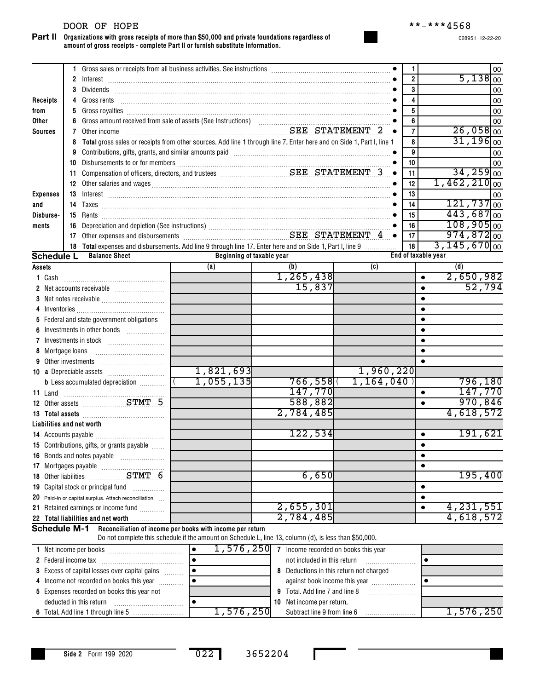#### DOOR OF HOPE \*\*-\*\*\*4568

**Organizations with gross receipts of more than \$50,000 and private foundations regardless of amount of gross receipts - complete Part II or furnish substitute information. Part II**

|                           | 1.           |                                                                                                                                                                                                                               |                                                                                                                       |             |             | $\mathbf{1}$              | 00                                      |  |  |  |  |
|---------------------------|--------------|-------------------------------------------------------------------------------------------------------------------------------------------------------------------------------------------------------------------------------|-----------------------------------------------------------------------------------------------------------------------|-------------|-------------|---------------------------|-----------------------------------------|--|--|--|--|
|                           | $\mathbf{2}$ |                                                                                                                                                                                                                               |                                                                                                                       |             |             | $\overline{2}$            | 5,138<br>00                             |  |  |  |  |
|                           | 3            |                                                                                                                                                                                                                               |                                                                                                                       | 3<br>4      | 00<br>00    |                           |                                         |  |  |  |  |
| Receipts                  | 4            | Gross rents                                                                                                                                                                                                                   |                                                                                                                       |             |             |                           |                                         |  |  |  |  |
| from                      | 5            |                                                                                                                                                                                                                               |                                                                                                                       |             |             | 5                         | 00                                      |  |  |  |  |
| Other                     | 6            |                                                                                                                                                                                                                               |                                                                                                                       |             |             | 6                         | 00                                      |  |  |  |  |
| <b>Sources</b>            | 7            | Other income                                                                                                                                                                                                                  | SEE STATEMENT 2 .                                                                                                     |             |             | $\overline{7}$            | $26,058$ <sub>00</sub>                  |  |  |  |  |
|                           | 8            |                                                                                                                                                                                                                               | Total gross sales or receipts from other sources. Add line 1 through line 7. Enter here and on Side 1, Part I, line 1 |             |             | 8                         | $31,196$ 00                             |  |  |  |  |
|                           | 9            | Contributions, gifts, grants, and similar amounts paid [11] [11] contract and an intervention of the set of the set of the set of the set of the set of the set of the set of the set of the set of the set of the set of the |                                                                                                                       |             |             | 9                         | 00                                      |  |  |  |  |
|                           | 10           |                                                                                                                                                                                                                               |                                                                                                                       |             |             | 10                        | 00                                      |  |  |  |  |
|                           | 11           |                                                                                                                                                                                                                               |                                                                                                                       |             | $\bullet$   | 11                        | $34, 259$ <sub>00</sub>                 |  |  |  |  |
|                           |              |                                                                                                                                                                                                                               |                                                                                                                       |             |             | 12                        | $1,462,210$ <sub>00</sub>               |  |  |  |  |
| <b>Expenses</b>           |              |                                                                                                                                                                                                                               |                                                                                                                       |             |             | 13                        | 00<br>$121,737$ 00                      |  |  |  |  |
| and                       |              |                                                                                                                                                                                                                               |                                                                                                                       |             |             | 14                        |                                         |  |  |  |  |
| Disburse-                 |              |                                                                                                                                                                                                                               |                                                                                                                       |             |             | 15                        | $443,687$ <sub>00</sub><br>$108,905$ 00 |  |  |  |  |
| ments                     | 16           | Depreciation and depletion (See instructions)<br>Other expenses and disbursements<br>CEE STATEMENT 4                                                                                                                          |                                                                                                                       |             |             | 16                        |                                         |  |  |  |  |
|                           | 17           |                                                                                                                                                                                                                               |                                                                                                                       |             |             | 17                        | $974,872$ <sub>00</sub>                 |  |  |  |  |
| <b>Schedule L</b>         |              | 18 Total expenses and disbursements. Add line 9 through line 17. Enter here and on Side 1, Part I, line 9<br><b>Balance Sheet</b>                                                                                             | Beginning of taxable year                                                                                             |             |             | 18<br>End of taxable year | $3,145,670$ <sub>00</sub>               |  |  |  |  |
|                           |              |                                                                                                                                                                                                                               | (a)                                                                                                                   | (b)         | (c)         |                           | (d)                                     |  |  |  |  |
| Assets                    |              |                                                                                                                                                                                                                               |                                                                                                                       | 1, 265, 438 |             |                           | 2,650,982                               |  |  |  |  |
| 1 Cash                    |              |                                                                                                                                                                                                                               |                                                                                                                       | 15,837      |             | $\bullet$                 | 52,794                                  |  |  |  |  |
|                           |              |                                                                                                                                                                                                                               |                                                                                                                       |             |             |                           |                                         |  |  |  |  |
|                           |              |                                                                                                                                                                                                                               |                                                                                                                       |             |             |                           |                                         |  |  |  |  |
|                           |              | 5 Federal and state government obligations                                                                                                                                                                                    |                                                                                                                       |             |             |                           |                                         |  |  |  |  |
| 6                         |              | Investments in other bonds                                                                                                                                                                                                    |                                                                                                                       |             |             |                           |                                         |  |  |  |  |
|                           |              |                                                                                                                                                                                                                               |                                                                                                                       |             |             |                           |                                         |  |  |  |  |
| 8 Mortgage loans          |              |                                                                                                                                                                                                                               |                                                                                                                       |             |             |                           |                                         |  |  |  |  |
| 9 Other investments       |              |                                                                                                                                                                                                                               |                                                                                                                       |             |             |                           |                                         |  |  |  |  |
|                           |              |                                                                                                                                                                                                                               | 1,821,693                                                                                                             |             | 1,960,220   |                           |                                         |  |  |  |  |
|                           |              | <b>b</b> Less accumulated depreciation <i></i>                                                                                                                                                                                | 1,055,135                                                                                                             | 766,558     | 1, 164, 040 |                           | 796,180                                 |  |  |  |  |
| 11 Land                   |              |                                                                                                                                                                                                                               |                                                                                                                       | 147,770     |             | ٠                         | 147,770                                 |  |  |  |  |
|                           |              |                                                                                                                                                                                                                               |                                                                                                                       | 588,882     |             | $\bullet$                 | 970,846                                 |  |  |  |  |
|                           |              |                                                                                                                                                                                                                               |                                                                                                                       | 2,784,485   |             |                           | 4,618,572                               |  |  |  |  |
| Liabilities and net worth |              |                                                                                                                                                                                                                               |                                                                                                                       |             |             |                           |                                         |  |  |  |  |
|                           |              |                                                                                                                                                                                                                               |                                                                                                                       | 122,534     |             | ٠                         | 191,621                                 |  |  |  |  |
|                           |              | 15 Contributions, gifts, or grants payable                                                                                                                                                                                    |                                                                                                                       |             |             |                           |                                         |  |  |  |  |
|                           |              | 16 Bonds and notes payable                                                                                                                                                                                                    |                                                                                                                       |             |             | $\bullet$                 |                                         |  |  |  |  |
|                           |              |                                                                                                                                                                                                                               |                                                                                                                       |             |             |                           |                                         |  |  |  |  |
|                           |              |                                                                                                                                                                                                                               |                                                                                                                       | 6,650       |             |                           | 195,400                                 |  |  |  |  |
|                           |              | 19 Capital stock or principal fund                                                                                                                                                                                            |                                                                                                                       |             |             | ٠                         |                                         |  |  |  |  |
|                           |              | 20 Paid-in or capital surplus. Attach reconciliation                                                                                                                                                                          |                                                                                                                       |             |             | ٠                         |                                         |  |  |  |  |
| 21.                       |              | Retained earnings or income fund                                                                                                                                                                                              |                                                                                                                       | 2,655,301   |             | $\bullet$                 | 4,231,551                               |  |  |  |  |
|                           |              | 22 Total liabilities and net worth                                                                                                                                                                                            |                                                                                                                       | 2,784,485   |             |                           | 4,618,572                               |  |  |  |  |
| <b>Schedule M-1</b>       |              |                                                                                                                                                                                                                               | Reconciliation of income per books with income per return                                                             |             |             |                           |                                         |  |  |  |  |
|                           |              |                                                                                                                                                                                                                               | Do not complete this schedule if the amount on Schedule L, line 13, column (d), is less than \$50,000.                |             |             |                           |                                         |  |  |  |  |

| 1 Net income per books                               |  | 1,576,250  |                                         | Income recorded on books this year |           |
|------------------------------------------------------|--|------------|-----------------------------------------|------------------------------------|-----------|
| 2 Federal income tax                                 |  |            |                                         | not included in this return        |           |
| <b>3</b> Excess of capital losses over capital gains |  |            | 8 Deductions in this return not charged |                                    |           |
| 4 Income not recorded on books this year             |  |            |                                         | against book income this year      |           |
| 5 Expenses recorded on books this year not           |  |            |                                         | 9 Total. Add line 7 and line 8     |           |
| deducted in this return                              |  |            |                                         | 10 Net income per return.          |           |
|                                                      |  | 1.576.2501 |                                         | Subtract line 9 from line 6        | 1,576,250 |

022 3652204

п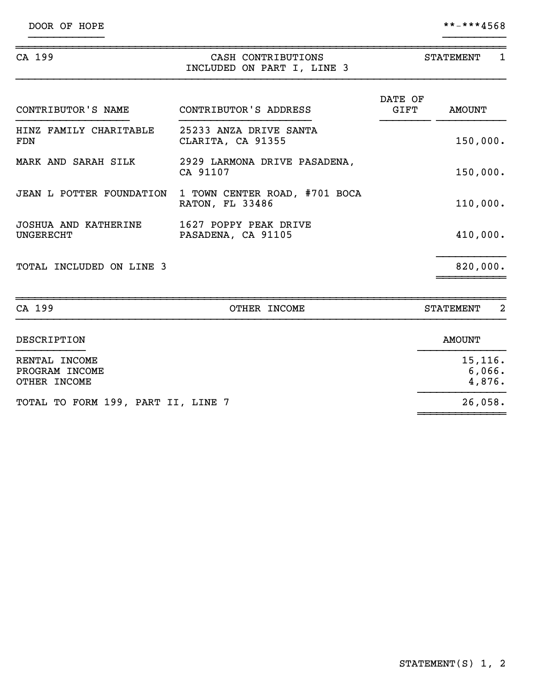${}^{26,058}$ .

~~~~~~~~~~~~~~

| CA 199                                          | CASH CONTRIBUTIONS<br>INCLUDED ON PART I, LINE 3 | <b>STATEMENT</b><br>1 |                              |  |
|-------------------------------------------------|--------------------------------------------------|-----------------------|------------------------------|--|
| CONTRIBUTOR'S NAME                              | CONTRIBUTOR'S ADDRESS                            | DATE OF<br>GIFT       | <b>AMOUNT</b>                |  |
| HINZ FAMILY CHARITABLE<br><b>FDN</b>            | 25233 ANZA DRIVE SANTA<br>CLARITA, CA 91355      |                       | 150,000.                     |  |
| MARK AND SARAH SILK                             | 2929 LARMONA DRIVE PASADENA,<br>CA 91107         |                       | 150,000.                     |  |
| JEAN L POTTER FOUNDATION                        | 1 TOWN CENTER ROAD, #701 BOCA<br>RATON, FL 33486 |                       | 110,000.                     |  |
| <b>JOSHUA AND KATHERINE</b><br><b>UNGERECHT</b> | 1627 POPPY PEAK DRIVE<br>PASADENA, CA 91105      |                       | 410,000.                     |  |
| TOTAL INCLUDED ON LINE 3                        |                                                  |                       | 820,000.                     |  |
| CA 199                                          | OTHER INCOME                                     |                       | 2<br><b>STATEMENT</b>        |  |
| DESCRIPTION                                     |                                                  |                       | <b>AMOUNT</b>                |  |
| RENTAL INCOME<br>PROGRAM INCOME<br>OTHER INCOME |                                                  |                       | 15, 116.<br>6,066.<br>4,876. |  |

}}}}}}}}}}}} }}}}}}}}}}

TOTAL TO FORM 199, PART II, LINE 7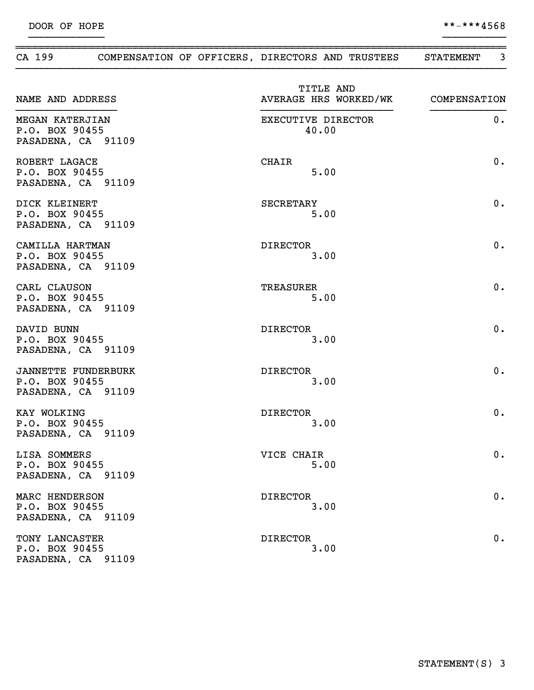|                                                                    | CA 199 COMPENSATION OF OFFICERS, DIRECTORS AND TRUSTEES |                                                 | 3<br><b>STATEMENT</b> |
|--------------------------------------------------------------------|---------------------------------------------------------|-------------------------------------------------|-----------------------|
| NAME AND ADDRESS                                                   |                                                         | TITLE AND<br>AVERAGE HRS WORKED/WK COMPENSATION |                       |
| MEGAN KATERJIAN<br>P.O. BOX 90455<br>PASADENA, CA 91109            |                                                         | EXECUTIVE DIRECTOR<br>40.00                     | 0.                    |
| ROBERT LAGACE<br>P.O. BOX 90455<br>PASADENA, CA 91109              |                                                         | CHAIR<br>5.00                                   | 0.                    |
| DICK KLEINERT<br>P.O. BOX 90455<br>PASADENA, CA 91109              |                                                         | SECRETARY<br>5.00                               | 0.                    |
| CAMILLA HARTMAN<br>P.O. BOX 90455<br>PASADENA, CA 91109            |                                                         | DIRECTOR<br>3.00                                | 0.                    |
| CARL CLAUSON<br>P.O. BOX 90455<br>PASADENA, CA 91109               |                                                         | TREASURER<br>5.00                               | 0.                    |
| DAVID BUNN<br>P.O. BOX 90455<br>PASADENA, CA 91109                 |                                                         | <b>DIRECTOR</b><br>3.00                         | 0.                    |
| <b>JANNETTE FUNDERBURK</b><br>P.O. BOX 90455<br>PASADENA, CA 91109 |                                                         | <b>DIRECTOR</b><br>3.00                         | 0.                    |
| KAY WOLKING<br>P.O. BOX 90455<br>PASADENA, CA 91109                |                                                         | <b>DIRECTOR</b><br>3.00                         | 0.                    |
| LISA SOMMERS<br>P.O. BOX 90455<br>PASADENA, CA 91109               |                                                         | VICE CHAIR<br>5.00                              | 0.                    |
| MARC HENDERSON<br>P.O. BOX 90455<br>PASADENA, CA 91109             |                                                         | <b>DIRECTOR</b><br>3.00                         | 0.                    |
| TONY LANCASTER<br>P.O. BOX 90455<br>PASADENA, CA 91109             |                                                         | <b>DIRECTOR</b><br>3.00                         | 0.                    |

}}}}}}}}}}}} }}}}}}}}}}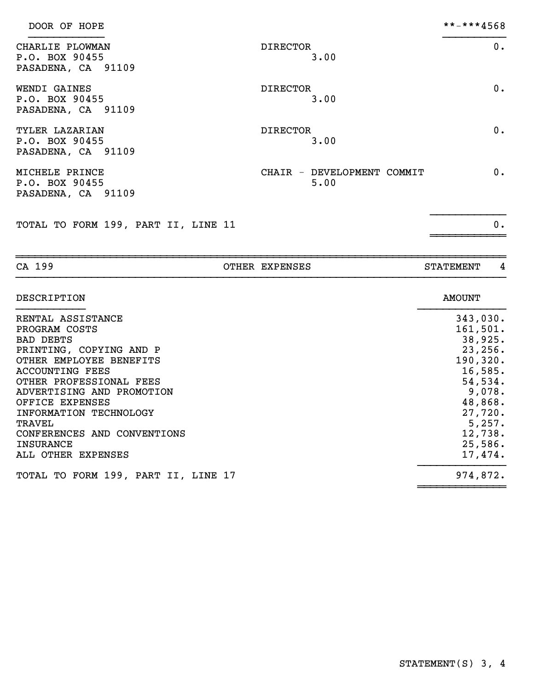| DOOR OF HOPE                                            |                                    | **-***4568 |
|---------------------------------------------------------|------------------------------------|------------|
| CHARLIE PLOWMAN<br>P.O. BOX 90455<br>PASADENA, CA 91109 | <b>DIRECTOR</b><br>3.00            | $0$ .      |
| WENDI GAINES<br>P.O. BOX 90455<br>PASADENA, CA 91109    | <b>DIRECTOR</b><br>3.00            | $0$ .      |
| TYLER LAZARIAN<br>P.O. BOX 90455<br>PASADENA, CA 91109  | <b>DIRECTOR</b><br>3.00            | $0$ .      |
| MICHELE PRINCE<br>P.O. BOX 90455<br>PASADENA, CA 91109  | CHAIR - DEVELOPMENT COMMIT<br>5.00 | $0$ .      |
| TOTAL TO FORM 199, PART II, LINE 11                     |                                    | 0.         |

~~~~~~~~~~~~~~~~~~~~~~~~~~~~~~~~~~~~~~~~~~~~~~~~~~~~~~~~~~~~~~~~~~~~~~~~~~~~~~ CA 199 COTHER EXPENSES STATEMENT 4

| RENTAL ASSISTANCE                   |           |
|-------------------------------------|-----------|
|                                     | 343,030.  |
| PROGRAM COSTS                       | 161, 501. |
| <b>BAD DEBTS</b>                    | 38,925.   |
| PRINTING, COPYING AND P             | 23, 256.  |
| OTHER EMPLOYEE BENEFITS             | 190, 320. |
| <b>ACCOUNTING FEES</b>              | 16,585.   |
| OTHER PROFESSIONAL FEES             | 54,534.   |
| ADVERTISING AND PROMOTION           | 9,078.    |
| OFFICE EXPENSES                     | 48,868.   |
| INFORMATION TECHNOLOGY              | 27,720.   |
| TRAVEL                              | 5,257.    |
| CONFERENCES AND CONVENTIONS         | 12,738.   |
| <b>INSURANCE</b>                    | 25,586.   |
| ALL OTHER EXPENSES                  | 17,474.   |
| TOTAL TO FORM 199, PART II, LINE 17 | 974,872.  |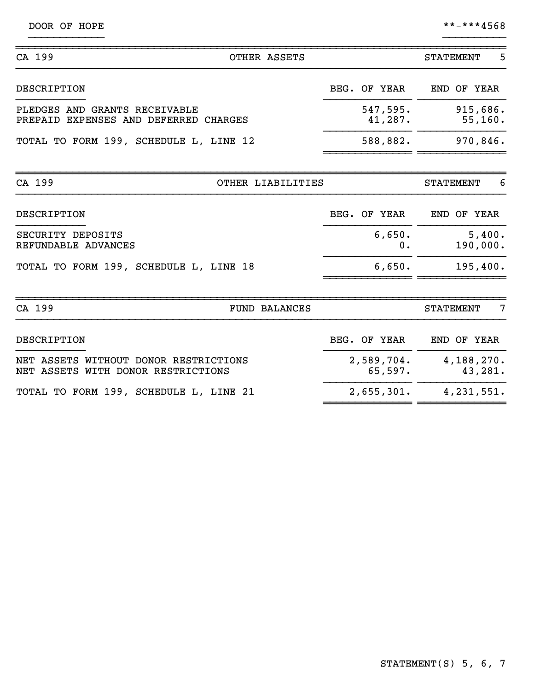| DOOR OF HOPE |  |  |
|--------------|--|--|
|--------------|--|--|

 $***-***4568$ 

| CA 199<br>OTHER ASSETS                                                      |                       | 5<br><b>STATEMENT</b> |
|-----------------------------------------------------------------------------|-----------------------|-----------------------|
| DESCRIPTION                                                                 | BEG. OF YEAR          | END OF YEAR           |
| PLEDGES AND GRANTS RECEIVABLE<br>PREPAID EXPENSES AND DEFERRED CHARGES      | 547,595.<br>41,287.   | 915,686.<br>55, 160.  |
| TOTAL TO FORM 199, SCHEDULE L, LINE 12                                      | 588,882.              | 970,846.              |
| CA 199<br>OTHER LIABILITIES                                                 |                       | 6<br><b>STATEMENT</b> |
| DESCRIPTION                                                                 | BEG. OF YEAR          | END OF YEAR           |
| SECURITY DEPOSITS<br>REFUNDABLE ADVANCES                                    | 6,650.<br>0.          | 5,400.<br>190,000.    |
| TOTAL TO FORM 199, SCHEDULE L, LINE 18                                      | 6,650.                | 195,400.              |
| CA 199<br><b>FUND BALANCES</b>                                              |                       | 7<br><b>STATEMENT</b> |
| DESCRIPTION                                                                 | BEG. OF YEAR          | END OF YEAR           |
| NET ASSETS WITHOUT DONOR RESTRICTIONS<br>NET ASSETS WITH DONOR RESTRICTIONS | 2,589,704.<br>65,597. | 4,188,270.<br>43,281. |
| TOTAL TO FORM 199, SCHEDULE L, LINE 21                                      | 2,655,301.            | 4, 231, 551.          |